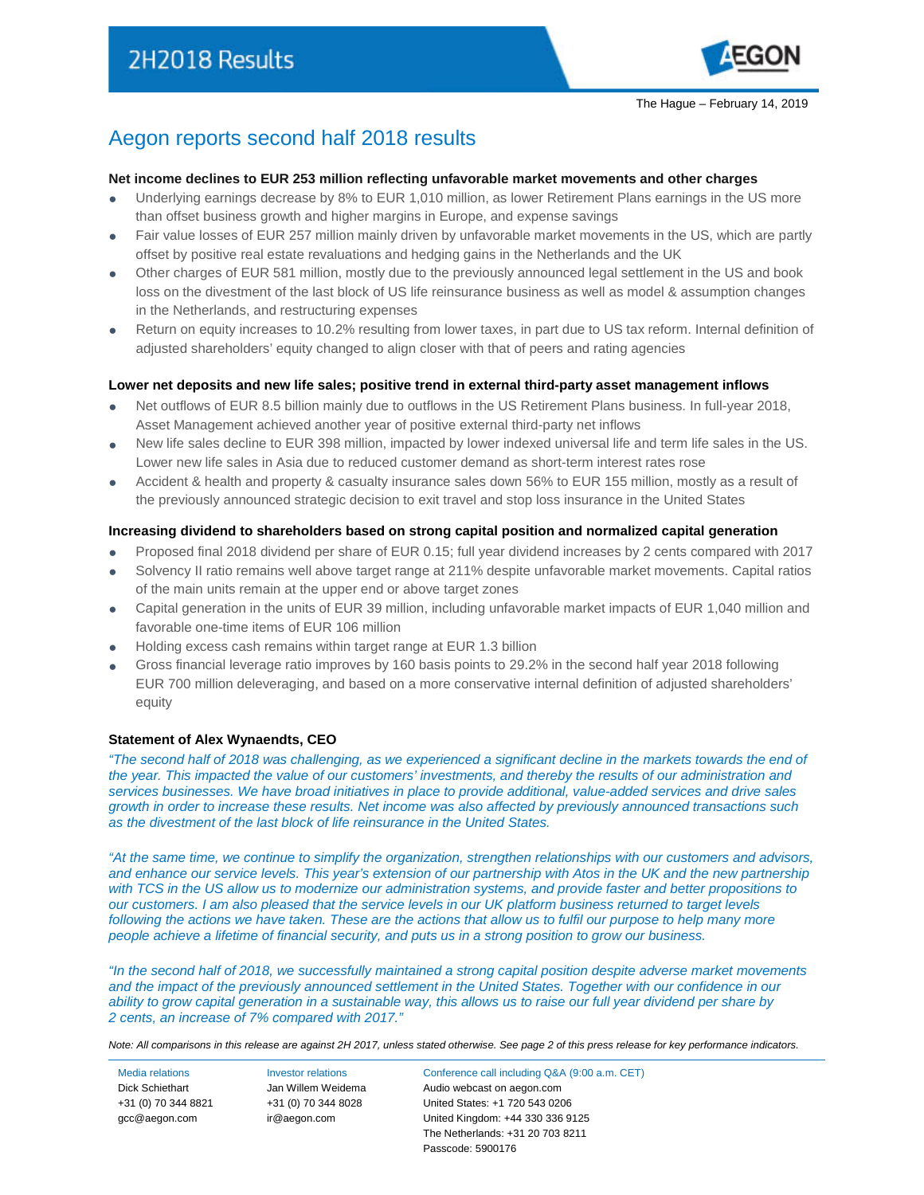

# Aegon reports second half 2018 results

#### **Net income declines to EUR 253 million reflecting unfavorable market movements and other charges**

- Underlying earnings decrease by 8% to EUR 1,010 million, as lower Retirement Plans earnings in the US more than offset business growth and higher margins in Europe, and expense savings
- Fair value losses of EUR 257 million mainly driven by unfavorable market movements in the US, which are partly offset by positive real estate revaluations and hedging gains in the Netherlands and the UK
- Other charges of EUR 581 million, mostly due to the previously announced legal settlement in the US and book loss on the divestment of the last block of US life reinsurance business as well as model & assumption changes in the Netherlands, and restructuring expenses
- Return on equity increases to 10.2% resulting from lower taxes, in part due to US tax reform. Internal definition of adjusted shareholders' equity changed to align closer with that of peers and rating agencies

#### **Lower net deposits and new life sales; positive trend in external third-party asset management inflows**

- Net outflows of EUR 8.5 billion mainly due to outflows in the US Retirement Plans business. In full-year 2018, Asset Management achieved another year of positive external third-party net inflows
- New life sales decline to EUR 398 million, impacted by lower indexed universal life and term life sales in the US. Lower new life sales in Asia due to reduced customer demand as short-term interest rates rose
- Accident & health and property & casualty insurance sales down 56% to EUR 155 million, mostly as a result of the previously announced strategic decision to exit travel and stop loss insurance in the United States

#### **Increasing dividend to shareholders based on strong capital position and normalized capital generation**

- Proposed final 2018 dividend per share of EUR 0.15; full year dividend increases by 2 cents compared with 2017
- Solvency II ratio remains well above target range at 211% despite unfavorable market movements. Capital ratios of the main units remain at the upper end or above target zones
- Capital generation in the units of EUR 39 million, including unfavorable market impacts of EUR 1,040 million and favorable one-time items of EUR 106 million
- Holding excess cash remains within target range at EUR 1.3 billion
- Gross financial leverage ratio improves by 160 basis points to 29.2% in the second half year 2018 following EUR 700 million deleveraging, and based on a more conservative internal definition of adjusted shareholders' equity

### **Statement of Alex Wynaendts, CEO**

*"The second half of 2018 was challenging, as we experienced a significant decline in the markets towards the end of the year. This impacted the value of our customers' investments, and thereby the results of our administration and services businesses. We have broad initiatives in place to provide additional, value-added services and drive sales growth in order to increase these results. Net income was also affected by previously announced transactions such as the divestment of the last block of life reinsurance in the United States.*

*"At the same time, we continue to simplify the organization, strengthen relationships with our customers and advisors, and enhance our service levels. This year's extension of our partnership with Atos in the UK and the new partnership with TCS in the US allow us to modernize our administration systems, and provide faster and better propositions to our customers. I am also pleased that the service levels in our UK platform business returned to target levels* following the actions we have taken. These are the actions that allow us to fulfil our purpose to help many more *people achieve a lifetime of financial security, and puts us in a strong position to grow our business.* 

*"In the second half of 2018, we successfully maintained a strong capital position despite adverse market movements* and the impact of the previously announced settlement in the United States. Together with our confidence in our *ability to grow capital generation in a sustainable way, this allows us to raise our full year dividend per share by 2 cents, an increase of 7% compared with 2017."*

*Note: All comparisons in this release are against 2H 2017, unless stated otherwise. See page 2 of this press release for key performance indicators.*

+31 (0) 70 344 8821 [gcc@aegon.com](mailto:gcc@aegon.com)

+31 (0) 70 344 8028 [ir@aegon.com](mailto:ir@aegon.com)

Media relations Investor relations Conference call including Q&A (9:00 a.m. CET) Dick Schiethart Jan Willem Weidema Audio webcast on aegon.com United States: +1 720 543 0206 United Kingdom: +44 330 336 9125 The Netherlands: +31 20 703 8211 Passcode: 5900176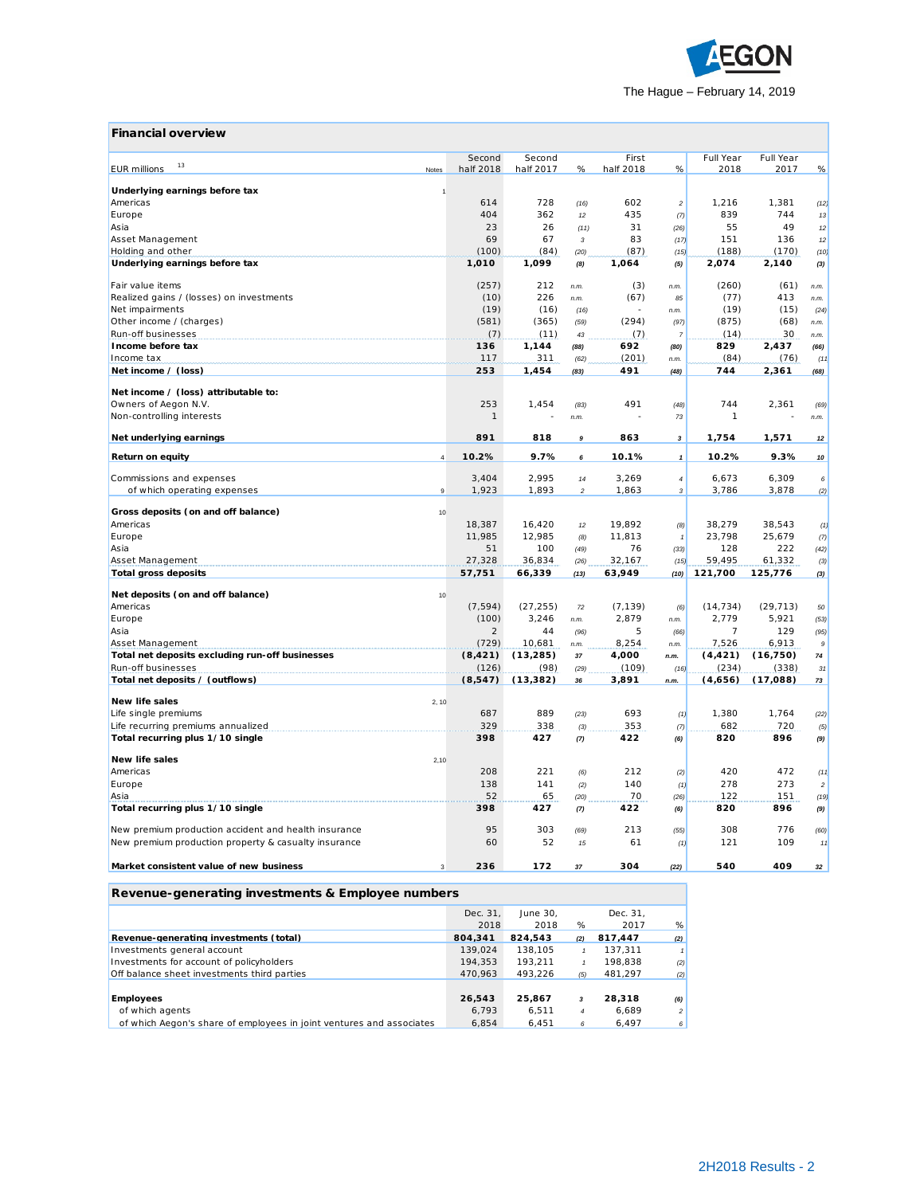

| <b>Financial overview</b>                            |                |                     |                     |                         |                    |                  |                   |                   |                  |
|------------------------------------------------------|----------------|---------------------|---------------------|-------------------------|--------------------|------------------|-------------------|-------------------|------------------|
| 13<br><b>EUR</b> millions                            | Notes          | Second<br>half 2018 | Second<br>half 2017 | %                       | First<br>half 2018 | %                | Full Year<br>2018 | Full Year<br>2017 | $\%$             |
| Underlying earnings before tax                       |                |                     |                     |                         |                    |                  |                   |                   |                  |
| Americas                                             |                | 614                 | 728                 | (16)                    | 602                | $\bar{z}$        | 1,216             | 1,381             | (12)             |
| Europe                                               |                | 404                 | 362                 | 12                      | 435                | (7)              | 839               | 744               | 13               |
| Asia                                                 |                | 23                  | 26                  | (11)                    | 31                 | (26)             | 55                | 49                | $12\,$           |
| Asset Management                                     |                | 69                  | 67                  | $\overline{\mathbf{3}}$ | 83                 | (17)             | 151               | 136               | 12               |
| Holding and other                                    |                | (100)               | (84)                | (20)                    | (87)               | (15)             | (188)             | (170)             | (10)             |
| Underlying earnings before tax                       |                | 1,010               | 1,099               | (8)                     | 1,064              | (5)              | 2,074             | 2,140             | (3)              |
| Fair value items                                     |                | (257)               | 212                 | n.m.                    | (3)                | n.m.             | (260)             | (61)              | n.m.             |
| Realized gains / (losses) on investments             |                | (10)                | 226                 | n.m.                    | (67)               | 85               | (77)              | 413               | n.m.             |
| Net impairments                                      |                | (19)                | (16)                | (16)                    |                    | n.m.             | (19)              | (15)              | (24)             |
| Other income / (charges)                             |                | (581)               | (365)               | (59)                    | (294)              | (97)             | (875)             | (68)              | n.m.             |
| Run-off businesses                                   |                | (7)                 | (11)                | 43                      | (7)                | $\overline{7}$   | (14)              | 30                | n.m.             |
| Income before tax                                    |                | 136                 | 1,144               | (88)                    | 692                | (80)             | 829               | 2,437             | (66)             |
| Income tax                                           |                | 117                 | 311                 | (62)                    | (201)              | n.m.             | (84)              | (76)              | (11)             |
| Net income / (loss)                                  |                | 253                 | 1,454               | (83)                    | 491                | (48)             | 744               | 2,361             | (68)             |
| Net income / (loss) attributable to:                 |                |                     |                     |                         |                    |                  |                   |                   |                  |
| Owners of Aegon N.V.                                 |                | 253                 | 1,454               | (83)                    | 491                | (48)             | 744               | 2,361             | (69)             |
| Non-controlling interests                            |                | $\mathbf{1}$        |                     | n.m.                    |                    | 73               | $\mathbf{1}$      |                   | n.m.             |
| Net underlying earnings                              |                | 891                 | 818                 | 9                       | 863                | 3                | 1,754             | 1,571             | $12\,$           |
| <b>Return on equity</b>                              | $\overline{4}$ | 10.2%               | 9.7%                | 6                       | 10.1%              | $\mathbf{1}$     | 10.2%             | 9.3%              | 10               |
| Commissions and expenses                             |                | 3,404               | 2,995               | 14                      | 3,269              | $\boldsymbol{4}$ | 6,673             | 6,309             | $\boldsymbol{6}$ |
| of which operating expenses                          | 9              | 1,923               | 1,893               | $\boldsymbol{2}$        | 1,863              | 3                | 3,786             | 3,878             | (2)              |
| Gross deposits (on and off balance)                  | 10             |                     |                     |                         |                    |                  |                   |                   |                  |
| Americas                                             |                | 18,387              | 16,420              | 12                      | 19,892             | (8)              | 38,279            | 38,543            | (1)              |
| Europe                                               |                | 11,985              | 12,985              | (8)                     | 11,813             | $\it 1$          | 23,798            | 25,679            | (7)              |
| Asia                                                 |                | 51                  | 100                 | (49)                    | 76                 | (33)             | 128               | 222               | (42)             |
| Asset Management                                     |                | 27,328              | 36,834              | (26)                    | 32,167             | (15)             | 59,495            | 61,332            | (3)              |
| <b>Total gross deposits</b>                          |                | 57,751              | 66,339              | (13)                    | 63,949             | (10)             | 121,700           | 125,776           | (3)              |
| Net deposits (on and off balance)                    | 10             |                     |                     |                         |                    |                  |                   |                   |                  |
| Americas                                             |                | (7, 594)            | (27, 255)           | 72                      | (7, 139)           |                  | (14, 734)         | (29, 713)         | 50               |
| Europe                                               |                | (100)               | 3,246               |                         | 2,879              | (6)              | 2,779             | 5,921             |                  |
| Asia                                                 |                | $\overline{a}$      | 44                  | n.m.<br>(96)            | 5                  | n.m.<br>(66)     | $\overline{7}$    | 129               | (53)<br>(95)     |
| Asset Management                                     |                | (729)               | 10,681              | n.m.                    | 8,254              | n.m.             | 7,526             | 6,913             | $\boldsymbol{9}$ |
| Total net deposits excluding run-off businesses      |                | (8, 421)            | (13, 285)           | 37                      | 4,000              | n.m.             | (4, 421)          | (16, 750)         | 74               |
| Run-off businesses                                   |                | (126)               | (98)                | (29)                    | (109)              | (16)             | (234)             | (338)             | 31               |
| Total net deposits / (outflows)                      |                | (8, 547)            | (13, 382)           | ${\bf 36}$              | 3,891              | n.m.             | (4,656)           | (17,088)          | $\bf 73$         |
| New life sales                                       | 2.10           |                     |                     |                         |                    |                  |                   |                   |                  |
| Life single premiums                                 |                | 687                 | 889                 | (23)                    | 693                | (1)              | 1,380             | 1,764             | (22)             |
| Life recurring premiums annualized                   |                | 329                 | 338                 | (3)                     | 353                | (7)              | 682               | 720               | (5)              |
| Total recurring plus 1/10 single                     |                | 398                 | 427                 | (7)                     | 422                | (6)              | 820               | 896               | (9)              |
| <b>New life sales</b>                                | 2,10           |                     |                     |                         |                    |                  |                   |                   |                  |
| Americas                                             |                | 208                 | 221                 | (6)                     | 212                | (2)              | 420               | 472               | (11)             |
| Europe                                               |                | 138                 | 141                 | (2)                     | 140                | (1)              | 278               | 273               | $\overline{c}$   |
| Asia                                                 |                | 52                  | 65                  | (20)                    | 70                 | (26)             | 122               | 151               | (19)             |
| Total recurring plus 1/10 single                     |                | 398                 | 427                 | (7)                     | 422                | (6)              | 820               | 896               | (9)              |
| New premium production accident and health insurance |                | 95                  | 303                 | (69)                    | 213                | (55)             | 308               | 776               | (60)             |
| New premium production property & casualty insurance |                | 60                  | 52                  | 15                      | 61                 | (1)              | 121               | 109               | 11               |
| Market consistent value of new business              | 3              | 236                 | 172                 | 37                      | 304                | (22)             | 540               | 409               | 32               |
|                                                      |                |                     |                     |                         |                    |                  |                   |                   |                  |

## **Revenue-generating investments & Employee numbers**

|                                                                      | Dec. 31. | June 30. |     | Dec. 31. |                |
|----------------------------------------------------------------------|----------|----------|-----|----------|----------------|
|                                                                      | 2018     | 2018     | %   | 2017     | %              |
| Revenue-generating investments (total)                               | 804.341  | 824.543  | (2) | 817,447  | (2)            |
| Investments general account                                          | 139.024  | 138.105  |     | 137.311  |                |
| Investments for account of policyholders                             | 194.353  | 193.211  |     | 198.838  | (2)            |
| Off balance sheet investments third parties                          | 470.963  | 493.226  | (5) | 481.297  | (2)            |
|                                                                      |          |          |     |          |                |
| <b>Employees</b>                                                     | 26.543   | 25.867   | 3   | 28.318   | (6)            |
| of which agents                                                      | 6.793    | 6.511    | 4   | 6.689    | $\overline{2}$ |
| of which Aegon's share of employees in joint ventures and associates | 6.854    | 6.451    | 6   | 6.497    | 6              |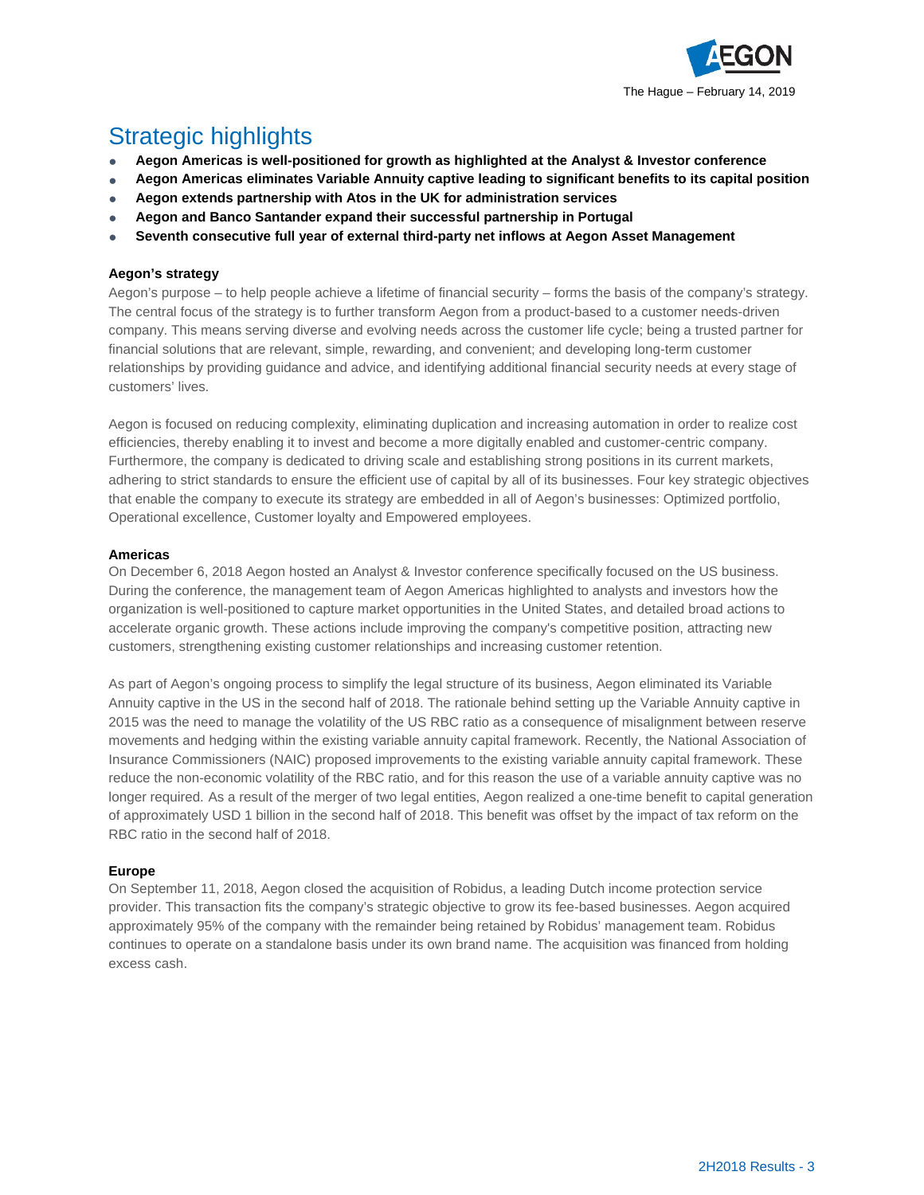

# Strategic highlights

- **Aegon Americas is well-positioned for growth as highlighted at the Analyst & Investor conference**
- **Aegon Americas eliminates Variable Annuity captive leading to significant benefits to its capital position**
- Aegon extends partnership with Atos in the UK for administration services
- **Aegon and Banco Santander expand their successful partnership in Portugal**
- Seventh consecutive full year of external third-party net inflows at Aegon Asset Management

#### **Aegon's strategy**

Aegon's purpose – to help people achieve a lifetime of financial security – forms the basis of the company's strategy. The central focus of the strategy is to further transform Aegon from a product-based to a customer needs-driven company. This means serving diverse and evolving needs across the customer life cycle; being a trusted partner for financial solutions that are relevant, simple, rewarding, and convenient; and developing long-term customer relationships by providing guidance and advice, and identifying additional financial security needs at every stage of customers' lives.

Aegon is focused on reducing complexity, eliminating duplication and increasing automation in order to realize cost efficiencies, thereby enabling it to invest and become a more digitally enabled and customer-centric company. Furthermore, the company is dedicated to driving scale and establishing strong positions in its current markets, adhering to strict standards to ensure the efficient use of capital by all of its businesses. Four key strategic objectives that enable the company to execute its strategy are embedded in all of Aegon's businesses: Optimized portfolio, Operational excellence, Customer loyalty and Empowered employees.

#### **Americas**

On December 6, 2018 Aegon hosted an Analyst & Investor conference specifically focused on the US business. During the conference, the management team of Aegon Americas highlighted to analysts and investors how the organization is well-positioned to capture market opportunities in the United States, and detailed broad actions to accelerate organic growth. These actions include improving the company's competitive position, attracting new customers, strengthening existing customer relationships and increasing customer retention.

As part of Aegon's ongoing process to simplify the legal structure of its business, Aegon eliminated its Variable Annuity captive in the US in the second half of 2018. The rationale behind setting up the Variable Annuity captive in 2015 was the need to manage the volatility of the US RBC ratio as a consequence of misalignment between reserve movements and hedging within the existing variable annuity capital framework. Recently, the National Association of Insurance Commissioners (NAIC) proposed improvements to the existing variable annuity capital framework. These reduce the non-economic volatility of the RBC ratio, and for this reason the use of a variable annuity captive was no longer required. As a result of the merger of two legal entities, Aegon realized a one-time benefit to capital generation of approximately USD 1 billion in the second half of 2018. This benefit was offset by the impact of tax reform on the RBC ratio in the second half of 2018.

#### **Europe**

On September 11, 2018, Aegon closed the acquisition of Robidus, a leading Dutch income protection service provider. This transaction fits the company's strategic objective to grow its fee-based businesses. Aegon acquired approximately 95% of the company with the remainder being retained by Robidus' management team. Robidus continues to operate on a standalone basis under its own brand name. The acquisition was financed from holding excess cash.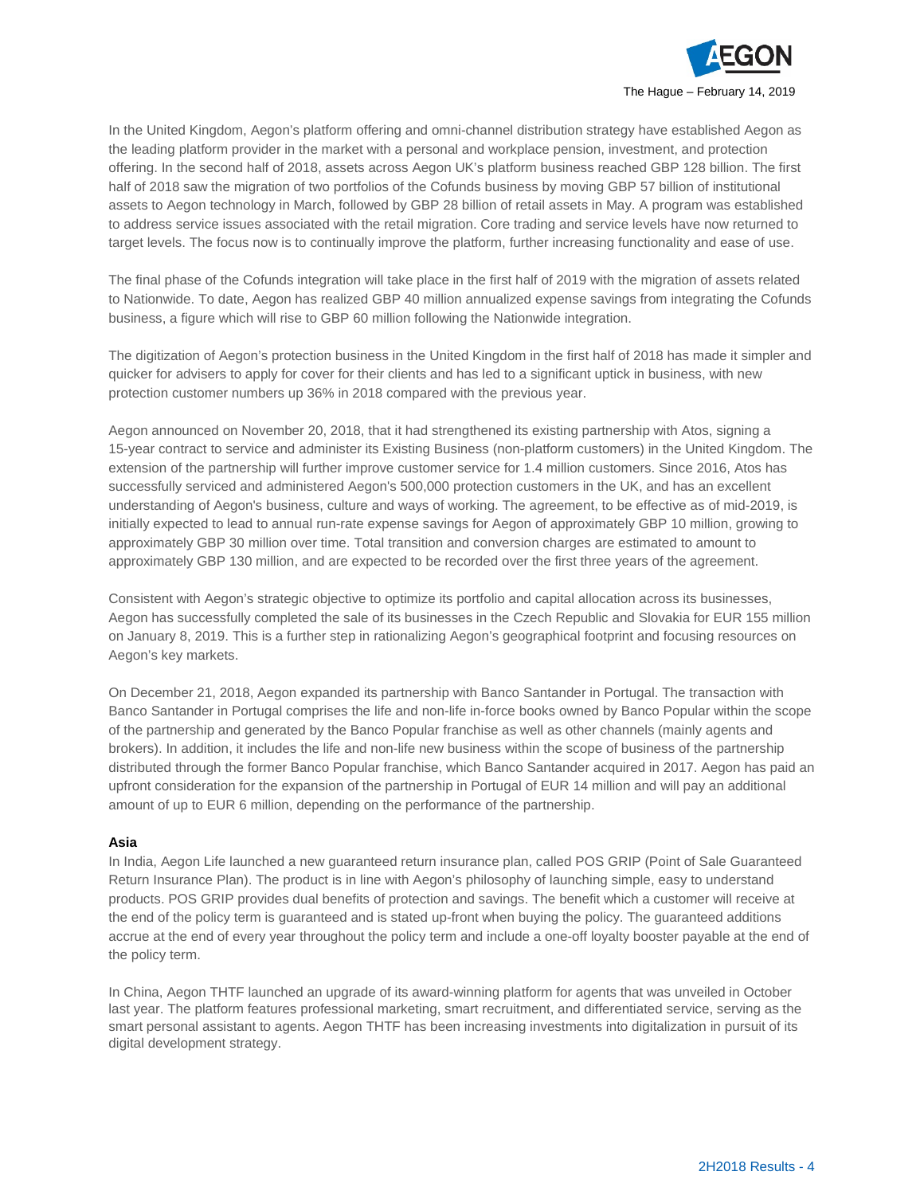

In the United Kingdom, Aegon's platform offering and omni-channel distribution strategy have established Aegon as the leading platform provider in the market with a personal and workplace pension, investment, and protection offering. In the second half of 2018, assets across Aegon UK's platform business reached GBP 128 billion. The first half of 2018 saw the migration of two portfolios of the Cofunds business by moving GBP 57 billion of institutional assets to Aegon technology in March, followed by GBP 28 billion of retail assets in May. A program was established to address service issues associated with the retail migration. Core trading and service levels have now returned to target levels. The focus now is to continually improve the platform, further increasing functionality and ease of use.

The final phase of the Cofunds integration will take place in the first half of 2019 with the migration of assets related to Nationwide. To date, Aegon has realized GBP 40 million annualized expense savings from integrating the Cofunds business, a figure which will rise to GBP 60 million following the Nationwide integration.

The digitization of Aegon's protection business in the United Kingdom in the first half of 2018 has made it simpler and quicker for advisers to apply for cover for their clients and has led to a significant uptick in business, with new protection customer numbers up 36% in 2018 compared with the previous year.

Aegon announced on November 20, 2018, that it had strengthened its existing partnership with Atos, signing a 15-year contract to service and administer its Existing Business (non-platform customers) in the United Kingdom. The extension of the partnership will further improve customer service for 1.4 million customers. Since 2016, Atos has successfully serviced and administered Aegon's 500,000 protection customers in the UK, and has an excellent understanding of Aegon's business, culture and ways of working. The agreement, to be effective as of mid-2019, is initially expected to lead to annual run-rate expense savings for Aegon of approximately GBP 10 million, growing to approximately GBP 30 million over time. Total transition and conversion charges are estimated to amount to approximately GBP 130 million, and are expected to be recorded over the first three years of the agreement.

Consistent with Aegon's strategic objective to optimize its portfolio and capital allocation across its businesses, Aegon has successfully completed the sale of its businesses in the Czech Republic and Slovakia for EUR 155 million on January 8, 2019. This is a further step in rationalizing Aegon's geographical footprint and focusing resources on Aegon's key markets.

On December 21, 2018, Aegon expanded its partnership with Banco Santander in Portugal. The transaction with Banco Santander in Portugal comprises the life and non-life in-force books owned by Banco Popular within the scope of the partnership and generated by the Banco Popular franchise as well as other channels (mainly agents and brokers). In addition, it includes the life and non-life new business within the scope of business of the partnership distributed through the former Banco Popular franchise, which Banco Santander acquired in 2017. Aegon has paid an upfront consideration for the expansion of the partnership in Portugal of EUR 14 million and will pay an additional amount of up to EUR 6 million, depending on the performance of the partnership.

#### **Asia**

In India, Aegon Life launched a new guaranteed return insurance plan, called POS GRIP (Point of Sale Guaranteed Return Insurance Plan). The product is in line with Aegon's philosophy of launching simple, easy to understand products. POS GRIP provides dual benefits of protection and savings. The benefit which a customer will receive at the end of the policy term is guaranteed and is stated up-front when buying the policy. The guaranteed additions accrue at the end of every year throughout the policy term and include a one-off loyalty booster payable at the end of the policy term.

In China, Aegon THTF launched an upgrade of its award-winning platform for agents that was unveiled in October last year. The platform features professional marketing, smart recruitment, and differentiated service, serving as the smart personal assistant to agents. Aegon THTF has been increasing investments into digitalization in pursuit of its digital development strategy.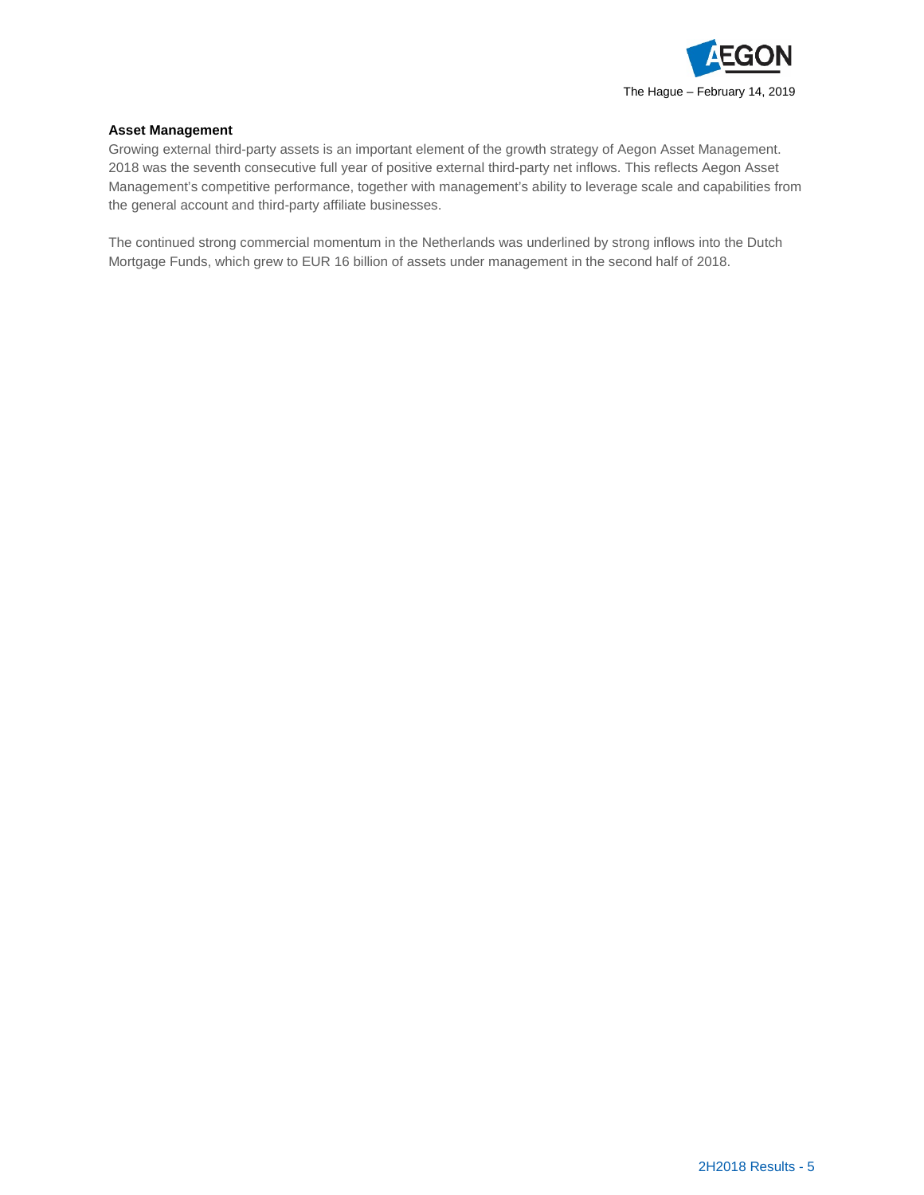

#### **Asset Management**

Growing external third-party assets is an important element of the growth strategy of Aegon Asset Management. 2018 was the seventh consecutive full year of positive external third-party net inflows. This reflects Aegon Asset Management's competitive performance, together with management's ability to leverage scale and capabilities from the general account and third-party affiliate businesses.

The continued strong commercial momentum in the Netherlands was underlined by strong inflows into the Dutch Mortgage Funds, which grew to EUR 16 billion of assets under management in the second half of 2018.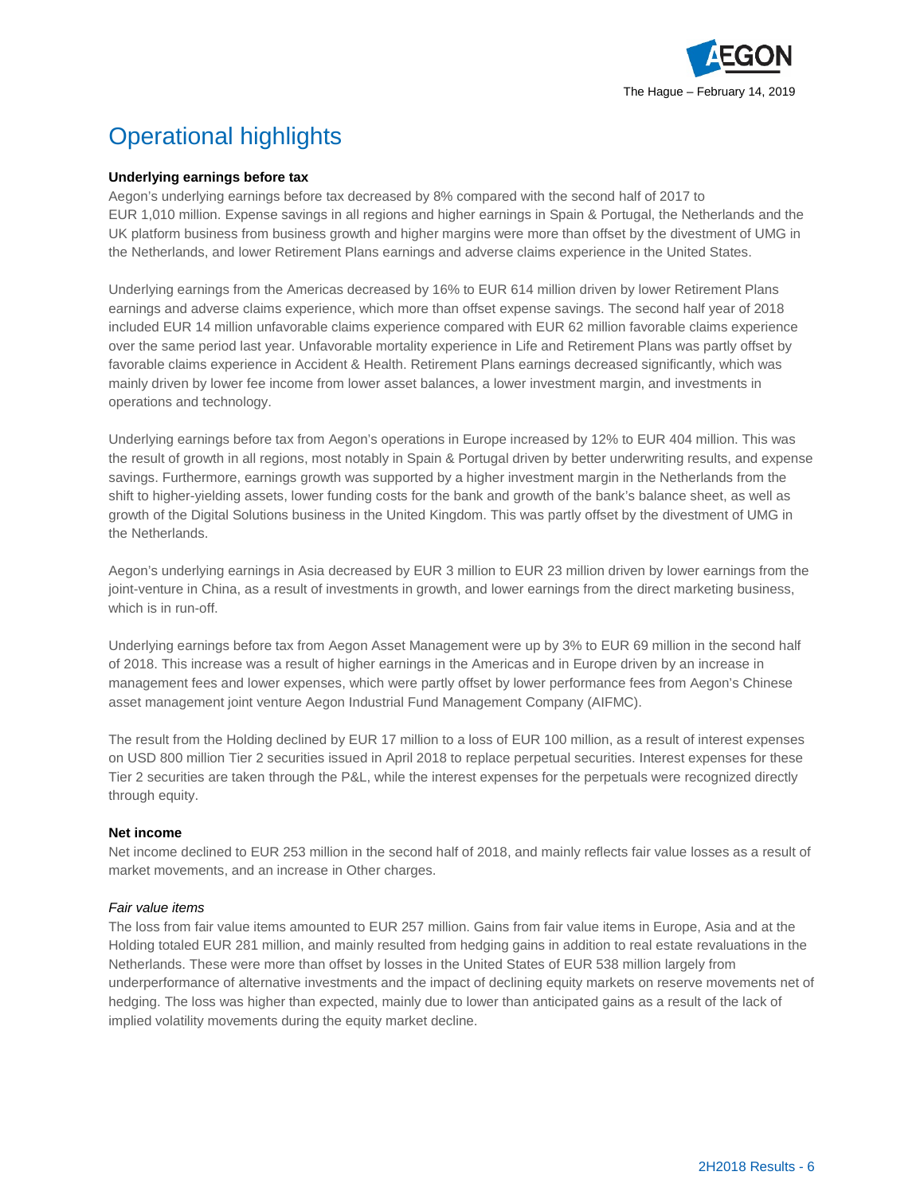

# Operational highlights

#### **Underlying earnings before tax**

Aegon's underlying earnings before tax decreased by 8% compared with the second half of 2017 to EUR 1,010 million. Expense savings in all regions and higher earnings in Spain & Portugal, the Netherlands and the UK platform business from business growth and higher margins were more than offset by the divestment of UMG in the Netherlands, and lower Retirement Plans earnings and adverse claims experience in the United States.

Underlying earnings from the Americas decreased by 16% to EUR 614 million driven by lower Retirement Plans earnings and adverse claims experience, which more than offset expense savings. The second half year of 2018 included EUR 14 million unfavorable claims experience compared with EUR 62 million favorable claims experience over the same period last year. Unfavorable mortality experience in Life and Retirement Plans was partly offset by favorable claims experience in Accident & Health. Retirement Plans earnings decreased significantly, which was mainly driven by lower fee income from lower asset balances, a lower investment margin, and investments in operations and technology.

Underlying earnings before tax from Aegon's operations in Europe increased by 12% to EUR 404 million. This was the result of growth in all regions, most notably in Spain & Portugal driven by better underwriting results, and expense savings. Furthermore, earnings growth was supported by a higher investment margin in the Netherlands from the shift to higher-yielding assets, lower funding costs for the bank and growth of the bank's balance sheet, as well as growth of the Digital Solutions business in the United Kingdom. This was partly offset by the divestment of UMG in the Netherlands.

Aegon's underlying earnings in Asia decreased by EUR 3 million to EUR 23 million driven by lower earnings from the joint-venture in China, as a result of investments in growth, and lower earnings from the direct marketing business, which is in run-off.

Underlying earnings before tax from Aegon Asset Management were up by 3% to EUR 69 million in the second half of 2018. This increase was a result of higher earnings in the Americas and in Europe driven by an increase in management fees and lower expenses, which were partly offset by lower performance fees from Aegon's Chinese asset management joint venture Aegon Industrial Fund Management Company (AIFMC).

The result from the Holding declined by EUR 17 million to a loss of EUR 100 million, as a result of interest expenses on USD 800 million Tier 2 securities issued in April 2018 to replace perpetual securities. Interest expenses for these Tier 2 securities are taken through the P&L, while the interest expenses for the perpetuals were recognized directly through equity.

#### **Net income**

Net income declined to EUR 253 million in the second half of 2018, and mainly reflects fair value losses as a result of market movements, and an increase in Other charges.

#### *Fair value items*

The loss from fair value items amounted to EUR 257 million. Gains from fair value items in Europe, Asia and at the Holding totaled EUR 281 million, and mainly resulted from hedging gains in addition to real estate revaluations in the Netherlands. These were more than offset by losses in the United States of EUR 538 million largely from underperformance of alternative investments and the impact of declining equity markets on reserve movements net of hedging. The loss was higher than expected, mainly due to lower than anticipated gains as a result of the lack of implied volatility movements during the equity market decline.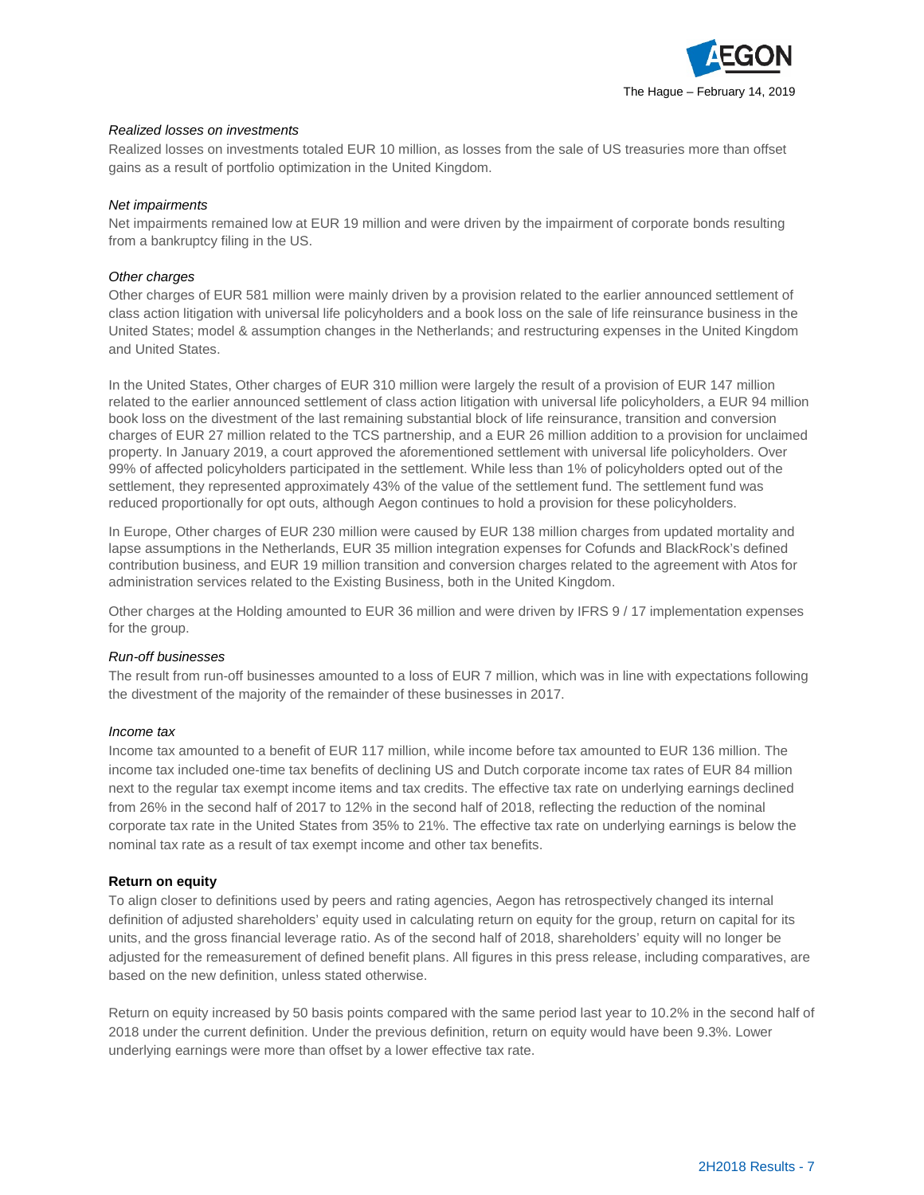

#### *Realized losses on investments*

Realized losses on investments totaled EUR 10 million, as losses from the sale of US treasuries more than offset gains as a result of portfolio optimization in the United Kingdom.

#### *Net impairments*

Net impairments remained low at EUR 19 million and were driven by the impairment of corporate bonds resulting from a bankruptcy filing in the US.

#### *Other charges*

Other charges of EUR 581 million were mainly driven by a provision related to the earlier announced settlement of class action litigation with universal life policyholders and a book loss on the sale of life reinsurance business in the United States; model & assumption changes in the Netherlands; and restructuring expenses in the United Kingdom and United States.

In the United States, Other charges of EUR 310 million were largely the result of a provision of EUR 147 million related to the earlier announced settlement of class action litigation with universal life policyholders, a EUR 94 million book loss on the divestment of the last remaining substantial block of life reinsurance, transition and conversion charges of EUR 27 million related to the TCS partnership, and a EUR 26 million addition to a provision for unclaimed property. In January 2019, a court approved the aforementioned settlement with universal life policyholders. Over 99% of affected policyholders participated in the settlement. While less than 1% of policyholders opted out of the settlement, they represented approximately 43% of the value of the settlement fund. The settlement fund was reduced proportionally for opt outs, although Aegon continues to hold a provision for these policyholders.

In Europe, Other charges of EUR 230 million were caused by EUR 138 million charges from updated mortality and lapse assumptions in the Netherlands, EUR 35 million integration expenses for Cofunds and BlackRock's defined contribution business, and EUR 19 million transition and conversion charges related to the agreement with Atos for administration services related to the Existing Business, both in the United Kingdom.

Other charges at the Holding amounted to EUR 36 million and were driven by IFRS 9 / 17 implementation expenses for the group.

#### *Run-off businesses*

The result from run-off businesses amounted to a loss of EUR 7 million, which was in line with expectations following the divestment of the majority of the remainder of these businesses in 2017.

#### *Income tax*

Income tax amounted to a benefit of EUR 117 million, while income before tax amounted to EUR 136 million. The income tax included one-time tax benefits of declining US and Dutch corporate income tax rates of EUR 84 million next to the regular tax exempt income items and tax credits. The effective tax rate on underlying earnings declined from 26% in the second half of 2017 to 12% in the second half of 2018, reflecting the reduction of the nominal corporate tax rate in the United States from 35% to 21%. The effective tax rate on underlying earnings is below the nominal tax rate as a result of tax exempt income and other tax benefits.

### **Return on equity**

To align closer to definitions used by peers and rating agencies, Aegon has retrospectively changed its internal definition of adjusted shareholders' equity used in calculating return on equity for the group, return on capital for its units, and the gross financial leverage ratio. As of the second half of 2018, shareholders' equity will no longer be adjusted for the remeasurement of defined benefit plans. All figures in this press release, including comparatives, are based on the new definition, unless stated otherwise.

Return on equity increased by 50 basis points compared with the same period last year to 10.2% in the second half of 2018 under the current definition. Under the previous definition, return on equity would have been 9.3%. Lower underlying earnings were more than offset by a lower effective tax rate.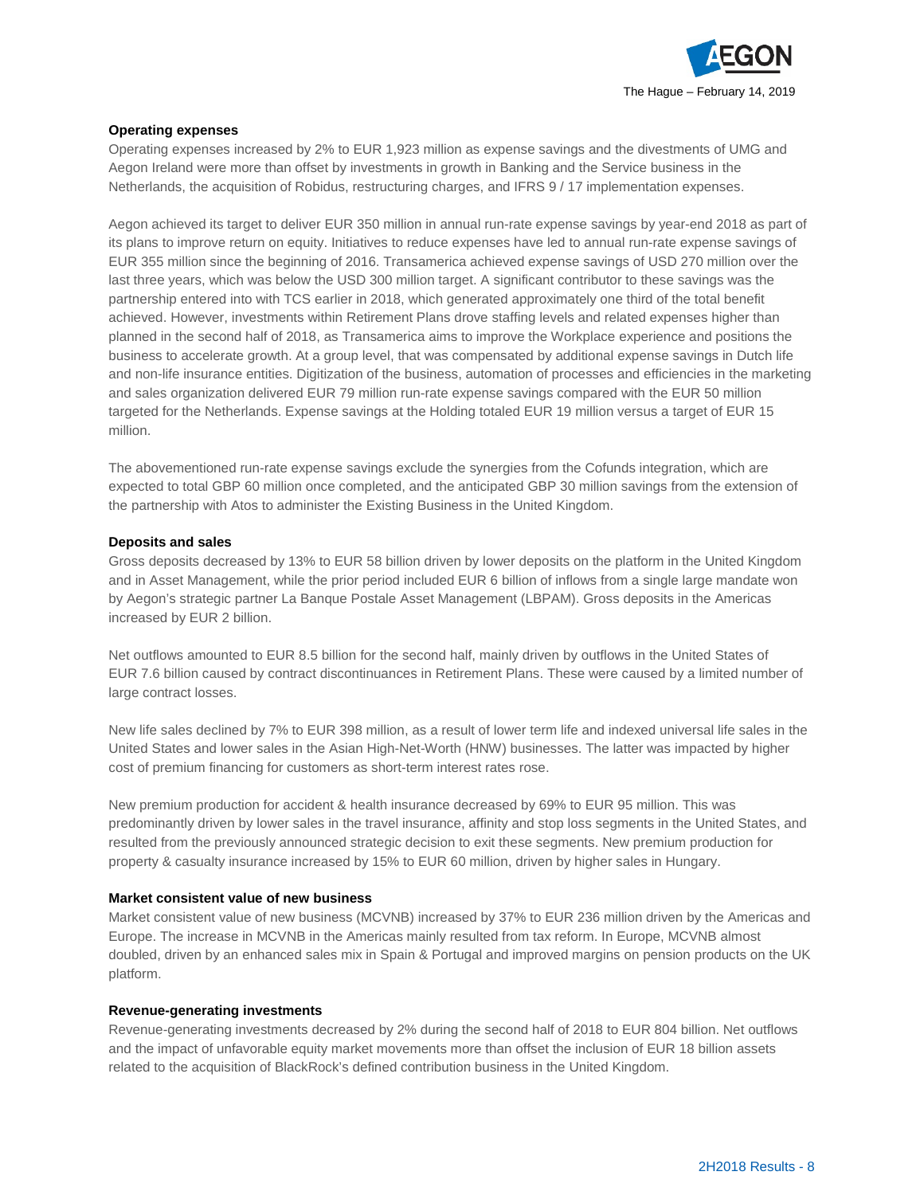

#### **Operating expenses**

Operating expenses increased by 2% to EUR 1,923 million as expense savings and the divestments of UMG and Aegon Ireland were more than offset by investments in growth in Banking and the Service business in the Netherlands, the acquisition of Robidus, restructuring charges, and IFRS 9 / 17 implementation expenses.

Aegon achieved its target to deliver EUR 350 million in annual run-rate expense savings by year-end 2018 as part of its plans to improve return on equity. Initiatives to reduce expenses have led to annual run-rate expense savings of EUR 355 million since the beginning of 2016. Transamerica achieved expense savings of USD 270 million over the last three years, which was below the USD 300 million target. A significant contributor to these savings was the partnership entered into with TCS earlier in 2018, which generated approximately one third of the total benefit achieved. However, investments within Retirement Plans drove staffing levels and related expenses higher than planned in the second half of 2018, as Transamerica aims to improve the Workplace experience and positions the business to accelerate growth. At a group level, that was compensated by additional expense savings in Dutch life and non-life insurance entities. Digitization of the business, automation of processes and efficiencies in the marketing and sales organization delivered EUR 79 million run-rate expense savings compared with the EUR 50 million targeted for the Netherlands. Expense savings at the Holding totaled EUR 19 million versus a target of EUR 15 million.

The abovementioned run-rate expense savings exclude the synergies from the Cofunds integration, which are expected to total GBP 60 million once completed, and the anticipated GBP 30 million savings from the extension of the partnership with Atos to administer the Existing Business in the United Kingdom.

#### **Deposits and sales**

Gross deposits decreased by 13% to EUR 58 billion driven by lower deposits on the platform in the United Kingdom and in Asset Management, while the prior period included EUR 6 billion of inflows from a single large mandate won by Aegon's strategic partner La Banque Postale Asset Management (LBPAM). Gross deposits in the Americas increased by EUR 2 billion.

Net outflows amounted to EUR 8.5 billion for the second half, mainly driven by outflows in the United States of EUR 7.6 billion caused by contract discontinuances in Retirement Plans. These were caused by a limited number of large contract losses.

New life sales declined by 7% to EUR 398 million, as a result of lower term life and indexed universal life sales in the United States and lower sales in the Asian High-Net-Worth (HNW) businesses. The latter was impacted by higher cost of premium financing for customers as short-term interest rates rose.

New premium production for accident & health insurance decreased by 69% to EUR 95 million. This was predominantly driven by lower sales in the travel insurance, affinity and stop loss segments in the United States, and resulted from the previously announced strategic decision to exit these segments. New premium production for property & casualty insurance increased by 15% to EUR 60 million, driven by higher sales in Hungary.

#### **Market consistent value of new business**

Market consistent value of new business (MCVNB) increased by 37% to EUR 236 million driven by the Americas and Europe. The increase in MCVNB in the Americas mainly resulted from tax reform. In Europe, MCVNB almost doubled, driven by an enhanced sales mix in Spain & Portugal and improved margins on pension products on the UK platform.

#### **Revenue-generating investments**

Revenue-generating investments decreased by 2% during the second half of 2018 to EUR 804 billion. Net outflows and the impact of unfavorable equity market movements more than offset the inclusion of EUR 18 billion assets related to the acquisition of BlackRock's defined contribution business in the United Kingdom.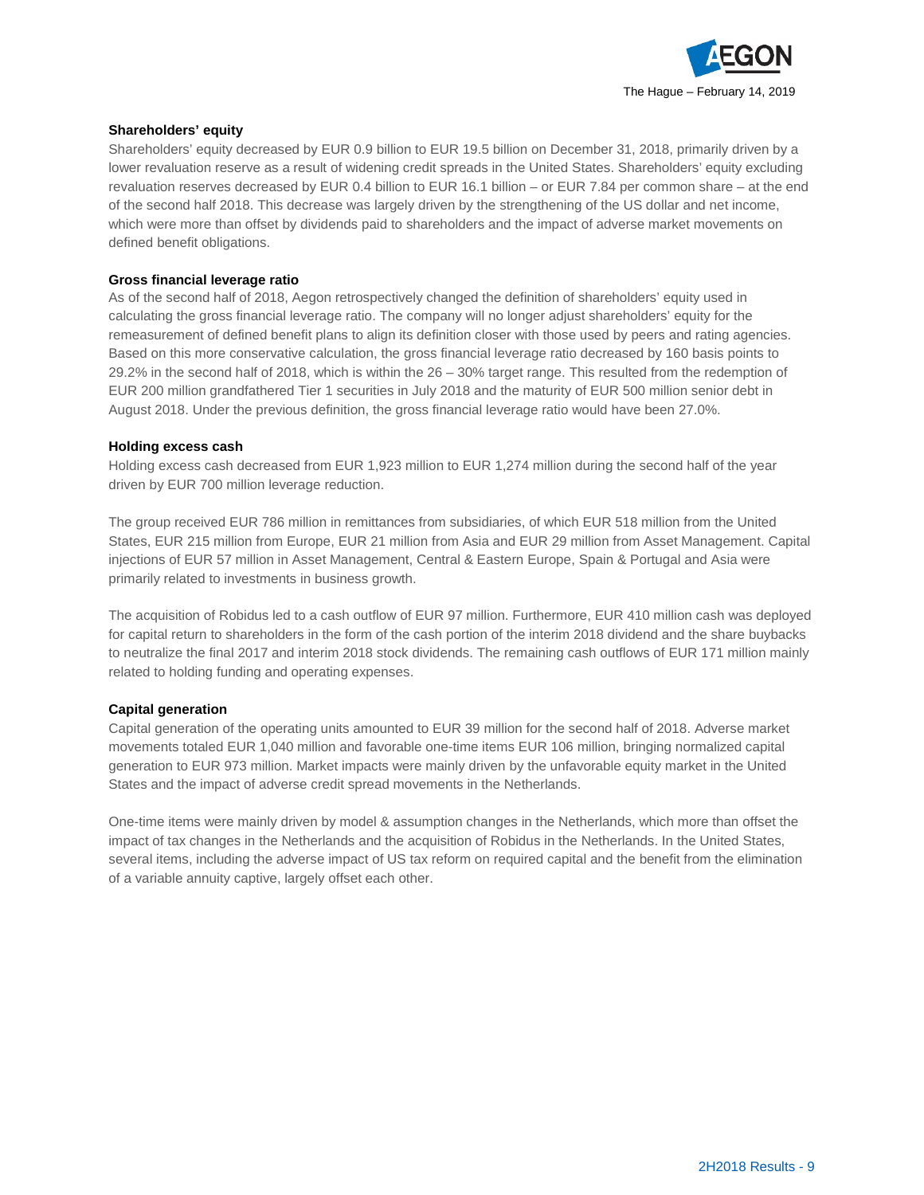

#### **Shareholders' equity**

Shareholders' equity decreased by EUR 0.9 billion to EUR 19.5 billion on December 31, 2018, primarily driven by a lower revaluation reserve as a result of widening credit spreads in the United States. Shareholders' equity excluding revaluation reserves decreased by EUR 0.4 billion to EUR 16.1 billion – or EUR 7.84 per common share – at the end of the second half 2018. This decrease was largely driven by the strengthening of the US dollar and net income, which were more than offset by dividends paid to shareholders and the impact of adverse market movements on defined benefit obligations.

#### **Gross financial leverage ratio**

As of the second half of 2018, Aegon retrospectively changed the definition of shareholders' equity used in calculating the gross financial leverage ratio. The company will no longer adjust shareholders' equity for the remeasurement of defined benefit plans to align its definition closer with those used by peers and rating agencies. Based on this more conservative calculation, the gross financial leverage ratio decreased by 160 basis points to 29.2% in the second half of 2018, which is within the 26 – 30% target range. This resulted from the redemption of EUR 200 million grandfathered Tier 1 securities in July 2018 and the maturity of EUR 500 million senior debt in August 2018. Under the previous definition, the gross financial leverage ratio would have been 27.0%.

#### **Holding excess cash**

Holding excess cash decreased from EUR 1,923 million to EUR 1,274 million during the second half of the year driven by EUR 700 million leverage reduction.

The group received EUR 786 million in remittances from subsidiaries, of which EUR 518 million from the United States, EUR 215 million from Europe, EUR 21 million from Asia and EUR 29 million from Asset Management. Capital injections of EUR 57 million in Asset Management, Central & Eastern Europe, Spain & Portugal and Asia were primarily related to investments in business growth.

The acquisition of Robidus led to a cash outflow of EUR 97 million. Furthermore, EUR 410 million cash was deployed for capital return to shareholders in the form of the cash portion of the interim 2018 dividend and the share buybacks to neutralize the final 2017 and interim 2018 stock dividends. The remaining cash outflows of EUR 171 million mainly related to holding funding and operating expenses.

### **Capital generation**

Capital generation of the operating units amounted to EUR 39 million for the second half of 2018. Adverse market movements totaled EUR 1,040 million and favorable one-time items EUR 106 million, bringing normalized capital generation to EUR 973 million. Market impacts were mainly driven by the unfavorable equity market in the United States and the impact of adverse credit spread movements in the Netherlands.

One-time items were mainly driven by model & assumption changes in the Netherlands, which more than offset the impact of tax changes in the Netherlands and the acquisition of Robidus in the Netherlands. In the United States, several items, including the adverse impact of US tax reform on required capital and the benefit from the elimination of a variable annuity captive, largely offset each other.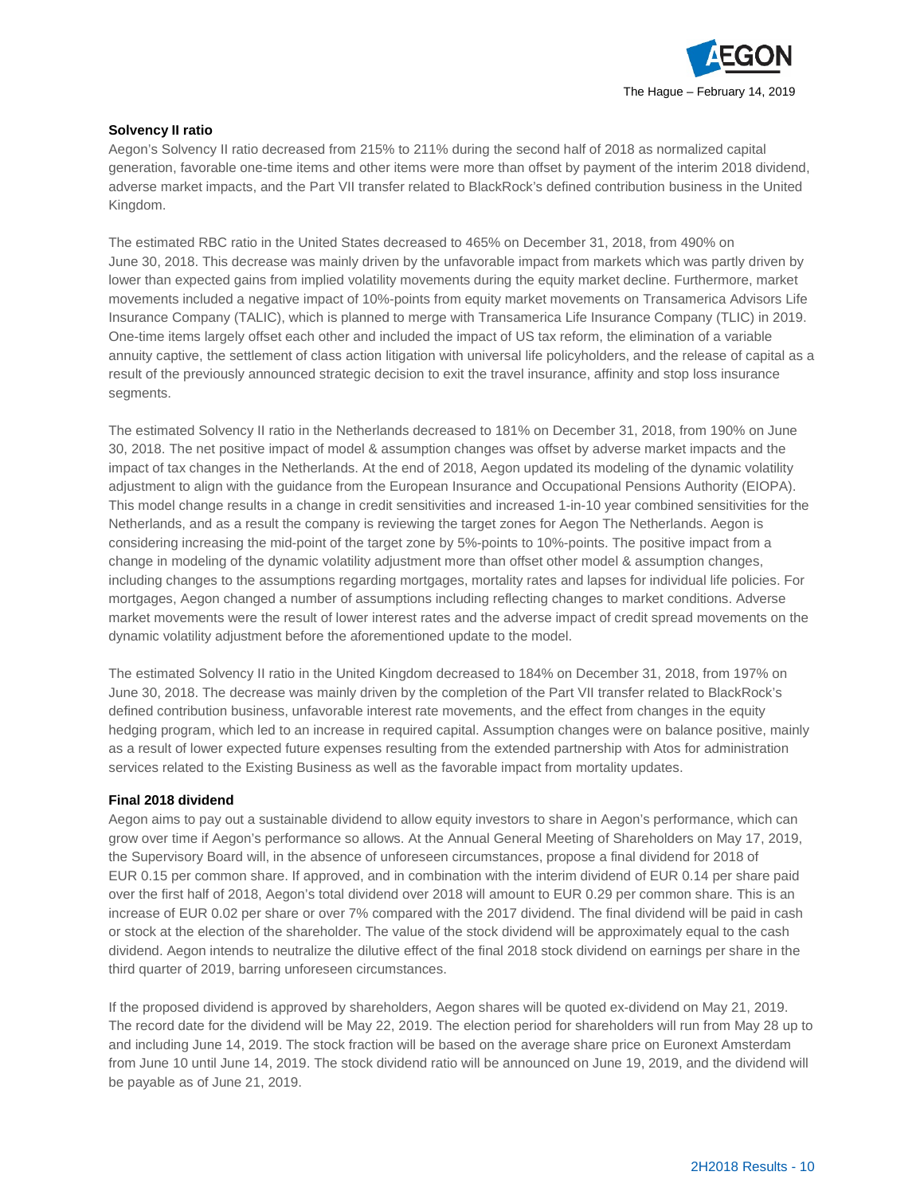

#### **Solvency II ratio**

Aegon's Solvency II ratio decreased from 215% to 211% during the second half of 2018 as normalized capital generation, favorable one-time items and other items were more than offset by payment of the interim 2018 dividend, adverse market impacts, and the Part VII transfer related to BlackRock's defined contribution business in the United Kingdom.

The estimated RBC ratio in the United States decreased to 465% on December 31, 2018, from 490% on June 30, 2018. This decrease was mainly driven by the unfavorable impact from markets which was partly driven by lower than expected gains from implied volatility movements during the equity market decline. Furthermore, market movements included a negative impact of 10%-points from equity market movements on Transamerica Advisors Life Insurance Company (TALIC), which is planned to merge with Transamerica Life Insurance Company (TLIC) in 2019. One-time items largely offset each other and included the impact of US tax reform, the elimination of a variable annuity captive, the settlement of class action litigation with universal life policyholders, and the release of capital as a result of the previously announced strategic decision to exit the travel insurance, affinity and stop loss insurance segments.

The estimated Solvency II ratio in the Netherlands decreased to 181% on December 31, 2018, from 190% on June 30, 2018. The net positive impact of model & assumption changes was offset by adverse market impacts and the impact of tax changes in the Netherlands. At the end of 2018, Aegon updated its modeling of the dynamic volatility adjustment to align with the guidance from the European Insurance and Occupational Pensions Authority (EIOPA). This model change results in a change in credit sensitivities and increased 1-in-10 year combined sensitivities for the Netherlands, and as a result the company is reviewing the target zones for Aegon The Netherlands. Aegon is considering increasing the mid-point of the target zone by 5%-points to 10%-points. The positive impact from a change in modeling of the dynamic volatility adjustment more than offset other model & assumption changes, including changes to the assumptions regarding mortgages, mortality rates and lapses for individual life policies. For mortgages, Aegon changed a number of assumptions including reflecting changes to market conditions. Adverse market movements were the result of lower interest rates and the adverse impact of credit spread movements on the dynamic volatility adjustment before the aforementioned update to the model.

The estimated Solvency II ratio in the United Kingdom decreased to 184% on December 31, 2018, from 197% on June 30, 2018. The decrease was mainly driven by the completion of the Part VII transfer related to BlackRock's defined contribution business, unfavorable interest rate movements, and the effect from changes in the equity hedging program, which led to an increase in required capital. Assumption changes were on balance positive, mainly as a result of lower expected future expenses resulting from the extended partnership with Atos for administration services related to the Existing Business as well as the favorable impact from mortality updates.

#### **Final 2018 dividend**

Aegon aims to pay out a sustainable dividend to allow equity investors to share in Aegon's performance, which can grow over time if Aegon's performance so allows. At the Annual General Meeting of Shareholders on May 17, 2019, the Supervisory Board will, in the absence of unforeseen circumstances, propose a final dividend for 2018 of EUR 0.15 per common share. If approved, and in combination with the interim dividend of EUR 0.14 per share paid over the first half of 2018, Aegon's total dividend over 2018 will amount to EUR 0.29 per common share. This is an increase of EUR 0.02 per share or over 7% compared with the 2017 dividend. The final dividend will be paid in cash or stock at the election of the shareholder. The value of the stock dividend will be approximately equal to the cash dividend. Aegon intends to neutralize the dilutive effect of the final 2018 stock dividend on earnings per share in the third quarter of 2019, barring unforeseen circumstances.

If the proposed dividend is approved by shareholders, Aegon shares will be quoted ex-dividend on May 21, 2019. The record date for the dividend will be May 22, 2019. The election period for shareholders will run from May 28 up to and including June 14, 2019. The stock fraction will be based on the average share price on Euronext Amsterdam from June 10 until June 14, 2019. The stock dividend ratio will be announced on June 19, 2019, and the dividend will be payable as of June 21, 2019.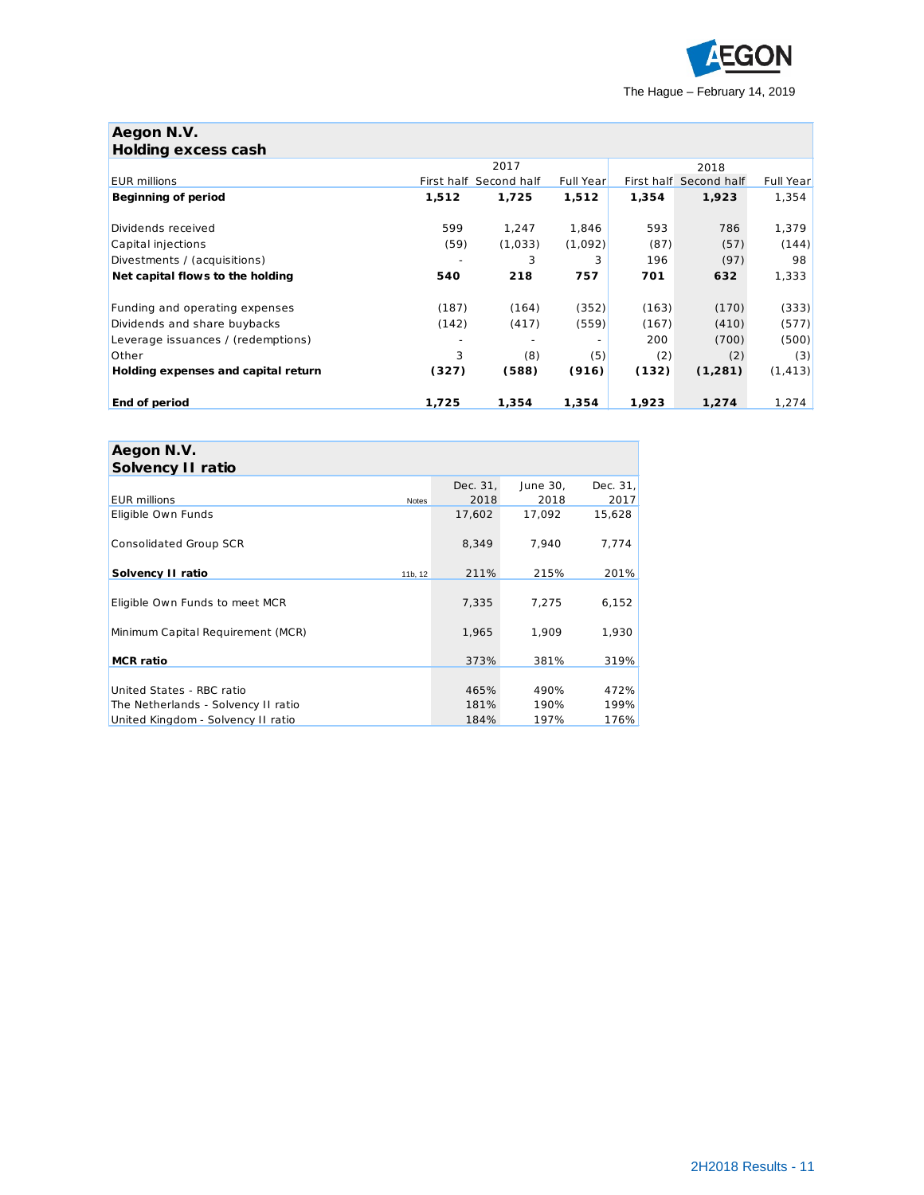

# **Aegon N.V.**

| Holding excess cash                 |            |             |                  |       |                        |                  |
|-------------------------------------|------------|-------------|------------------|-------|------------------------|------------------|
|                                     |            | 2017        |                  |       | 2018                   |                  |
| <b>EUR</b> millions                 | First half | Second half | <b>Full Year</b> |       | First half Second half | <b>Full Year</b> |
| <b>Beginning of period</b>          | 1,512      | 1,725       | 1,512            | 1,354 | 1,923                  | 1,354            |
|                                     |            |             |                  |       |                        |                  |
| Dividends received                  | 599        | 1,247       | 1,846            | 593   | 786                    | 1,379            |
| Capital injections                  | (59)       | (1,033)     | (1,092)          | (87)  | (57)                   | (144)            |
| Divestments / (acquisitions)        |            | 3           | 3                | 196   | (97)                   | 98               |
| Net capital flows to the holding    | 540        | 218         | 757              | 701   | 632                    | 1,333            |
| Funding and operating expenses      | (187)      | (164)       | (352)            | (163) | (170)                  | (333)            |
| Dividends and share buybacks        | (142)      | (417)       | (559)            | (167) | (410)                  | (577)            |
| Leverage issuances / (redemptions)  |            |             |                  | 200   | (700)                  | (500)            |
| Other                               | 3          | (8)         | (5)              | (2)   | (2)                    | (3)              |
| Holding expenses and capital return | (327)      | (588)       | (916)            | (132) | (1, 281)               | (1, 413)         |
| End of period                       | 1,725      | 1,354       | 1,354            | 1,923 | 1,274                  | 1,274            |

| Aegon N.V.                          |              |          |          |          |
|-------------------------------------|--------------|----------|----------|----------|
| Solvency II ratio                   |              |          |          |          |
|                                     |              | Dec. 31, | June 30, | Dec. 31, |
| <b>EUR</b> millions                 | <b>Notes</b> | 2018     | 2018     | 2017     |
| Eligible Own Funds                  |              | 17,602   | 17.092   | 15,628   |
|                                     |              |          |          |          |
| Consolidated Group SCR              |              | 8,349    | 7,940    | 7,774    |
| Solvency II ratio                   | 11b, 12      | 211%     | 215%     | 201%     |
|                                     |              |          |          |          |
| Eligible Own Funds to meet MCR      |              | 7,335    | 7,275    | 6,152    |
|                                     |              |          |          |          |
| Minimum Capital Requirement (MCR)   |              | 1,965    | 1.909    | 1,930    |
|                                     |              |          |          |          |
| <b>MCR</b> ratio                    |              | 373%     | 381%     | 319%     |
|                                     |              |          |          |          |
| United States - RBC ratio           |              | 465%     | 490%     | 472%     |
| The Netherlands - Solvency II ratio |              | 181%     | 190%     | 199%     |
| United Kingdom - Solvency II ratio  |              | 184%     | 197%     | 176%     |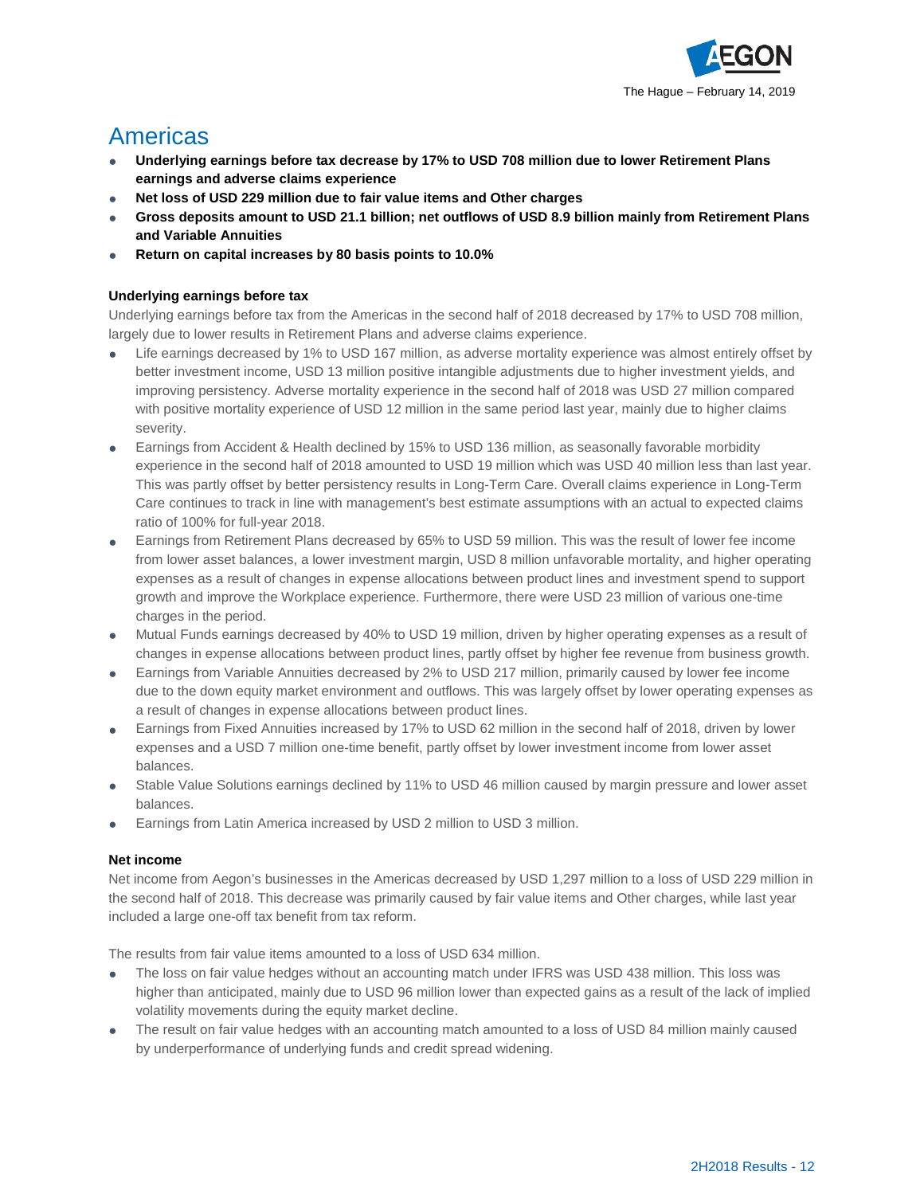

# Americas

- **Underlying earnings before tax decrease by 17% to USD 708 million due to lower Retirement Plans earnings and adverse claims experience**
- Net loss of USD 229 million due to fair value items and Other charges
- **Gross deposits amount to USD 21.1 billion; net outflows of USD 8.9 billion mainly from Retirement Plans and Variable Annuities**
- **Return on capital increases by 80 basis points to 10.0%**

## **Underlying earnings before tax**

Underlying earnings before tax from the Americas in the second half of 2018 decreased by 17% to USD 708 million, largely due to lower results in Retirement Plans and adverse claims experience.

- Life earnings decreased by 1% to USD 167 million, as adverse mortality experience was almost entirely offset by better investment income, USD 13 million positive intangible adjustments due to higher investment yields, and improving persistency. Adverse mortality experience in the second half of 2018 was USD 27 million compared with positive mortality experience of USD 12 million in the same period last year, mainly due to higher claims severity.
- Earnings from Accident & Health declined by 15% to USD 136 million, as seasonally favorable morbidity experience in the second half of 2018 amounted to USD 19 million which was USD 40 million less than last year. This was partly offset by better persistency results in Long-Term Care. Overall claims experience in Long-Term Care continues to track in line with management's best estimate assumptions with an actual to expected claims ratio of 100% for full-year 2018.
- Earnings from Retirement Plans decreased by 65% to USD 59 million. This was the result of lower fee income from lower asset balances, a lower investment margin, USD 8 million unfavorable mortality, and higher operating expenses as a result of changes in expense allocations between product lines and investment spend to support growth and improve the Workplace experience. Furthermore, there were USD 23 million of various one-time charges in the period.
- Mutual Funds earnings decreased by 40% to USD 19 million, driven by higher operating expenses as a result of changes in expense allocations between product lines, partly offset by higher fee revenue from business growth.
- Earnings from Variable Annuities decreased by 2% to USD 217 million, primarily caused by lower fee income due to the down equity market environment and outflows. This was largely offset by lower operating expenses as a result of changes in expense allocations between product lines.
- Earnings from Fixed Annuities increased by 17% to USD 62 million in the second half of 2018, driven by lower expenses and a USD 7 million one-time benefit, partly offset by lower investment income from lower asset balances.
- Stable Value Solutions earnings declined by 11% to USD 46 million caused by margin pressure and lower asset balances.
- Earnings from Latin America increased by USD 2 million to USD 3 million.

# **Net income**

Net income from Aegon's businesses in the Americas decreased by USD 1,297 million to a loss of USD 229 million in the second half of 2018. This decrease was primarily caused by fair value items and Other charges, while last year included a large one-off tax benefit from tax reform.

The results from fair value items amounted to a loss of USD 634 million.

- The loss on fair value hedges without an accounting match under IFRS was USD 438 million. This loss was higher than anticipated, mainly due to USD 96 million lower than expected gains as a result of the lack of implied volatility movements during the equity market decline.
- The result on fair value hedges with an accounting match amounted to a loss of USD 84 million mainly caused by underperformance of underlying funds and credit spread widening.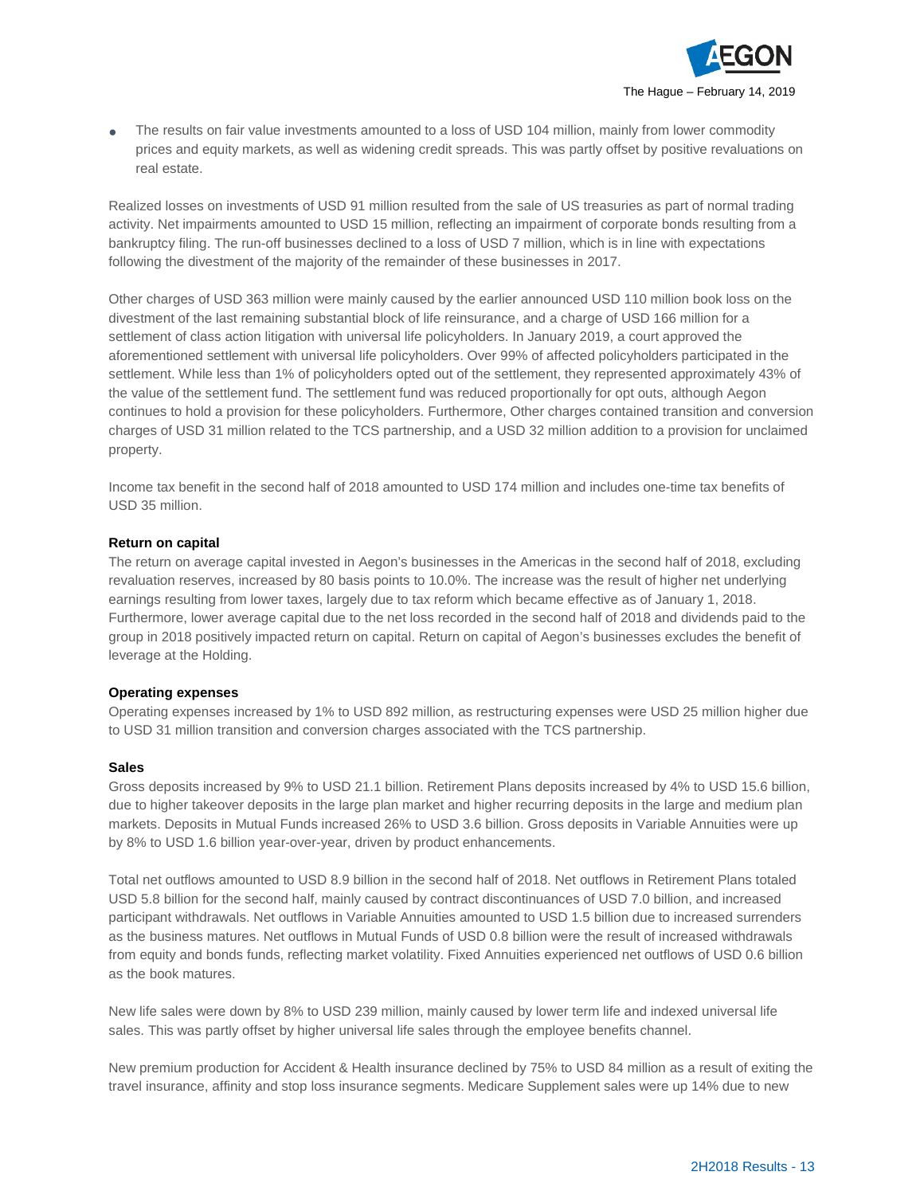

The results on fair value investments amounted to a loss of USD 104 million, mainly from lower commodity prices and equity markets, as well as widening credit spreads. This was partly offset by positive revaluations on real estate.

Realized losses on investments of USD 91 million resulted from the sale of US treasuries as part of normal trading activity. Net impairments amounted to USD 15 million, reflecting an impairment of corporate bonds resulting from a bankruptcy filing. The run-off businesses declined to a loss of USD 7 million, which is in line with expectations following the divestment of the majority of the remainder of these businesses in 2017.

Other charges of USD 363 million were mainly caused by the earlier announced USD 110 million book loss on the divestment of the last remaining substantial block of life reinsurance, and a charge of USD 166 million for a settlement of class action litigation with universal life policyholders. In January 2019, a court approved the aforementioned settlement with universal life policyholders. Over 99% of affected policyholders participated in the settlement. While less than 1% of policyholders opted out of the settlement, they represented approximately 43% of the value of the settlement fund. The settlement fund was reduced proportionally for opt outs, although Aegon continues to hold a provision for these policyholders. Furthermore, Other charges contained transition and conversion charges of USD 31 million related to the TCS partnership, and a USD 32 million addition to a provision for unclaimed property.

Income tax benefit in the second half of 2018 amounted to USD 174 million and includes one-time tax benefits of USD 35 million.

#### **Return on capital**

The return on average capital invested in Aegon's businesses in the Americas in the second half of 2018, excluding revaluation reserves, increased by 80 basis points to 10.0%. The increase was the result of higher net underlying earnings resulting from lower taxes, largely due to tax reform which became effective as of January 1, 2018. Furthermore, lower average capital due to the net loss recorded in the second half of 2018 and dividends paid to the group in 2018 positively impacted return on capital. Return on capital of Aegon's businesses excludes the benefit of leverage at the Holding.

#### **Operating expenses**

Operating expenses increased by 1% to USD 892 million, as restructuring expenses were USD 25 million higher due to USD 31 million transition and conversion charges associated with the TCS partnership.

#### **Sales**

Gross deposits increased by 9% to USD 21.1 billion. Retirement Plans deposits increased by 4% to USD 15.6 billion, due to higher takeover deposits in the large plan market and higher recurring deposits in the large and medium plan markets. Deposits in Mutual Funds increased 26% to USD 3.6 billion. Gross deposits in Variable Annuities were up by 8% to USD 1.6 billion year-over-year, driven by product enhancements.

Total net outflows amounted to USD 8.9 billion in the second half of 2018. Net outflows in Retirement Plans totaled USD 5.8 billion for the second half, mainly caused by contract discontinuances of USD 7.0 billion, and increased participant withdrawals. Net outflows in Variable Annuities amounted to USD 1.5 billion due to increased surrenders as the business matures. Net outflows in Mutual Funds of USD 0.8 billion were the result of increased withdrawals from equity and bonds funds, reflecting market volatility. Fixed Annuities experienced net outflows of USD 0.6 billion as the book matures.

New life sales were down by 8% to USD 239 million, mainly caused by lower term life and indexed universal life sales. This was partly offset by higher universal life sales through the employee benefits channel.

New premium production for Accident & Health insurance declined by 75% to USD 84 million as a result of exiting the travel insurance, affinity and stop loss insurance segments. Medicare Supplement sales were up 14% due to new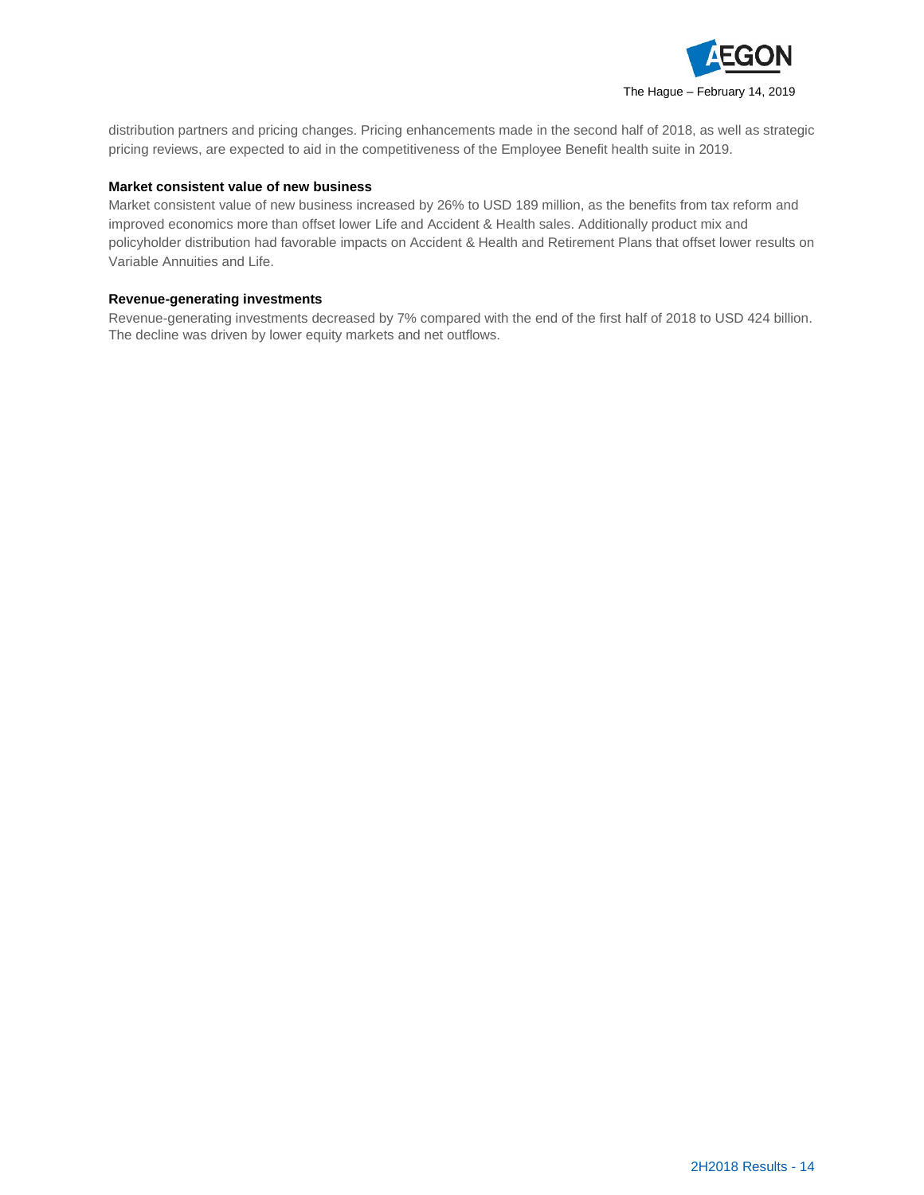

distribution partners and pricing changes. Pricing enhancements made in the second half of 2018, as well as strategic pricing reviews, are expected to aid in the competitiveness of the Employee Benefit health suite in 2019.

#### **Market consistent value of new business**

Market consistent value of new business increased by 26% to USD 189 million, as the benefits from tax reform and improved economics more than offset lower Life and Accident & Health sales. Additionally product mix and policyholder distribution had favorable impacts on Accident & Health and Retirement Plans that offset lower results on Variable Annuities and Life.

#### **Revenue-generating investments**

Revenue-generating investments decreased by 7% compared with the end of the first half of 2018 to USD 424 billion. The decline was driven by lower equity markets and net outflows.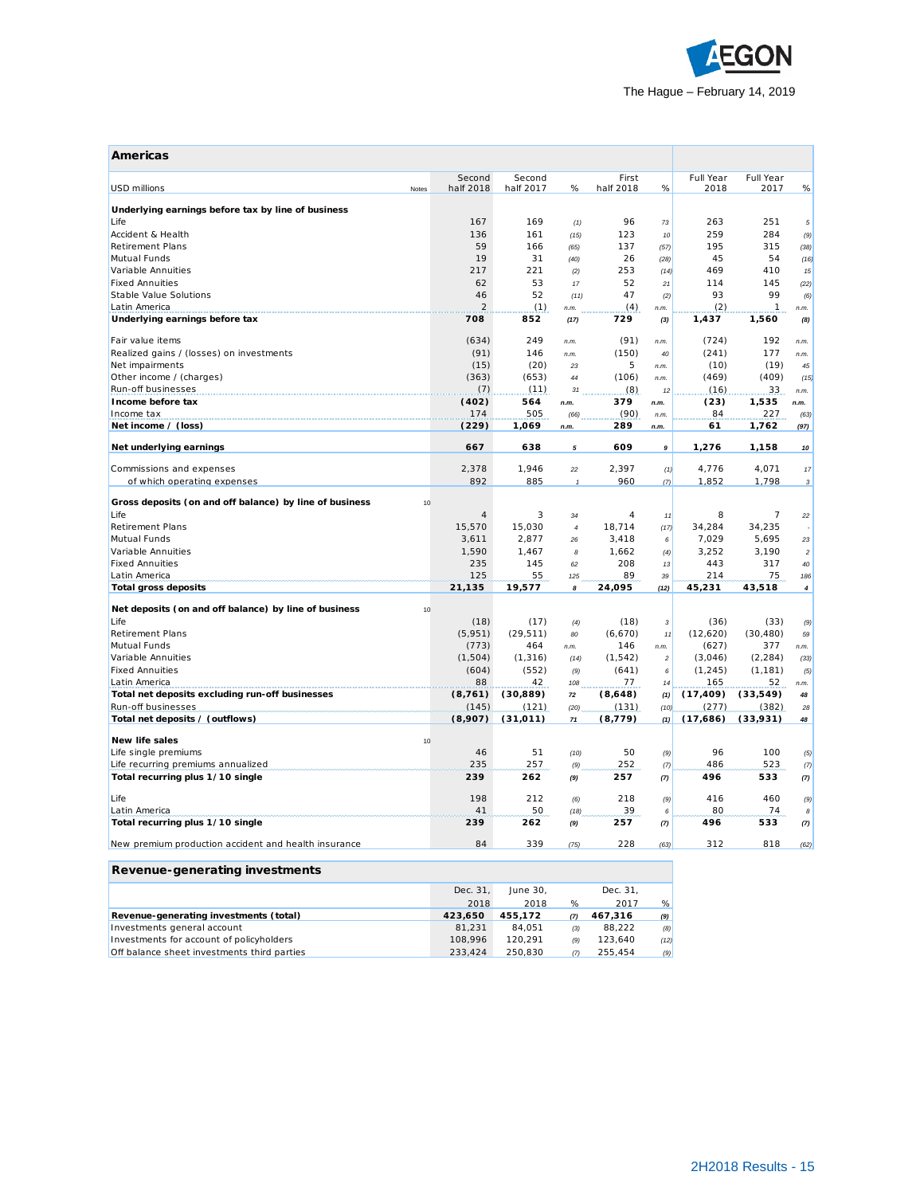

| <b>Full Year</b><br><b>Full Year</b><br>Second<br>Second<br>First<br><b>USD millions</b><br>half 2018<br>half 2017<br>$\%$<br>half 2018<br>%<br>2018<br>2017<br>%<br>Notes<br>Underlying earnings before tax by line of business<br>167<br>169<br>96<br>263<br>251<br>Life<br>(1)<br>73<br>5<br>136<br>161<br>259<br>284<br>Accident & Health<br>123<br>(15)<br>10<br>(9)<br>59<br>195<br><b>Retirement Plans</b><br>166<br>137<br>315<br>(65)<br>(57)<br>(38)<br>19<br>Mutual Funds<br>31<br>26<br>45<br>54<br>(40)<br>(28)<br>Variable Annuities<br>217<br>221<br>253<br>469<br>410<br>(2)<br>(14)<br>15<br>53<br><b>Fixed Annuities</b><br>62<br>52<br>114<br>145<br>17<br>21<br>(22)<br>52<br>93<br>99<br>Stable Value Solutions<br>46<br>47<br>(11)<br>(2)<br>(6)<br>(2)<br>Latin America<br>$\overline{2}$<br>(1)<br>(4)<br>$\mathbf{1}$<br>n.m.<br>n.m.<br>n.m.<br>852<br>Underlying earnings before tax<br>708<br>729<br>1,437<br>1,560<br>(17)<br>(3)<br>(8)<br>249<br>(634)<br>(91)<br>(724)<br>192<br>Fair value items<br>n.m.<br>n.m.<br>n.m.<br>(91)<br>Realized gains / (losses) on investments<br>146<br>(150)<br>(241)<br>177<br>n.m.<br>40<br>n.m.<br>Net impairments<br>(15)<br>(20)<br>5<br>(10)<br>(19)<br>45<br>23<br>n.m.<br>Other income / (charges)<br>(363)<br>(653)<br>(106)<br>(469)<br>(409)<br>44<br>(15)<br>n.m.<br>Run-off businesses<br>(7)<br>33<br>(11)<br>(8)<br>(16)<br>12<br>n.m.<br>31<br>Income before tax<br>(402)<br>564<br>379<br>1,535<br>(23)<br>n.m.<br>n.m.<br>n.m.<br>174<br>505<br>(90)<br>227<br>Income tax<br>84<br>(63)<br>(66)<br>n.m.<br>(229)<br>1,069<br>289<br>1,762<br>Net income / (loss)<br>61<br>n.m.<br>n.m.<br>(97)<br>609<br>Net underlying earnings<br>667<br>638<br>1,276<br>1,158<br>5<br>9<br>10<br>1,946<br>Commissions and expenses<br>2,378<br>2,397<br>4,071<br>22<br>(1)<br>4,776<br>17<br>892<br>885<br>960<br>of which operating expenses<br>1,852<br>1,798<br>$\mathbf{1}$<br>(7)<br>$\boldsymbol{\mathsf{3}}$<br>Gross deposits (on and off balance) by line of business<br>10<br>3<br>8<br>$\overline{7}$<br>Life<br>$\overline{4}$<br>34<br>4<br>22<br>11<br><b>Retirement Plans</b><br>15.570<br>15.030<br>18.714<br>34,284<br>34,235<br>$\overline{4}$<br>(17)<br>Mutual Funds<br>3,611<br>2,877<br>3.418<br>7,029<br>5,695<br>6<br>23<br>26<br>Variable Annuities<br>1,590<br>1,467<br>3,252<br>3,190<br>1,662<br>$\overline{c}$<br>8<br>(4)<br><b>Fixed Annuities</b><br>235<br>145<br>208<br>443<br>317<br>40<br>62<br>13<br>75<br>125<br>89<br>214<br>Latin America<br>55<br>125<br>39<br>186<br>24,095<br>43,518<br>Total gross deposits<br>21,135<br>19,577<br>(12)<br>45,231<br>$\overline{4}$<br>8<br>Net deposits (on and off balance) by line of business<br>10<br>(18)<br>(17)<br>(18)<br>(36)<br>(33)<br>Life<br>(4)<br>$\sqrt{3}$<br>(9)<br><b>Retirement Plans</b><br>(5,951)<br>(29, 511)<br>(6,670)<br>(12,620)<br>(30, 480)<br>80<br>11<br>59<br><b>Mutual Funds</b><br>(773)<br>464<br>146<br>(627)<br>377<br>n.m.<br>n.m.<br>n.m.<br>Variable Annuities<br>(1,504)<br>(1, 316)<br>(1, 542)<br>(3,046)<br>(2, 284)<br>(14)<br>$\boldsymbol{2}$<br>(33)<br>(604)<br><b>Fixed Annuities</b><br>(552)<br>(641)<br>(1, 245)<br>(1, 181)<br>6<br>(5)<br>(9)<br>Latin America<br>88<br>42<br>77<br>165<br>52<br>108<br>14<br>n.m.<br>Total net deposits excluding run-off businesses<br>(17, 409)<br>(33,549)<br>(8, 761)<br>(30, 889)<br>${\bf 72}$<br>(8,648)<br>(1)<br>48<br>Run-off businesses<br>(145)<br>(277)<br>(382)<br>(121)<br>(131)<br>(10)<br>28<br>(20)<br>Total net deposits / (outflows)<br>(8,907)<br>(31, 011)<br>(8, 779)<br>(17,686)<br>(33,931)<br>71<br>(1)<br>48<br><b>New life sales</b><br>10<br>96<br>Life single premiums<br>46<br>51<br>50<br>100<br>(10)<br>(9)<br>(5)<br>235<br>257<br>252<br>486<br>523<br>Life recurring premiums annualized<br>(9)<br>(7)<br>(7)<br>Total recurring plus 1/10 single<br>239<br>262<br>257<br>496<br>533<br>(7)<br>(9)<br>(7)<br>198<br>212<br>218<br>460<br>Life<br>416<br>(6)<br>(9)<br>(9)<br>41<br>50<br>39<br>74<br>Latin America<br>80<br>(18)<br>6<br>8<br>239<br>262<br>Total recurring plus 1/10 single<br>257<br>496<br>533<br>(9)<br>(7)<br>(7)<br>New premium production accident and health insurance<br>84<br>339<br>228<br>312<br>818<br>(75)<br>(63) | Americas |  |  |  |      |
|----------------------------------------------------------------------------------------------------------------------------------------------------------------------------------------------------------------------------------------------------------------------------------------------------------------------------------------------------------------------------------------------------------------------------------------------------------------------------------------------------------------------------------------------------------------------------------------------------------------------------------------------------------------------------------------------------------------------------------------------------------------------------------------------------------------------------------------------------------------------------------------------------------------------------------------------------------------------------------------------------------------------------------------------------------------------------------------------------------------------------------------------------------------------------------------------------------------------------------------------------------------------------------------------------------------------------------------------------------------------------------------------------------------------------------------------------------------------------------------------------------------------------------------------------------------------------------------------------------------------------------------------------------------------------------------------------------------------------------------------------------------------------------------------------------------------------------------------------------------------------------------------------------------------------------------------------------------------------------------------------------------------------------------------------------------------------------------------------------------------------------------------------------------------------------------------------------------------------------------------------------------------------------------------------------------------------------------------------------------------------------------------------------------------------------------------------------------------------------------------------------------------------------------------------------------------------------------------------------------------------------------------------------------------------------------------------------------------------------------------------------------------------------------------------------------------------------------------------------------------------------------------------------------------------------------------------------------------------------------------------------------------------------------------------------------------------------------------------------------------------------------------------------------------------------------------------------------------------------------------------------------------------------------------------------------------------------------------------------------------------------------------------------------------------------------------------------------------------------------------------------------------------------------------------------------------------------------------------------------------------------------------------------------------------------------------------------------------------------------------------------------------------------------------------------------------------------------------------------------------------------------------------------------------------------------------------------------------------------------------------------------------------------------------------------------------------------------------------------------------------------------------------------------------------------------------------------------------------------------------------------------------------------------------------------------------------------|----------|--|--|--|------|
| (16)                                                                                                                                                                                                                                                                                                                                                                                                                                                                                                                                                                                                                                                                                                                                                                                                                                                                                                                                                                                                                                                                                                                                                                                                                                                                                                                                                                                                                                                                                                                                                                                                                                                                                                                                                                                                                                                                                                                                                                                                                                                                                                                                                                                                                                                                                                                                                                                                                                                                                                                                                                                                                                                                                                                                                                                                                                                                                                                                                                                                                                                                                                                                                                                                                                                                                                                                                                                                                                                                                                                                                                                                                                                                                                                                                                                                                                                                                                                                                                                                                                                                                                                                                                                                                                                                                                                             |          |  |  |  |      |
|                                                                                                                                                                                                                                                                                                                                                                                                                                                                                                                                                                                                                                                                                                                                                                                                                                                                                                                                                                                                                                                                                                                                                                                                                                                                                                                                                                                                                                                                                                                                                                                                                                                                                                                                                                                                                                                                                                                                                                                                                                                                                                                                                                                                                                                                                                                                                                                                                                                                                                                                                                                                                                                                                                                                                                                                                                                                                                                                                                                                                                                                                                                                                                                                                                                                                                                                                                                                                                                                                                                                                                                                                                                                                                                                                                                                                                                                                                                                                                                                                                                                                                                                                                                                                                                                                                                                  |          |  |  |  |      |
|                                                                                                                                                                                                                                                                                                                                                                                                                                                                                                                                                                                                                                                                                                                                                                                                                                                                                                                                                                                                                                                                                                                                                                                                                                                                                                                                                                                                                                                                                                                                                                                                                                                                                                                                                                                                                                                                                                                                                                                                                                                                                                                                                                                                                                                                                                                                                                                                                                                                                                                                                                                                                                                                                                                                                                                                                                                                                                                                                                                                                                                                                                                                                                                                                                                                                                                                                                                                                                                                                                                                                                                                                                                                                                                                                                                                                                                                                                                                                                                                                                                                                                                                                                                                                                                                                                                                  |          |  |  |  |      |
|                                                                                                                                                                                                                                                                                                                                                                                                                                                                                                                                                                                                                                                                                                                                                                                                                                                                                                                                                                                                                                                                                                                                                                                                                                                                                                                                                                                                                                                                                                                                                                                                                                                                                                                                                                                                                                                                                                                                                                                                                                                                                                                                                                                                                                                                                                                                                                                                                                                                                                                                                                                                                                                                                                                                                                                                                                                                                                                                                                                                                                                                                                                                                                                                                                                                                                                                                                                                                                                                                                                                                                                                                                                                                                                                                                                                                                                                                                                                                                                                                                                                                                                                                                                                                                                                                                                                  |          |  |  |  |      |
|                                                                                                                                                                                                                                                                                                                                                                                                                                                                                                                                                                                                                                                                                                                                                                                                                                                                                                                                                                                                                                                                                                                                                                                                                                                                                                                                                                                                                                                                                                                                                                                                                                                                                                                                                                                                                                                                                                                                                                                                                                                                                                                                                                                                                                                                                                                                                                                                                                                                                                                                                                                                                                                                                                                                                                                                                                                                                                                                                                                                                                                                                                                                                                                                                                                                                                                                                                                                                                                                                                                                                                                                                                                                                                                                                                                                                                                                                                                                                                                                                                                                                                                                                                                                                                                                                                                                  |          |  |  |  |      |
|                                                                                                                                                                                                                                                                                                                                                                                                                                                                                                                                                                                                                                                                                                                                                                                                                                                                                                                                                                                                                                                                                                                                                                                                                                                                                                                                                                                                                                                                                                                                                                                                                                                                                                                                                                                                                                                                                                                                                                                                                                                                                                                                                                                                                                                                                                                                                                                                                                                                                                                                                                                                                                                                                                                                                                                                                                                                                                                                                                                                                                                                                                                                                                                                                                                                                                                                                                                                                                                                                                                                                                                                                                                                                                                                                                                                                                                                                                                                                                                                                                                                                                                                                                                                                                                                                                                                  |          |  |  |  |      |
|                                                                                                                                                                                                                                                                                                                                                                                                                                                                                                                                                                                                                                                                                                                                                                                                                                                                                                                                                                                                                                                                                                                                                                                                                                                                                                                                                                                                                                                                                                                                                                                                                                                                                                                                                                                                                                                                                                                                                                                                                                                                                                                                                                                                                                                                                                                                                                                                                                                                                                                                                                                                                                                                                                                                                                                                                                                                                                                                                                                                                                                                                                                                                                                                                                                                                                                                                                                                                                                                                                                                                                                                                                                                                                                                                                                                                                                                                                                                                                                                                                                                                                                                                                                                                                                                                                                                  |          |  |  |  |      |
|                                                                                                                                                                                                                                                                                                                                                                                                                                                                                                                                                                                                                                                                                                                                                                                                                                                                                                                                                                                                                                                                                                                                                                                                                                                                                                                                                                                                                                                                                                                                                                                                                                                                                                                                                                                                                                                                                                                                                                                                                                                                                                                                                                                                                                                                                                                                                                                                                                                                                                                                                                                                                                                                                                                                                                                                                                                                                                                                                                                                                                                                                                                                                                                                                                                                                                                                                                                                                                                                                                                                                                                                                                                                                                                                                                                                                                                                                                                                                                                                                                                                                                                                                                                                                                                                                                                                  |          |  |  |  |      |
|                                                                                                                                                                                                                                                                                                                                                                                                                                                                                                                                                                                                                                                                                                                                                                                                                                                                                                                                                                                                                                                                                                                                                                                                                                                                                                                                                                                                                                                                                                                                                                                                                                                                                                                                                                                                                                                                                                                                                                                                                                                                                                                                                                                                                                                                                                                                                                                                                                                                                                                                                                                                                                                                                                                                                                                                                                                                                                                                                                                                                                                                                                                                                                                                                                                                                                                                                                                                                                                                                                                                                                                                                                                                                                                                                                                                                                                                                                                                                                                                                                                                                                                                                                                                                                                                                                                                  |          |  |  |  |      |
|                                                                                                                                                                                                                                                                                                                                                                                                                                                                                                                                                                                                                                                                                                                                                                                                                                                                                                                                                                                                                                                                                                                                                                                                                                                                                                                                                                                                                                                                                                                                                                                                                                                                                                                                                                                                                                                                                                                                                                                                                                                                                                                                                                                                                                                                                                                                                                                                                                                                                                                                                                                                                                                                                                                                                                                                                                                                                                                                                                                                                                                                                                                                                                                                                                                                                                                                                                                                                                                                                                                                                                                                                                                                                                                                                                                                                                                                                                                                                                                                                                                                                                                                                                                                                                                                                                                                  |          |  |  |  |      |
|                                                                                                                                                                                                                                                                                                                                                                                                                                                                                                                                                                                                                                                                                                                                                                                                                                                                                                                                                                                                                                                                                                                                                                                                                                                                                                                                                                                                                                                                                                                                                                                                                                                                                                                                                                                                                                                                                                                                                                                                                                                                                                                                                                                                                                                                                                                                                                                                                                                                                                                                                                                                                                                                                                                                                                                                                                                                                                                                                                                                                                                                                                                                                                                                                                                                                                                                                                                                                                                                                                                                                                                                                                                                                                                                                                                                                                                                                                                                                                                                                                                                                                                                                                                                                                                                                                                                  |          |  |  |  |      |
|                                                                                                                                                                                                                                                                                                                                                                                                                                                                                                                                                                                                                                                                                                                                                                                                                                                                                                                                                                                                                                                                                                                                                                                                                                                                                                                                                                                                                                                                                                                                                                                                                                                                                                                                                                                                                                                                                                                                                                                                                                                                                                                                                                                                                                                                                                                                                                                                                                                                                                                                                                                                                                                                                                                                                                                                                                                                                                                                                                                                                                                                                                                                                                                                                                                                                                                                                                                                                                                                                                                                                                                                                                                                                                                                                                                                                                                                                                                                                                                                                                                                                                                                                                                                                                                                                                                                  |          |  |  |  |      |
|                                                                                                                                                                                                                                                                                                                                                                                                                                                                                                                                                                                                                                                                                                                                                                                                                                                                                                                                                                                                                                                                                                                                                                                                                                                                                                                                                                                                                                                                                                                                                                                                                                                                                                                                                                                                                                                                                                                                                                                                                                                                                                                                                                                                                                                                                                                                                                                                                                                                                                                                                                                                                                                                                                                                                                                                                                                                                                                                                                                                                                                                                                                                                                                                                                                                                                                                                                                                                                                                                                                                                                                                                                                                                                                                                                                                                                                                                                                                                                                                                                                                                                                                                                                                                                                                                                                                  |          |  |  |  |      |
|                                                                                                                                                                                                                                                                                                                                                                                                                                                                                                                                                                                                                                                                                                                                                                                                                                                                                                                                                                                                                                                                                                                                                                                                                                                                                                                                                                                                                                                                                                                                                                                                                                                                                                                                                                                                                                                                                                                                                                                                                                                                                                                                                                                                                                                                                                                                                                                                                                                                                                                                                                                                                                                                                                                                                                                                                                                                                                                                                                                                                                                                                                                                                                                                                                                                                                                                                                                                                                                                                                                                                                                                                                                                                                                                                                                                                                                                                                                                                                                                                                                                                                                                                                                                                                                                                                                                  |          |  |  |  |      |
|                                                                                                                                                                                                                                                                                                                                                                                                                                                                                                                                                                                                                                                                                                                                                                                                                                                                                                                                                                                                                                                                                                                                                                                                                                                                                                                                                                                                                                                                                                                                                                                                                                                                                                                                                                                                                                                                                                                                                                                                                                                                                                                                                                                                                                                                                                                                                                                                                                                                                                                                                                                                                                                                                                                                                                                                                                                                                                                                                                                                                                                                                                                                                                                                                                                                                                                                                                                                                                                                                                                                                                                                                                                                                                                                                                                                                                                                                                                                                                                                                                                                                                                                                                                                                                                                                                                                  |          |  |  |  |      |
|                                                                                                                                                                                                                                                                                                                                                                                                                                                                                                                                                                                                                                                                                                                                                                                                                                                                                                                                                                                                                                                                                                                                                                                                                                                                                                                                                                                                                                                                                                                                                                                                                                                                                                                                                                                                                                                                                                                                                                                                                                                                                                                                                                                                                                                                                                                                                                                                                                                                                                                                                                                                                                                                                                                                                                                                                                                                                                                                                                                                                                                                                                                                                                                                                                                                                                                                                                                                                                                                                                                                                                                                                                                                                                                                                                                                                                                                                                                                                                                                                                                                                                                                                                                                                                                                                                                                  |          |  |  |  |      |
|                                                                                                                                                                                                                                                                                                                                                                                                                                                                                                                                                                                                                                                                                                                                                                                                                                                                                                                                                                                                                                                                                                                                                                                                                                                                                                                                                                                                                                                                                                                                                                                                                                                                                                                                                                                                                                                                                                                                                                                                                                                                                                                                                                                                                                                                                                                                                                                                                                                                                                                                                                                                                                                                                                                                                                                                                                                                                                                                                                                                                                                                                                                                                                                                                                                                                                                                                                                                                                                                                                                                                                                                                                                                                                                                                                                                                                                                                                                                                                                                                                                                                                                                                                                                                                                                                                                                  |          |  |  |  |      |
|                                                                                                                                                                                                                                                                                                                                                                                                                                                                                                                                                                                                                                                                                                                                                                                                                                                                                                                                                                                                                                                                                                                                                                                                                                                                                                                                                                                                                                                                                                                                                                                                                                                                                                                                                                                                                                                                                                                                                                                                                                                                                                                                                                                                                                                                                                                                                                                                                                                                                                                                                                                                                                                                                                                                                                                                                                                                                                                                                                                                                                                                                                                                                                                                                                                                                                                                                                                                                                                                                                                                                                                                                                                                                                                                                                                                                                                                                                                                                                                                                                                                                                                                                                                                                                                                                                                                  |          |  |  |  |      |
|                                                                                                                                                                                                                                                                                                                                                                                                                                                                                                                                                                                                                                                                                                                                                                                                                                                                                                                                                                                                                                                                                                                                                                                                                                                                                                                                                                                                                                                                                                                                                                                                                                                                                                                                                                                                                                                                                                                                                                                                                                                                                                                                                                                                                                                                                                                                                                                                                                                                                                                                                                                                                                                                                                                                                                                                                                                                                                                                                                                                                                                                                                                                                                                                                                                                                                                                                                                                                                                                                                                                                                                                                                                                                                                                                                                                                                                                                                                                                                                                                                                                                                                                                                                                                                                                                                                                  |          |  |  |  |      |
|                                                                                                                                                                                                                                                                                                                                                                                                                                                                                                                                                                                                                                                                                                                                                                                                                                                                                                                                                                                                                                                                                                                                                                                                                                                                                                                                                                                                                                                                                                                                                                                                                                                                                                                                                                                                                                                                                                                                                                                                                                                                                                                                                                                                                                                                                                                                                                                                                                                                                                                                                                                                                                                                                                                                                                                                                                                                                                                                                                                                                                                                                                                                                                                                                                                                                                                                                                                                                                                                                                                                                                                                                                                                                                                                                                                                                                                                                                                                                                                                                                                                                                                                                                                                                                                                                                                                  |          |  |  |  |      |
|                                                                                                                                                                                                                                                                                                                                                                                                                                                                                                                                                                                                                                                                                                                                                                                                                                                                                                                                                                                                                                                                                                                                                                                                                                                                                                                                                                                                                                                                                                                                                                                                                                                                                                                                                                                                                                                                                                                                                                                                                                                                                                                                                                                                                                                                                                                                                                                                                                                                                                                                                                                                                                                                                                                                                                                                                                                                                                                                                                                                                                                                                                                                                                                                                                                                                                                                                                                                                                                                                                                                                                                                                                                                                                                                                                                                                                                                                                                                                                                                                                                                                                                                                                                                                                                                                                                                  |          |  |  |  |      |
|                                                                                                                                                                                                                                                                                                                                                                                                                                                                                                                                                                                                                                                                                                                                                                                                                                                                                                                                                                                                                                                                                                                                                                                                                                                                                                                                                                                                                                                                                                                                                                                                                                                                                                                                                                                                                                                                                                                                                                                                                                                                                                                                                                                                                                                                                                                                                                                                                                                                                                                                                                                                                                                                                                                                                                                                                                                                                                                                                                                                                                                                                                                                                                                                                                                                                                                                                                                                                                                                                                                                                                                                                                                                                                                                                                                                                                                                                                                                                                                                                                                                                                                                                                                                                                                                                                                                  |          |  |  |  |      |
|                                                                                                                                                                                                                                                                                                                                                                                                                                                                                                                                                                                                                                                                                                                                                                                                                                                                                                                                                                                                                                                                                                                                                                                                                                                                                                                                                                                                                                                                                                                                                                                                                                                                                                                                                                                                                                                                                                                                                                                                                                                                                                                                                                                                                                                                                                                                                                                                                                                                                                                                                                                                                                                                                                                                                                                                                                                                                                                                                                                                                                                                                                                                                                                                                                                                                                                                                                                                                                                                                                                                                                                                                                                                                                                                                                                                                                                                                                                                                                                                                                                                                                                                                                                                                                                                                                                                  |          |  |  |  |      |
|                                                                                                                                                                                                                                                                                                                                                                                                                                                                                                                                                                                                                                                                                                                                                                                                                                                                                                                                                                                                                                                                                                                                                                                                                                                                                                                                                                                                                                                                                                                                                                                                                                                                                                                                                                                                                                                                                                                                                                                                                                                                                                                                                                                                                                                                                                                                                                                                                                                                                                                                                                                                                                                                                                                                                                                                                                                                                                                                                                                                                                                                                                                                                                                                                                                                                                                                                                                                                                                                                                                                                                                                                                                                                                                                                                                                                                                                                                                                                                                                                                                                                                                                                                                                                                                                                                                                  |          |  |  |  |      |
|                                                                                                                                                                                                                                                                                                                                                                                                                                                                                                                                                                                                                                                                                                                                                                                                                                                                                                                                                                                                                                                                                                                                                                                                                                                                                                                                                                                                                                                                                                                                                                                                                                                                                                                                                                                                                                                                                                                                                                                                                                                                                                                                                                                                                                                                                                                                                                                                                                                                                                                                                                                                                                                                                                                                                                                                                                                                                                                                                                                                                                                                                                                                                                                                                                                                                                                                                                                                                                                                                                                                                                                                                                                                                                                                                                                                                                                                                                                                                                                                                                                                                                                                                                                                                                                                                                                                  |          |  |  |  |      |
|                                                                                                                                                                                                                                                                                                                                                                                                                                                                                                                                                                                                                                                                                                                                                                                                                                                                                                                                                                                                                                                                                                                                                                                                                                                                                                                                                                                                                                                                                                                                                                                                                                                                                                                                                                                                                                                                                                                                                                                                                                                                                                                                                                                                                                                                                                                                                                                                                                                                                                                                                                                                                                                                                                                                                                                                                                                                                                                                                                                                                                                                                                                                                                                                                                                                                                                                                                                                                                                                                                                                                                                                                                                                                                                                                                                                                                                                                                                                                                                                                                                                                                                                                                                                                                                                                                                                  |          |  |  |  |      |
|                                                                                                                                                                                                                                                                                                                                                                                                                                                                                                                                                                                                                                                                                                                                                                                                                                                                                                                                                                                                                                                                                                                                                                                                                                                                                                                                                                                                                                                                                                                                                                                                                                                                                                                                                                                                                                                                                                                                                                                                                                                                                                                                                                                                                                                                                                                                                                                                                                                                                                                                                                                                                                                                                                                                                                                                                                                                                                                                                                                                                                                                                                                                                                                                                                                                                                                                                                                                                                                                                                                                                                                                                                                                                                                                                                                                                                                                                                                                                                                                                                                                                                                                                                                                                                                                                                                                  |          |  |  |  |      |
|                                                                                                                                                                                                                                                                                                                                                                                                                                                                                                                                                                                                                                                                                                                                                                                                                                                                                                                                                                                                                                                                                                                                                                                                                                                                                                                                                                                                                                                                                                                                                                                                                                                                                                                                                                                                                                                                                                                                                                                                                                                                                                                                                                                                                                                                                                                                                                                                                                                                                                                                                                                                                                                                                                                                                                                                                                                                                                                                                                                                                                                                                                                                                                                                                                                                                                                                                                                                                                                                                                                                                                                                                                                                                                                                                                                                                                                                                                                                                                                                                                                                                                                                                                                                                                                                                                                                  |          |  |  |  |      |
|                                                                                                                                                                                                                                                                                                                                                                                                                                                                                                                                                                                                                                                                                                                                                                                                                                                                                                                                                                                                                                                                                                                                                                                                                                                                                                                                                                                                                                                                                                                                                                                                                                                                                                                                                                                                                                                                                                                                                                                                                                                                                                                                                                                                                                                                                                                                                                                                                                                                                                                                                                                                                                                                                                                                                                                                                                                                                                                                                                                                                                                                                                                                                                                                                                                                                                                                                                                                                                                                                                                                                                                                                                                                                                                                                                                                                                                                                                                                                                                                                                                                                                                                                                                                                                                                                                                                  |          |  |  |  |      |
|                                                                                                                                                                                                                                                                                                                                                                                                                                                                                                                                                                                                                                                                                                                                                                                                                                                                                                                                                                                                                                                                                                                                                                                                                                                                                                                                                                                                                                                                                                                                                                                                                                                                                                                                                                                                                                                                                                                                                                                                                                                                                                                                                                                                                                                                                                                                                                                                                                                                                                                                                                                                                                                                                                                                                                                                                                                                                                                                                                                                                                                                                                                                                                                                                                                                                                                                                                                                                                                                                                                                                                                                                                                                                                                                                                                                                                                                                                                                                                                                                                                                                                                                                                                                                                                                                                                                  |          |  |  |  |      |
|                                                                                                                                                                                                                                                                                                                                                                                                                                                                                                                                                                                                                                                                                                                                                                                                                                                                                                                                                                                                                                                                                                                                                                                                                                                                                                                                                                                                                                                                                                                                                                                                                                                                                                                                                                                                                                                                                                                                                                                                                                                                                                                                                                                                                                                                                                                                                                                                                                                                                                                                                                                                                                                                                                                                                                                                                                                                                                                                                                                                                                                                                                                                                                                                                                                                                                                                                                                                                                                                                                                                                                                                                                                                                                                                                                                                                                                                                                                                                                                                                                                                                                                                                                                                                                                                                                                                  |          |  |  |  |      |
|                                                                                                                                                                                                                                                                                                                                                                                                                                                                                                                                                                                                                                                                                                                                                                                                                                                                                                                                                                                                                                                                                                                                                                                                                                                                                                                                                                                                                                                                                                                                                                                                                                                                                                                                                                                                                                                                                                                                                                                                                                                                                                                                                                                                                                                                                                                                                                                                                                                                                                                                                                                                                                                                                                                                                                                                                                                                                                                                                                                                                                                                                                                                                                                                                                                                                                                                                                                                                                                                                                                                                                                                                                                                                                                                                                                                                                                                                                                                                                                                                                                                                                                                                                                                                                                                                                                                  |          |  |  |  |      |
|                                                                                                                                                                                                                                                                                                                                                                                                                                                                                                                                                                                                                                                                                                                                                                                                                                                                                                                                                                                                                                                                                                                                                                                                                                                                                                                                                                                                                                                                                                                                                                                                                                                                                                                                                                                                                                                                                                                                                                                                                                                                                                                                                                                                                                                                                                                                                                                                                                                                                                                                                                                                                                                                                                                                                                                                                                                                                                                                                                                                                                                                                                                                                                                                                                                                                                                                                                                                                                                                                                                                                                                                                                                                                                                                                                                                                                                                                                                                                                                                                                                                                                                                                                                                                                                                                                                                  |          |  |  |  |      |
|                                                                                                                                                                                                                                                                                                                                                                                                                                                                                                                                                                                                                                                                                                                                                                                                                                                                                                                                                                                                                                                                                                                                                                                                                                                                                                                                                                                                                                                                                                                                                                                                                                                                                                                                                                                                                                                                                                                                                                                                                                                                                                                                                                                                                                                                                                                                                                                                                                                                                                                                                                                                                                                                                                                                                                                                                                                                                                                                                                                                                                                                                                                                                                                                                                                                                                                                                                                                                                                                                                                                                                                                                                                                                                                                                                                                                                                                                                                                                                                                                                                                                                                                                                                                                                                                                                                                  |          |  |  |  |      |
|                                                                                                                                                                                                                                                                                                                                                                                                                                                                                                                                                                                                                                                                                                                                                                                                                                                                                                                                                                                                                                                                                                                                                                                                                                                                                                                                                                                                                                                                                                                                                                                                                                                                                                                                                                                                                                                                                                                                                                                                                                                                                                                                                                                                                                                                                                                                                                                                                                                                                                                                                                                                                                                                                                                                                                                                                                                                                                                                                                                                                                                                                                                                                                                                                                                                                                                                                                                                                                                                                                                                                                                                                                                                                                                                                                                                                                                                                                                                                                                                                                                                                                                                                                                                                                                                                                                                  |          |  |  |  |      |
|                                                                                                                                                                                                                                                                                                                                                                                                                                                                                                                                                                                                                                                                                                                                                                                                                                                                                                                                                                                                                                                                                                                                                                                                                                                                                                                                                                                                                                                                                                                                                                                                                                                                                                                                                                                                                                                                                                                                                                                                                                                                                                                                                                                                                                                                                                                                                                                                                                                                                                                                                                                                                                                                                                                                                                                                                                                                                                                                                                                                                                                                                                                                                                                                                                                                                                                                                                                                                                                                                                                                                                                                                                                                                                                                                                                                                                                                                                                                                                                                                                                                                                                                                                                                                                                                                                                                  |          |  |  |  |      |
|                                                                                                                                                                                                                                                                                                                                                                                                                                                                                                                                                                                                                                                                                                                                                                                                                                                                                                                                                                                                                                                                                                                                                                                                                                                                                                                                                                                                                                                                                                                                                                                                                                                                                                                                                                                                                                                                                                                                                                                                                                                                                                                                                                                                                                                                                                                                                                                                                                                                                                                                                                                                                                                                                                                                                                                                                                                                                                                                                                                                                                                                                                                                                                                                                                                                                                                                                                                                                                                                                                                                                                                                                                                                                                                                                                                                                                                                                                                                                                                                                                                                                                                                                                                                                                                                                                                                  |          |  |  |  |      |
|                                                                                                                                                                                                                                                                                                                                                                                                                                                                                                                                                                                                                                                                                                                                                                                                                                                                                                                                                                                                                                                                                                                                                                                                                                                                                                                                                                                                                                                                                                                                                                                                                                                                                                                                                                                                                                                                                                                                                                                                                                                                                                                                                                                                                                                                                                                                                                                                                                                                                                                                                                                                                                                                                                                                                                                                                                                                                                                                                                                                                                                                                                                                                                                                                                                                                                                                                                                                                                                                                                                                                                                                                                                                                                                                                                                                                                                                                                                                                                                                                                                                                                                                                                                                                                                                                                                                  |          |  |  |  |      |
|                                                                                                                                                                                                                                                                                                                                                                                                                                                                                                                                                                                                                                                                                                                                                                                                                                                                                                                                                                                                                                                                                                                                                                                                                                                                                                                                                                                                                                                                                                                                                                                                                                                                                                                                                                                                                                                                                                                                                                                                                                                                                                                                                                                                                                                                                                                                                                                                                                                                                                                                                                                                                                                                                                                                                                                                                                                                                                                                                                                                                                                                                                                                                                                                                                                                                                                                                                                                                                                                                                                                                                                                                                                                                                                                                                                                                                                                                                                                                                                                                                                                                                                                                                                                                                                                                                                                  |          |  |  |  |      |
|                                                                                                                                                                                                                                                                                                                                                                                                                                                                                                                                                                                                                                                                                                                                                                                                                                                                                                                                                                                                                                                                                                                                                                                                                                                                                                                                                                                                                                                                                                                                                                                                                                                                                                                                                                                                                                                                                                                                                                                                                                                                                                                                                                                                                                                                                                                                                                                                                                                                                                                                                                                                                                                                                                                                                                                                                                                                                                                                                                                                                                                                                                                                                                                                                                                                                                                                                                                                                                                                                                                                                                                                                                                                                                                                                                                                                                                                                                                                                                                                                                                                                                                                                                                                                                                                                                                                  |          |  |  |  |      |
|                                                                                                                                                                                                                                                                                                                                                                                                                                                                                                                                                                                                                                                                                                                                                                                                                                                                                                                                                                                                                                                                                                                                                                                                                                                                                                                                                                                                                                                                                                                                                                                                                                                                                                                                                                                                                                                                                                                                                                                                                                                                                                                                                                                                                                                                                                                                                                                                                                                                                                                                                                                                                                                                                                                                                                                                                                                                                                                                                                                                                                                                                                                                                                                                                                                                                                                                                                                                                                                                                                                                                                                                                                                                                                                                                                                                                                                                                                                                                                                                                                                                                                                                                                                                                                                                                                                                  |          |  |  |  |      |
|                                                                                                                                                                                                                                                                                                                                                                                                                                                                                                                                                                                                                                                                                                                                                                                                                                                                                                                                                                                                                                                                                                                                                                                                                                                                                                                                                                                                                                                                                                                                                                                                                                                                                                                                                                                                                                                                                                                                                                                                                                                                                                                                                                                                                                                                                                                                                                                                                                                                                                                                                                                                                                                                                                                                                                                                                                                                                                                                                                                                                                                                                                                                                                                                                                                                                                                                                                                                                                                                                                                                                                                                                                                                                                                                                                                                                                                                                                                                                                                                                                                                                                                                                                                                                                                                                                                                  |          |  |  |  |      |
|                                                                                                                                                                                                                                                                                                                                                                                                                                                                                                                                                                                                                                                                                                                                                                                                                                                                                                                                                                                                                                                                                                                                                                                                                                                                                                                                                                                                                                                                                                                                                                                                                                                                                                                                                                                                                                                                                                                                                                                                                                                                                                                                                                                                                                                                                                                                                                                                                                                                                                                                                                                                                                                                                                                                                                                                                                                                                                                                                                                                                                                                                                                                                                                                                                                                                                                                                                                                                                                                                                                                                                                                                                                                                                                                                                                                                                                                                                                                                                                                                                                                                                                                                                                                                                                                                                                                  |          |  |  |  |      |
|                                                                                                                                                                                                                                                                                                                                                                                                                                                                                                                                                                                                                                                                                                                                                                                                                                                                                                                                                                                                                                                                                                                                                                                                                                                                                                                                                                                                                                                                                                                                                                                                                                                                                                                                                                                                                                                                                                                                                                                                                                                                                                                                                                                                                                                                                                                                                                                                                                                                                                                                                                                                                                                                                                                                                                                                                                                                                                                                                                                                                                                                                                                                                                                                                                                                                                                                                                                                                                                                                                                                                                                                                                                                                                                                                                                                                                                                                                                                                                                                                                                                                                                                                                                                                                                                                                                                  |          |  |  |  |      |
|                                                                                                                                                                                                                                                                                                                                                                                                                                                                                                                                                                                                                                                                                                                                                                                                                                                                                                                                                                                                                                                                                                                                                                                                                                                                                                                                                                                                                                                                                                                                                                                                                                                                                                                                                                                                                                                                                                                                                                                                                                                                                                                                                                                                                                                                                                                                                                                                                                                                                                                                                                                                                                                                                                                                                                                                                                                                                                                                                                                                                                                                                                                                                                                                                                                                                                                                                                                                                                                                                                                                                                                                                                                                                                                                                                                                                                                                                                                                                                                                                                                                                                                                                                                                                                                                                                                                  |          |  |  |  |      |
|                                                                                                                                                                                                                                                                                                                                                                                                                                                                                                                                                                                                                                                                                                                                                                                                                                                                                                                                                                                                                                                                                                                                                                                                                                                                                                                                                                                                                                                                                                                                                                                                                                                                                                                                                                                                                                                                                                                                                                                                                                                                                                                                                                                                                                                                                                                                                                                                                                                                                                                                                                                                                                                                                                                                                                                                                                                                                                                                                                                                                                                                                                                                                                                                                                                                                                                                                                                                                                                                                                                                                                                                                                                                                                                                                                                                                                                                                                                                                                                                                                                                                                                                                                                                                                                                                                                                  |          |  |  |  |      |
|                                                                                                                                                                                                                                                                                                                                                                                                                                                                                                                                                                                                                                                                                                                                                                                                                                                                                                                                                                                                                                                                                                                                                                                                                                                                                                                                                                                                                                                                                                                                                                                                                                                                                                                                                                                                                                                                                                                                                                                                                                                                                                                                                                                                                                                                                                                                                                                                                                                                                                                                                                                                                                                                                                                                                                                                                                                                                                                                                                                                                                                                                                                                                                                                                                                                                                                                                                                                                                                                                                                                                                                                                                                                                                                                                                                                                                                                                                                                                                                                                                                                                                                                                                                                                                                                                                                                  |          |  |  |  |      |
|                                                                                                                                                                                                                                                                                                                                                                                                                                                                                                                                                                                                                                                                                                                                                                                                                                                                                                                                                                                                                                                                                                                                                                                                                                                                                                                                                                                                                                                                                                                                                                                                                                                                                                                                                                                                                                                                                                                                                                                                                                                                                                                                                                                                                                                                                                                                                                                                                                                                                                                                                                                                                                                                                                                                                                                                                                                                                                                                                                                                                                                                                                                                                                                                                                                                                                                                                                                                                                                                                                                                                                                                                                                                                                                                                                                                                                                                                                                                                                                                                                                                                                                                                                                                                                                                                                                                  |          |  |  |  |      |
|                                                                                                                                                                                                                                                                                                                                                                                                                                                                                                                                                                                                                                                                                                                                                                                                                                                                                                                                                                                                                                                                                                                                                                                                                                                                                                                                                                                                                                                                                                                                                                                                                                                                                                                                                                                                                                                                                                                                                                                                                                                                                                                                                                                                                                                                                                                                                                                                                                                                                                                                                                                                                                                                                                                                                                                                                                                                                                                                                                                                                                                                                                                                                                                                                                                                                                                                                                                                                                                                                                                                                                                                                                                                                                                                                                                                                                                                                                                                                                                                                                                                                                                                                                                                                                                                                                                                  |          |  |  |  |      |
|                                                                                                                                                                                                                                                                                                                                                                                                                                                                                                                                                                                                                                                                                                                                                                                                                                                                                                                                                                                                                                                                                                                                                                                                                                                                                                                                                                                                                                                                                                                                                                                                                                                                                                                                                                                                                                                                                                                                                                                                                                                                                                                                                                                                                                                                                                                                                                                                                                                                                                                                                                                                                                                                                                                                                                                                                                                                                                                                                                                                                                                                                                                                                                                                                                                                                                                                                                                                                                                                                                                                                                                                                                                                                                                                                                                                                                                                                                                                                                                                                                                                                                                                                                                                                                                                                                                                  |          |  |  |  | (62) |

| Revenue-generating investments              |          |          |     |          |      |
|---------------------------------------------|----------|----------|-----|----------|------|
|                                             | Dec. 31. | June 30. |     | Dec. 31. |      |
|                                             | 2018     | 2018     | %   | 2017     | %    |
| Revenue-generating investments (total)      | 423.650  | 455.172  | (7) | 467.316  | (9)  |
| Investments general account                 | 81.231   | 84.051   | (3) | 88.222   | (8)  |
| Investments for account of policyholders    | 108.996  | 120.291  | (9) | 123.640  | (12) |
| Off balance sheet investments third parties | 233.424  | 250.830  | (7) | 255.454  | (9)  |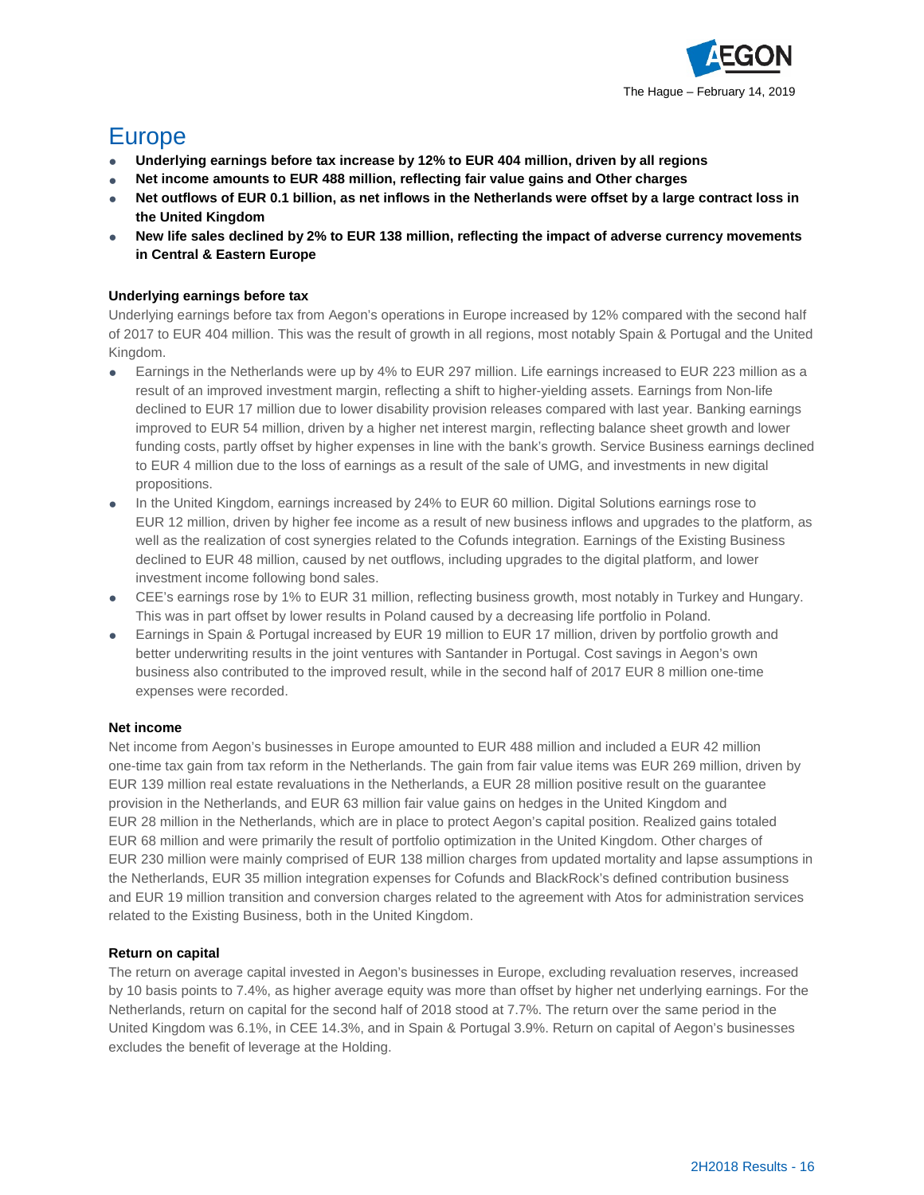

# Europe

- **Underlying earnings before tax increase by 12% to EUR 404 million, driven by all regions**
- Net income amounts to EUR 488 million, reflecting fair value gains and Other charges
- Net outflows of EUR 0.1 billion, as net inflows in the Netherlands were offset by a large contract loss in **the United Kingdom**
- New life sales declined by 2% to EUR 138 million, reflecting the impact of adverse currency movements **in Central & Eastern Europe**

## **Underlying earnings before tax**

Underlying earnings before tax from Aegon's operations in Europe increased by 12% compared with the second half of 2017 to EUR 404 million. This was the result of growth in all regions, most notably Spain & Portugal and the United Kingdom.

- Earnings in the Netherlands were up by 4% to EUR 297 million. Life earnings increased to EUR 223 million as a result of an improved investment margin, reflecting a shift to higher-yielding assets. Earnings from Non-life declined to EUR 17 million due to lower disability provision releases compared with last year. Banking earnings improved to EUR 54 million, driven by a higher net interest margin, reflecting balance sheet growth and lower funding costs, partly offset by higher expenses in line with the bank's growth. Service Business earnings declined to EUR 4 million due to the loss of earnings as a result of the sale of UMG, and investments in new digital propositions.
- In the United Kingdom, earnings increased by 24% to EUR 60 million. Digital Solutions earnings rose to EUR 12 million, driven by higher fee income as a result of new business inflows and upgrades to the platform, as well as the realization of cost synergies related to the Cofunds integration. Earnings of the Existing Business declined to EUR 48 million, caused by net outflows, including upgrades to the digital platform, and lower investment income following bond sales.
- CEE's earnings rose by 1% to EUR 31 million, reflecting business growth, most notably in Turkey and Hungary. This was in part offset by lower results in Poland caused by a decreasing life portfolio in Poland.
- Earnings in Spain & Portugal increased by EUR 19 million to EUR 17 million, driven by portfolio growth and better underwriting results in the joint ventures with Santander in Portugal. Cost savings in Aegon's own business also contributed to the improved result, while in the second half of 2017 EUR 8 million one-time expenses were recorded.

### **Net income**

Net income from Aegon's businesses in Europe amounted to EUR 488 million and included a EUR 42 million one-time tax gain from tax reform in the Netherlands. The gain from fair value items was EUR 269 million, driven by EUR 139 million real estate revaluations in the Netherlands, a EUR 28 million positive result on the guarantee provision in the Netherlands, and EUR 63 million fair value gains on hedges in the United Kingdom and EUR 28 million in the Netherlands, which are in place to protect Aegon's capital position. Realized gains totaled EUR 68 million and were primarily the result of portfolio optimization in the United Kingdom. Other charges of EUR 230 million were mainly comprised of EUR 138 million charges from updated mortality and lapse assumptions in the Netherlands, EUR 35 million integration expenses for Cofunds and BlackRock's defined contribution business and EUR 19 million transition and conversion charges related to the agreement with Atos for administration services related to the Existing Business, both in the United Kingdom.

### **Return on capital**

The return on average capital invested in Aegon's businesses in Europe, excluding revaluation reserves, increased by 10 basis points to 7.4%, as higher average equity was more than offset by higher net underlying earnings. For the Netherlands, return on capital for the second half of 2018 stood at 7.7%. The return over the same period in the United Kingdom was 6.1%, in CEE 14.3%, and in Spain & Portugal 3.9%. Return on capital of Aegon's businesses excludes the benefit of leverage at the Holding.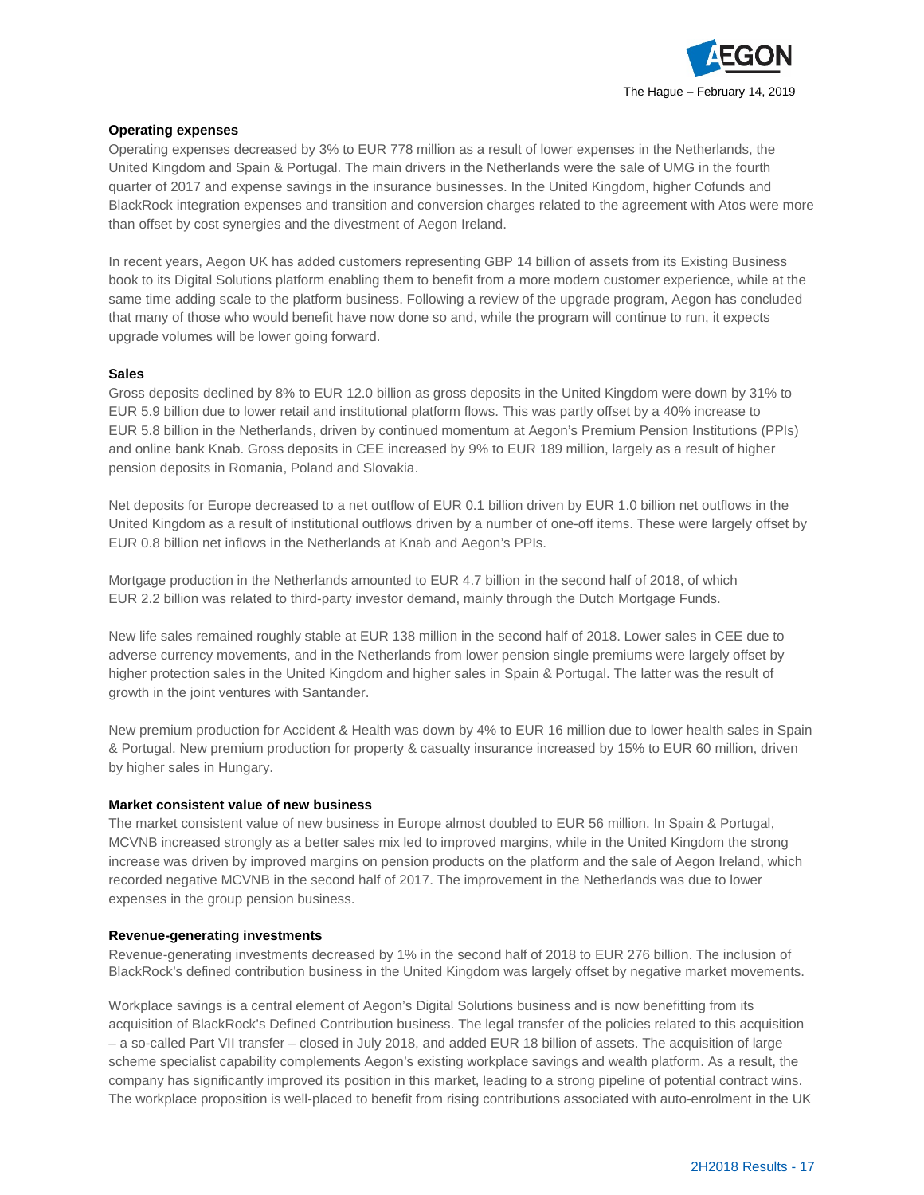

#### **Operating expenses**

Operating expenses decreased by 3% to EUR 778 million as a result of lower expenses in the Netherlands, the United Kingdom and Spain & Portugal. The main drivers in the Netherlands were the sale of UMG in the fourth quarter of 2017 and expense savings in the insurance businesses. In the United Kingdom, higher Cofunds and BlackRock integration expenses and transition and conversion charges related to the agreement with Atos were more than offset by cost synergies and the divestment of Aegon Ireland.

In recent years, Aegon UK has added customers representing GBP 14 billion of assets from its Existing Business book to its Digital Solutions platform enabling them to benefit from a more modern customer experience, while at the same time adding scale to the platform business. Following a review of the upgrade program, Aegon has concluded that many of those who would benefit have now done so and, while the program will continue to run, it expects upgrade volumes will be lower going forward.

#### **Sales**

Gross deposits declined by 8% to EUR 12.0 billion as gross deposits in the United Kingdom were down by 31% to EUR 5.9 billion due to lower retail and institutional platform flows. This was partly offset by a 40% increase to EUR 5.8 billion in the Netherlands, driven by continued momentum at Aegon's Premium Pension Institutions (PPIs) and online bank Knab. Gross deposits in CEE increased by 9% to EUR 189 million, largely as a result of higher pension deposits in Romania, Poland and Slovakia.

Net deposits for Europe decreased to a net outflow of EUR 0.1 billion driven by EUR 1.0 billion net outflows in the United Kingdom as a result of institutional outflows driven by a number of one-off items. These were largely offset by EUR 0.8 billion net inflows in the Netherlands at Knab and Aegon's PPIs.

Mortgage production in the Netherlands amounted to EUR 4.7 billion in the second half of 2018, of which EUR 2.2 billion was related to third-party investor demand, mainly through the Dutch Mortgage Funds.

New life sales remained roughly stable at EUR 138 million in the second half of 2018. Lower sales in CEE due to adverse currency movements, and in the Netherlands from lower pension single premiums were largely offset by higher protection sales in the United Kingdom and higher sales in Spain & Portugal. The latter was the result of growth in the joint ventures with Santander.

New premium production for Accident & Health was down by 4% to EUR 16 million due to lower health sales in Spain & Portugal. New premium production for property & casualty insurance increased by 15% to EUR 60 million, driven by higher sales in Hungary.

#### **Market consistent value of new business**

The market consistent value of new business in Europe almost doubled to EUR 56 million. In Spain & Portugal, MCVNB increased strongly as a better sales mix led to improved margins, while in the United Kingdom the strong increase was driven by improved margins on pension products on the platform and the sale of Aegon Ireland, which recorded negative MCVNB in the second half of 2017. The improvement in the Netherlands was due to lower expenses in the group pension business.

#### **Revenue-generating investments**

Revenue-generating investments decreased by 1% in the second half of 2018 to EUR 276 billion. The inclusion of BlackRock's defined contribution business in the United Kingdom was largely offset by negative market movements.

Workplace savings is a central element of Aegon's Digital Solutions business and is now benefitting from its acquisition of BlackRock's Defined Contribution business. The legal transfer of the policies related to this acquisition – a so-called Part VII transfer – closed in July 2018, and added EUR 18 billion of assets. The acquisition of large scheme specialist capability complements Aegon's existing workplace savings and wealth platform. As a result, the company has significantly improved its position in this market, leading to a strong pipeline of potential contract wins. The workplace proposition is well-placed to benefit from rising contributions associated with auto-enrolment in the UK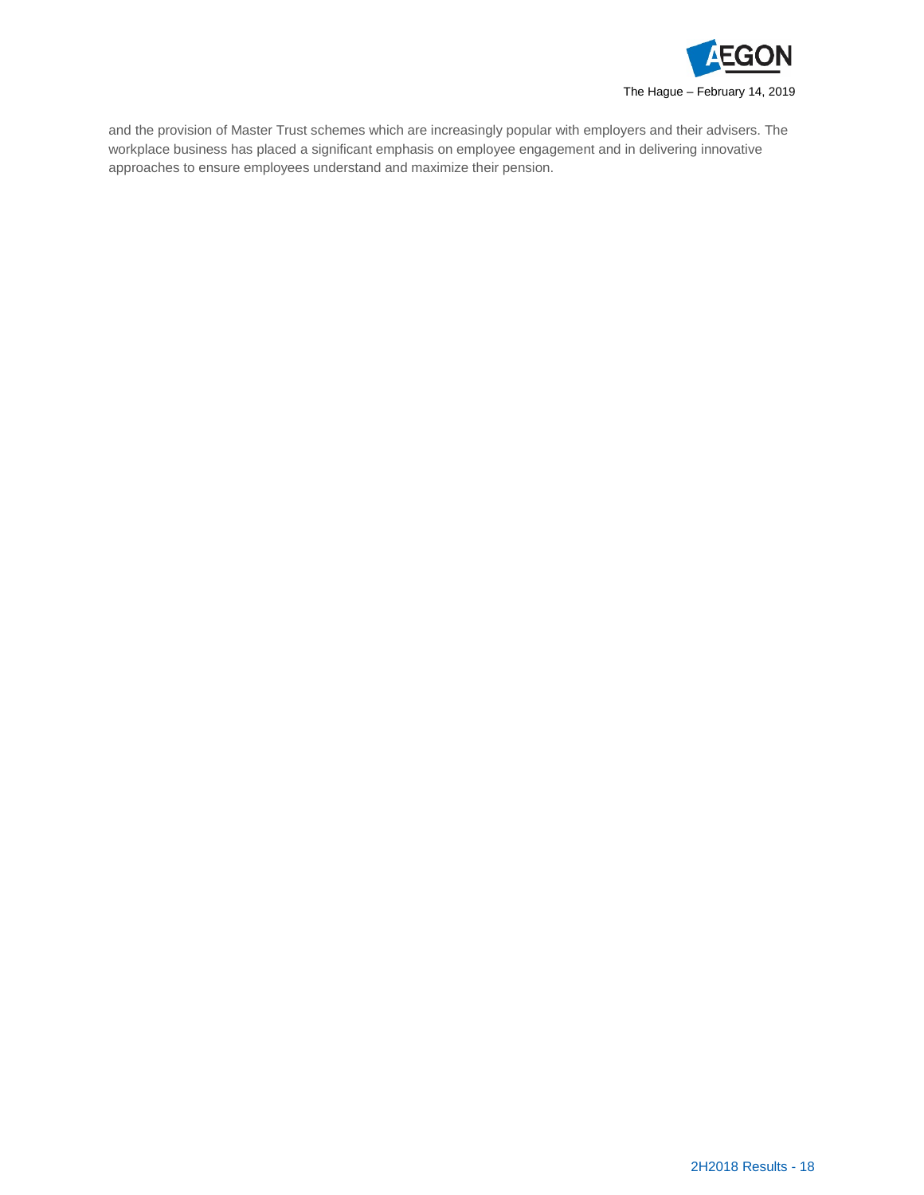

and the provision of Master Trust schemes which are increasingly popular with employers and their advisers. The workplace business has placed a significant emphasis on employee engagement and in delivering innovative approaches to ensure employees understand and maximize their pension.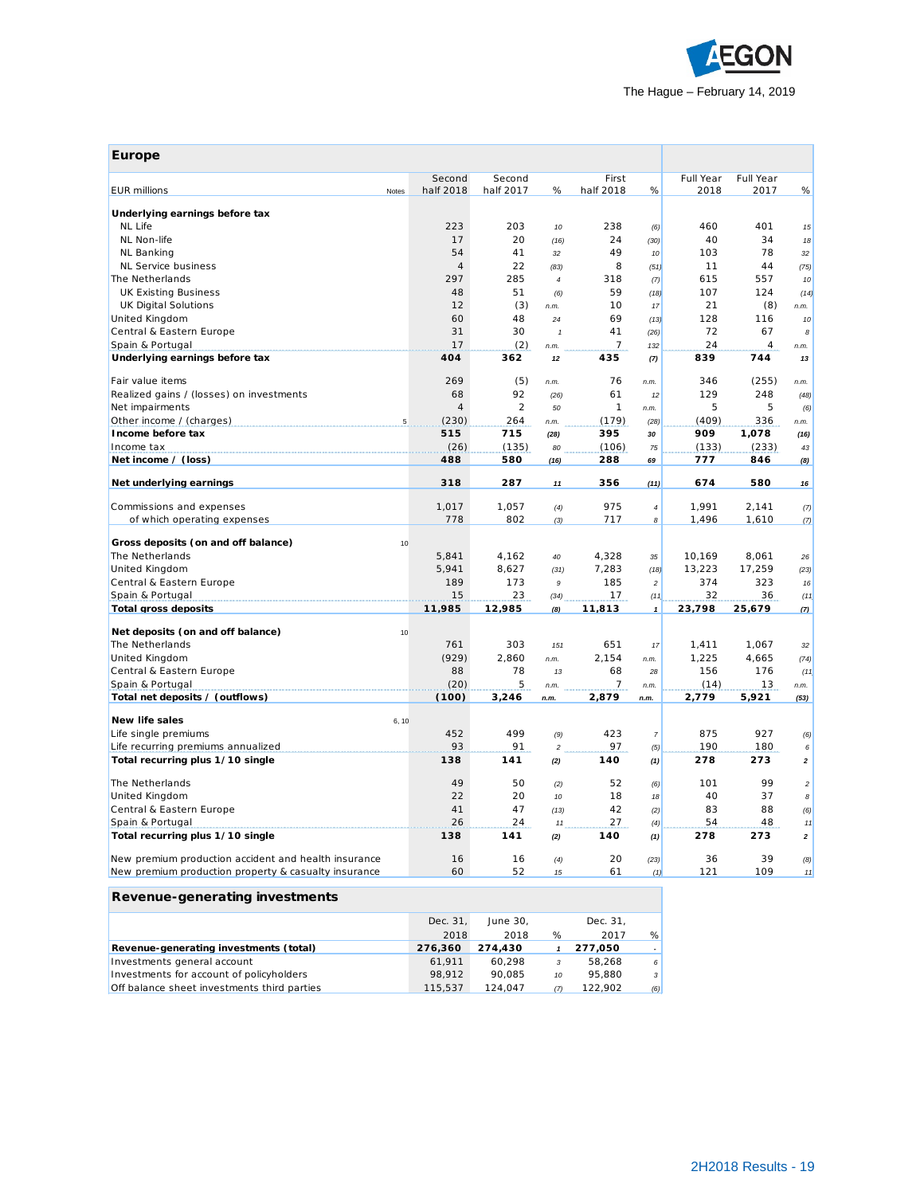

| <b>Europe</b>                                        |                     |                     |                |                    |                |                          |                          |                |
|------------------------------------------------------|---------------------|---------------------|----------------|--------------------|----------------|--------------------------|--------------------------|----------------|
| <b>EUR</b> millions<br>Notes                         | Second<br>half 2018 | Second<br>half 2017 | %              | First<br>half 2018 | %              | <b>Full Year</b><br>2018 | <b>Full Year</b><br>2017 | %              |
| Underlying earnings before tax                       |                     |                     |                |                    |                |                          |                          |                |
| <b>NL Life</b>                                       | 223                 | 203                 | 10             | 238                | (6)            | 460                      | 401                      | 15             |
| NL Non-life                                          | 17                  | 20                  | (16)           | 24                 | (30)           | 40                       | 34                       | 18             |
| <b>NL Banking</b>                                    | 54                  | 41                  | 32             | 49                 | 10             | 103                      | 78                       | 32             |
| NL Service business                                  | $\overline{4}$      | 22                  | (83)           | 8                  | (51)           | 11                       | 44                       | (75)           |
| The Netherlands                                      | 297                 | 285                 | $\overline{4}$ | 318                | (7)            | 615                      | 557                      | 10             |
| <b>UK Existing Business</b>                          | 48                  | 51                  | (6)            | 59                 | (18)           | 107                      | 124                      | (14)           |
| <b>UK Digital Solutions</b>                          | 12                  | (3)                 | n.m.           | 10                 | 17             | 21                       | (8)                      | n.m.           |
| United Kingdom                                       | 60                  | 48                  | 24             | 69                 | (13)           | 128                      | 116                      | 10             |
| Central & Eastern Europe                             | 31                  | 30                  | $\mathbf{1}$   | 41                 | (26)           | 72                       | 67                       | 8              |
| Spain & Portugal                                     | 17                  | (2)                 | n.m.           | $\overline{7}$     | 132            | 24                       | 4                        | n.m.           |
| Underlying earnings before tax                       | 404                 | 362                 | 12             | 435                | (7)            | 839                      | 744                      | 13             |
| Fair value items                                     | 269                 | (5)                 | n.m.           | 76                 | n.m.           | 346                      | (255)                    | n.m.           |
| Realized gains / (losses) on investments             | 68                  | 92                  | (26)           | 61                 | 12             | 129                      | 248                      | (48)           |
| Net impairments                                      | $\overline{4}$      | $\overline{2}$      | 50             | $\mathbf{1}$       | n.m.           | 5                        | 5                        | (6)            |
| Other income / (charges)<br>5                        | (230)               | 264                 | n.m.           | (179)              | (28)           | (409)                    | 336                      | n.m.           |
| Income before tax                                    | 515                 | 715                 | (28)           | 395                | 30             | 909                      | 1,078                    | (16)           |
| Income tax                                           | (26)                | (135)               | 80             | (106)              | 75             | (133)                    | (233)                    | 43             |
| Net income / (loss)                                  | 488                 | 580                 | (16)           | 288                | 69             | 777                      | 846                      | (8)            |
| Net underlying earnings                              | 318                 | 287                 | 11             | 356                | (11)           | 674                      | 580                      | 16             |
| Commissions and expenses                             | 1,017               | 1,057               | (4)            | 975                | $\overline{4}$ | 1,991                    | 2,141                    | (7)            |
| of which operating expenses                          | 778                 | 802                 | (3)            | 717                | 8              | 1,496                    | 1,610                    | (7)            |
|                                                      |                     |                     |                |                    |                |                          |                          |                |
| Gross deposits (on and off balance)<br>10            |                     |                     |                |                    |                |                          |                          |                |
| The Netherlands                                      | 5,841               | 4,162               | 40             | 4,328              | 35             | 10,169                   | 8,061                    | 26             |
| United Kingdom                                       | 5,941               | 8,627               | (31)           | 7,283              | (18)           | 13,223                   | 17,259                   | (23)           |
| Central & Eastern Europe                             | 189                 | 173                 | 9              | 185                | $\overline{c}$ | 374                      | 323                      | 16             |
| Spain & Portugal                                     | 15                  | 23                  | (34)           | 17                 | (11)           | 32                       | 36                       | (11)           |
| <b>Total gross deposits</b>                          | 11,985              | 12,985              | (8)            | 11,813             | $\mathbf{1}$   | 23,798                   | 25,679                   | (7)            |
| Net deposits (on and off balance)<br>10              |                     |                     |                |                    |                |                          |                          |                |
| The Netherlands                                      | 761                 | 303                 | 151            | 651                | 17             | 1,411                    | 1,067                    | 32             |
| United Kingdom                                       | (929)               | 2,860               | n.m.           | 2,154              | n.m.           | 1,225                    | 4,665                    | (74)           |
| Central & Eastern Europe                             | 88                  | 78                  | 13             | 68                 | 28             | 156                      | 176                      | (11)           |
| Spain & Portugal                                     | (20)                | 5                   | n.m.           | $\overline{7}$     | n.m.           | (14)                     | 13                       | n.m.           |
| Total net deposits / (outflows)                      | (100)               | 3,246               | n.m.           | 2,879              | n.m.           | 2,779                    | 5,921                    | (53)           |
|                                                      |                     |                     |                |                    |                |                          |                          |                |
| New life sales<br>6, 10                              |                     |                     |                |                    |                |                          |                          |                |
| Life single premiums                                 | 452                 | 499                 | (9)            | 423                | $\overline{7}$ | 875                      | 927                      | (6)            |
| Life recurring premiums annualized                   | 93                  | 91                  | $\overline{c}$ | 97                 | (5)            | 190                      | 180                      | 6              |
| Total recurring plus 1/10 single                     | 138                 | 141                 | (2)            | 140                | (1)            | 278                      | 273                      | $\mathbf{2}$   |
| The Netherlands                                      | 49                  | 50                  | (2)            | 52                 | (6)            | 101                      | 99                       | $\overline{c}$ |
| United Kingdom                                       | 22                  | 20                  | 10             | 18                 | 18             | 40                       | 37                       | 8              |
| Central & Eastern Europe                             | 41                  | 47                  | (13)           | 42                 | (2)            | 83                       | 88                       | (6)            |
| Spain & Portugal                                     | 26                  | 24                  | 11             | 27                 | (4)            | 54                       | 48                       | 11             |
| Total recurring plus 1/10 single                     | 138                 | 141                 | (2)            | 140                | (1)            | 278                      | 273                      | $\mathbf{z}$   |
| New premium production accident and health insurance | 16                  | 16                  | (4)            | 20                 | (23)           | 36                       | 39                       | (8)            |
| New premium production property & casualty insurance | 60                  | 52                  | 15             | 61                 | (1)            | 121                      | 109                      | 11             |

#### **Revenue-generating investments**

|                                             | Dec. 31. | June 30. |    | Dec. 31. |     |
|---------------------------------------------|----------|----------|----|----------|-----|
|                                             | 2018     | 2018     | %  | 2017     | %   |
| Revenue-generating investments (total)      | 276,360  | 274.430  |    | 277,050  |     |
| Investments general account                 | 61.911   | 60.298   | 3  | 58.268   | 6   |
| Investments for account of policyholders    | 98.912   | 90.085   | 10 | 95.880   | 3   |
| Off balance sheet investments third parties | 115.537  | 124.047  |    | 122.902  | (6) |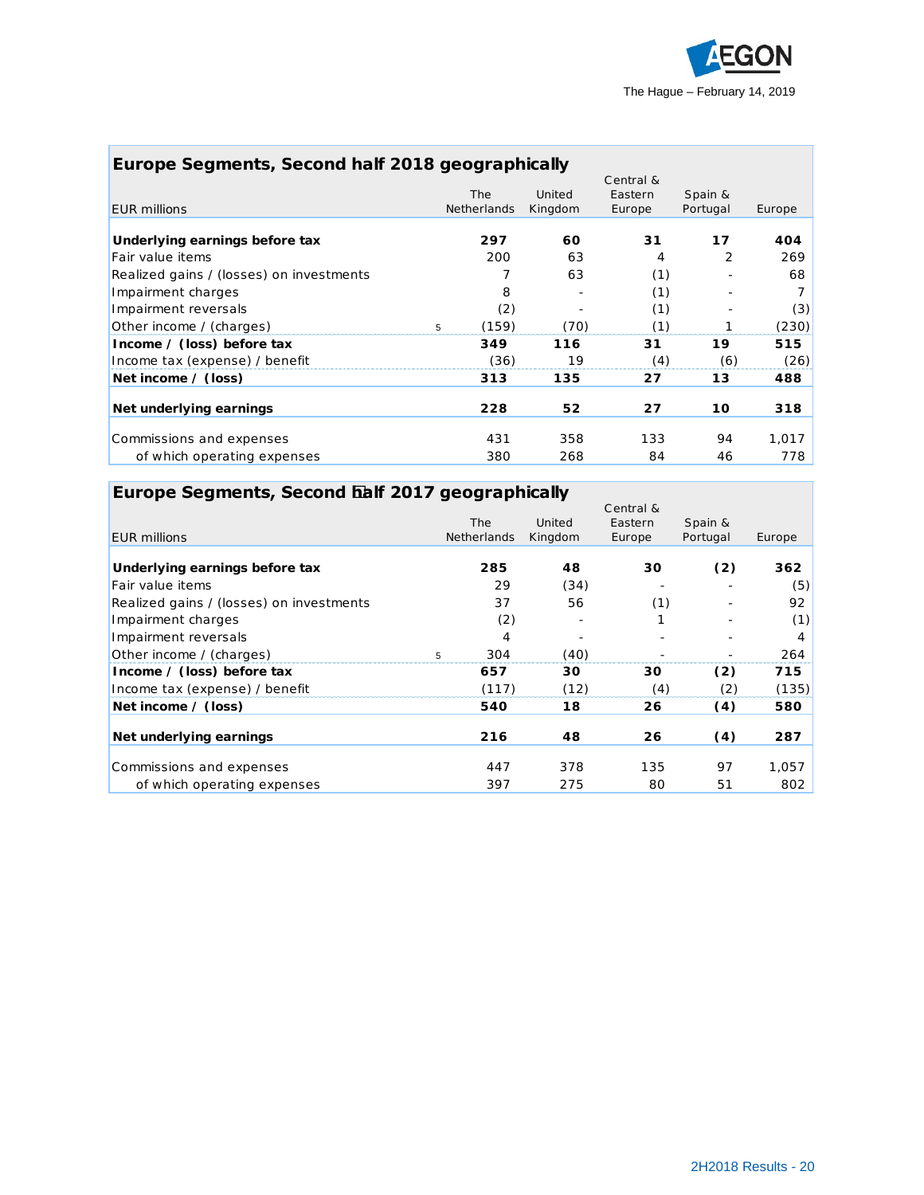

| Europe Segments, Second half 2018 geographically |                    |         |                      |          |        |  |  |  |  |  |
|--------------------------------------------------|--------------------|---------|----------------------|----------|--------|--|--|--|--|--|
|                                                  | The                | United  | Central &<br>Eastern | Spain &  |        |  |  |  |  |  |
| <b>EUR</b> millions                              | <b>Netherlands</b> | Kingdom | Europe               | Portugal | Europe |  |  |  |  |  |
|                                                  |                    |         |                      |          |        |  |  |  |  |  |
| Underlying earnings before tax                   | 297                | 60      | 31                   | 17       | 404    |  |  |  |  |  |
| Fair value items                                 | 200                | 63      | 4                    | 2        | 269    |  |  |  |  |  |
| Realized gains / (losses) on investments         |                    | 63      | (1)                  |          | 68     |  |  |  |  |  |
| Impairment charges                               |                    | 8       | (1)                  |          |        |  |  |  |  |  |
| Impairment reversals                             |                    | (2)     | (1)                  |          | (3)    |  |  |  |  |  |
| Other income / (charges)                         | (159)<br>5         | (70)    | (1)                  |          | (230)  |  |  |  |  |  |
| Income / (loss) before tax                       | 349                | 116     | 31                   | 19       | 515    |  |  |  |  |  |
| Income tax (expense) / benefit                   | (36)               | 19      | (4)                  | (6)      | (26)   |  |  |  |  |  |
| Net income $\prime$ (loss)                       | 313                | 135     | 27                   | 13       | 488    |  |  |  |  |  |
|                                                  |                    |         |                      |          |        |  |  |  |  |  |
| Net underlying earnings                          | 228                | 52      | 27                   | 10       | 318    |  |  |  |  |  |
| Commissions and expenses                         | 431                | 358     | 133                  | 94       | 1,017  |  |  |  |  |  |
|                                                  |                    |         |                      |          |        |  |  |  |  |  |
| of which operating expenses                      | 380                | 268     | 84                   | 46       | 778    |  |  |  |  |  |

| an coalgains rilesses romanives an iome |   |       |      | $\cdots$ |     |  |
|-----------------------------------------|---|-------|------|----------|-----|--|
| pairment charges                        |   | 8     |      | (1)      |     |  |
| pairment reversals                      |   | (2)   |      | (1)      |     |  |
| her income / (charges)                  | 5 | (159) | (70) | (1)      |     |  |
| come / (loss) before tax                |   | 349   | 116  | 31       | 19  |  |
| come tax (expense) / benefit            |   | (36)  | 19   | (4)      | (6) |  |
| et income / (loss)                      |   | 313   | 135  | 27       | 13  |  |
| et underlying earnings                  |   | 228   | 52   | 27       | 10  |  |
|                                         |   |       |      |          |     |  |
| mmissions and expenses                  |   | 431   | 358  | 133      | 94  |  |
| of which operating expenses             |   | 380   | 268  | 84       | 46  |  |
|                                         |   |       |      |          |     |  |

|             |                   | Central &                                                           |                 |                  |
|-------------|-------------------|---------------------------------------------------------------------|-----------------|------------------|
| The         | United            | Eastern                                                             | Spain &         |                  |
| Netherlands | Kingdom           | Europe                                                              | Portugal        | Europe           |
|             |                   |                                                                     |                 |                  |
|             |                   |                                                                     |                 | 362              |
| 29          | (34)              |                                                                     |                 | (5)              |
| 37          | 56                | (1)                                                                 |                 | 92               |
| (2)         |                   |                                                                     |                 | (1)              |
| 4           |                   |                                                                     |                 | 4                |
| 304<br>5    | (40)              |                                                                     |                 | 264              |
| 657         | 30                | 30                                                                  | (2)             | 715              |
| (117)       | (12)              | (4)                                                                 | (2)             | (135)            |
| 540         | 18                | 26                                                                  | (4)             | 580              |
|             |                   |                                                                     |                 |                  |
|             |                   |                                                                     |                 | 287              |
|             |                   |                                                                     |                 | 1,057            |
| 397         | 275               | 80                                                                  | 51              | 802              |
|             | 285<br>216<br>447 | Europe Segments, Second half 2017 geographically<br>48<br>48<br>378 | 30<br>26<br>135 | (2)<br>(4)<br>97 |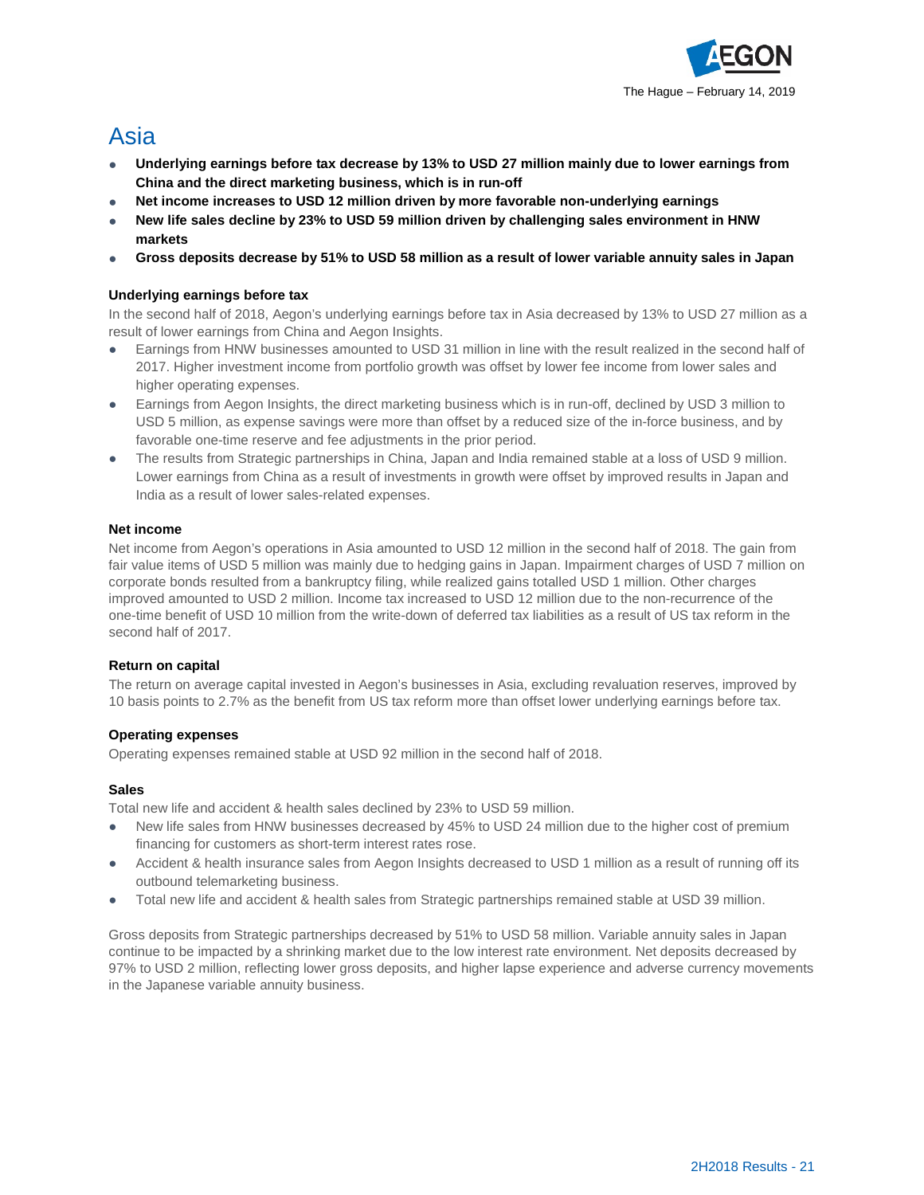

# Asia

- **Underlying earnings before tax decrease by 13% to USD 27 million mainly due to lower earnings from China and the direct marketing business, which is in run-off**
- **Net income increases to USD 12 million driven by more favorable non-underlying earnings**
- New life sales decline by 23% to USD 59 million driven by challenging sales environment in HNW **markets**
- **Gross deposits decrease by 51% to USD 58 million as a result of lower variable annuity sales in Japan**

#### **Underlying earnings before tax**

In the second half of 2018, Aegon's underlying earnings before tax in Asia decreased by 13% to USD 27 million as a result of lower earnings from China and Aegon Insights.

- Earnings from HNW businesses amounted to USD 31 million in line with the result realized in the second half of 2017. Higher investment income from portfolio growth was offset by lower fee income from lower sales and higher operating expenses.
- Earnings from Aegon Insights, the direct marketing business which is in run-off, declined by USD 3 million to USD 5 million, as expense savings were more than offset by a reduced size of the in-force business, and by favorable one-time reserve and fee adjustments in the prior period.
- The results from Strategic partnerships in China, Japan and India remained stable at a loss of USD 9 million. Lower earnings from China as a result of investments in growth were offset by improved results in Japan and India as a result of lower sales-related expenses.

#### **Net income**

Net income from Aegon's operations in Asia amounted to USD 12 million in the second half of 2018. The gain from fair value items of USD 5 million was mainly due to hedging gains in Japan. Impairment charges of USD 7 million on corporate bonds resulted from a bankruptcy filing, while realized gains totalled USD 1 million. Other charges improved amounted to USD 2 million. Income tax increased to USD 12 million due to the non-recurrence of the one-time benefit of USD 10 million from the write-down of deferred tax liabilities as a result of US tax reform in the second half of 2017.

#### **Return on capital**

The return on average capital invested in Aegon's businesses in Asia, excluding revaluation reserves, improved by 10 basis points to 2.7% as the benefit from US tax reform more than offset lower underlying earnings before tax.

#### **Operating expenses**

Operating expenses remained stable at USD 92 million in the second half of 2018.

#### **Sales**

Total new life and accident & health sales declined by 23% to USD 59 million.

- New life sales from HNW businesses decreased by 45% to USD 24 million due to the higher cost of premium financing for customers as short-term interest rates rose.
- Accident & health insurance sales from Aegon Insights decreased to USD 1 million as a result of running off its outbound telemarketing business.
- Total new life and accident & health sales from Strategic partnerships remained stable at USD 39 million.

Gross deposits from Strategic partnerships decreased by 51% to USD 58 million. Variable annuity sales in Japan continue to be impacted by a shrinking market due to the low interest rate environment. Net deposits decreased by 97% to USD 2 million, reflecting lower gross deposits, and higher lapse experience and adverse currency movements in the Japanese variable annuity business.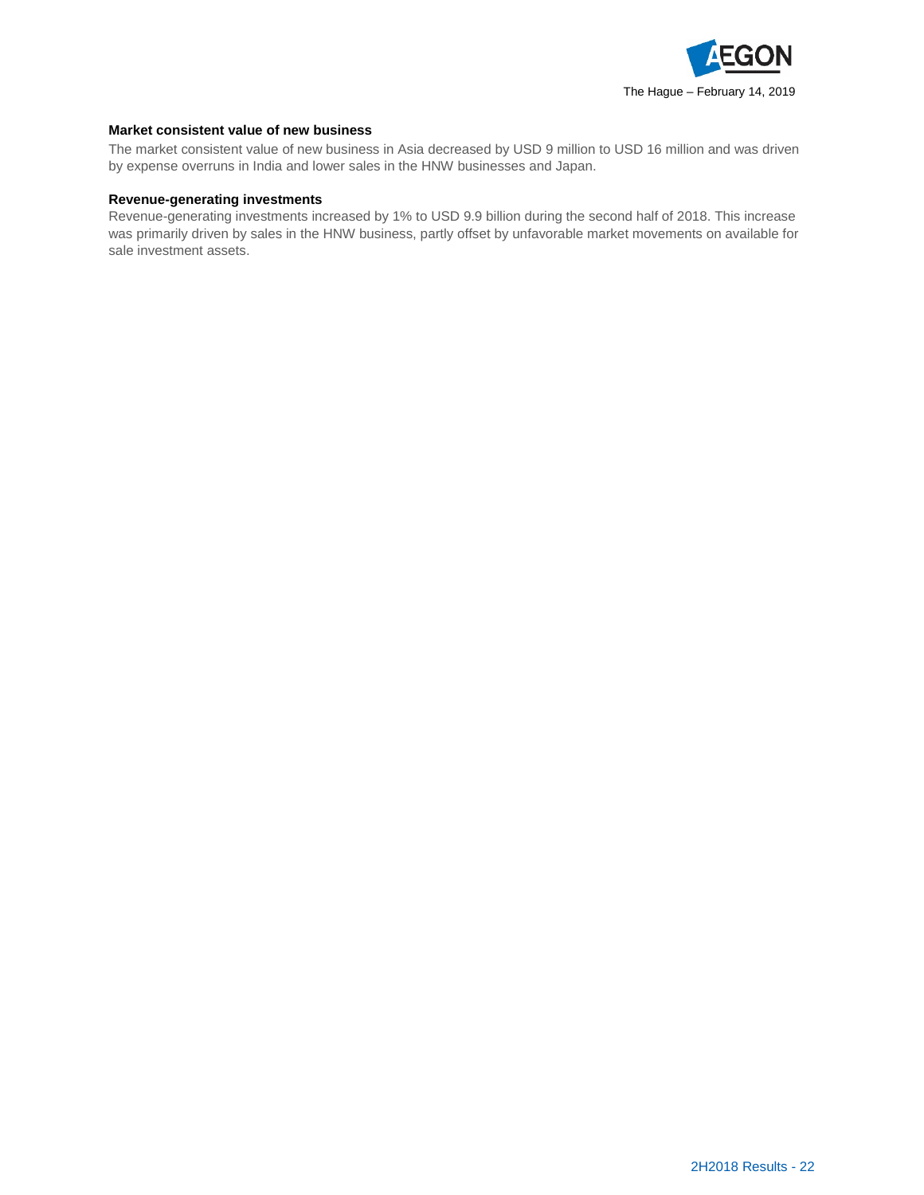

#### **Market consistent value of new business**

The market consistent value of new business in Asia decreased by USD 9 million to USD 16 million and was driven by expense overruns in India and lower sales in the HNW businesses and Japan.

#### **Revenue-generating investments**

Revenue-generating investments increased by 1% to USD 9.9 billion during the second half of 2018. This increase was primarily driven by sales in the HNW business, partly offset by unfavorable market movements on available for sale investment assets.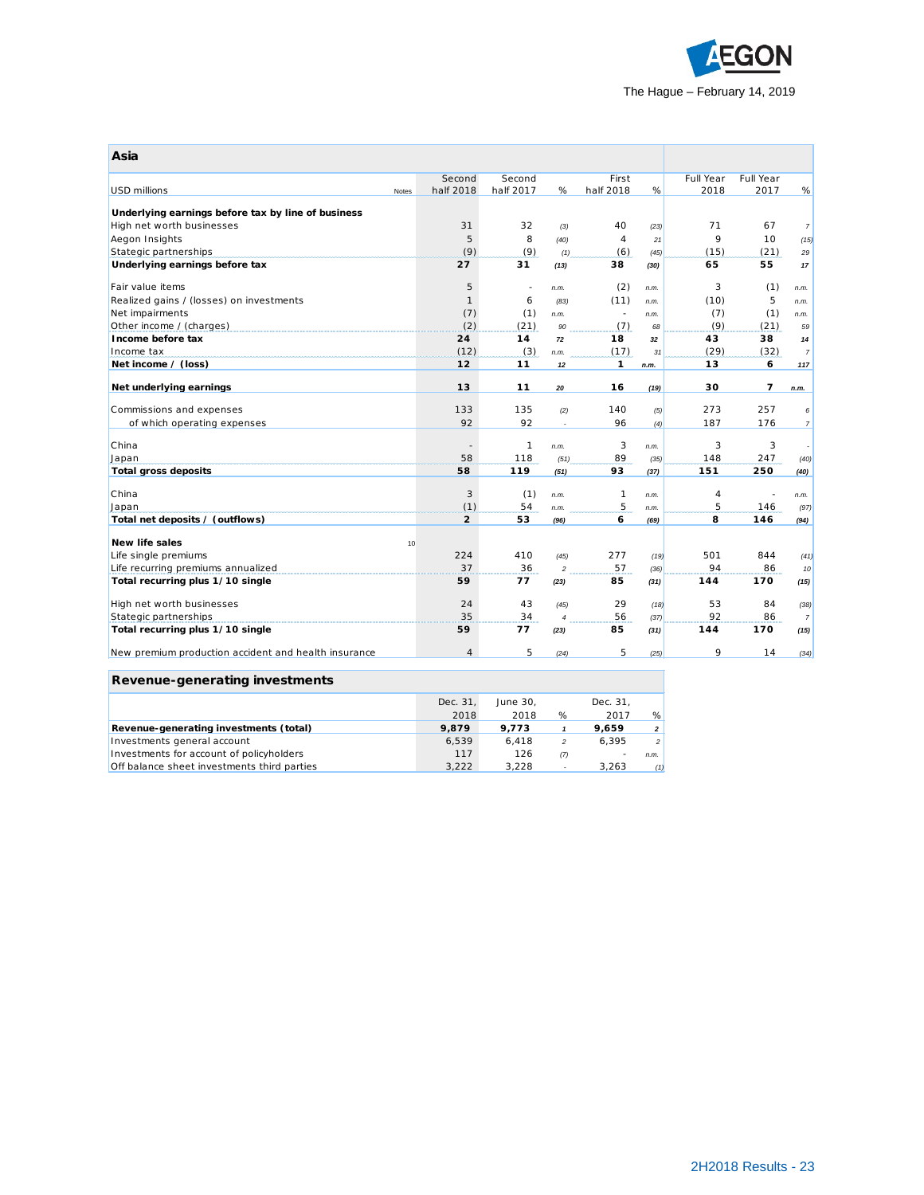

| Asia                                                 |                          |           |                |                |      |                  |                  |                  |
|------------------------------------------------------|--------------------------|-----------|----------------|----------------|------|------------------|------------------|------------------|
|                                                      | Second                   | Second    |                | First          |      | <b>Full Year</b> | <b>Full Year</b> |                  |
| <b>USD millions</b><br>Notes                         | half 2018                | half 2017 | %              | half 2018      | %    | 2018             | 2017             | %                |
| Underlying earnings before tax by line of business   |                          |           |                |                |      |                  |                  |                  |
| High net worth businesses                            | 31                       | 32        | (3)            | 40             | (23) | 71               | 67               | $\overline{7}$   |
| Aegon Insights                                       | 5                        | 8         | (40)           | $\overline{4}$ | 21   | 9                | 10               | (15)             |
| Stategic partnerships                                | (9)                      | (9)       | (1)            | (6)            | (45) | (15)             | (21)             | 29               |
| Underlying earnings before tax                       | 27                       | 31        | (13)           | 38             | (30) | 65               | 55               | 17               |
| Fair value items                                     | 5                        | ٠         | n.m.           | (2)            | n.m. | 3                | (1)              | n.m.             |
| Realized gains / (losses) on investments             | $\mathbf{1}$             | 6         | (83)           | (11)           | n.m. | (10)             | 5                | n.m.             |
| Net impairments                                      | (7)                      | (1)       | n.m.           | $\sim$         | n.m. | (7)              | (1)              | n.m.             |
| Other income / (charges)                             | (2)                      | (21)      | 90             | (7)            | 68   | (9)              | (21)             | 59               |
| Income before tax                                    | 24                       | 14        | 72             | 18             | 32   | 43               | 38               | 14               |
| Income tax                                           | (12)                     | (3)       | n.m.           | (17)           | 31   | (29)             | (32)             | $\overline{7}$   |
| Net income / (loss)                                  | 12                       | 11        | 12             | $\mathbf{1}$   | n.m. | 13               | 6                | 117              |
|                                                      |                          |           |                |                |      |                  |                  |                  |
| Net underlying earnings                              | 13                       | 11        | 20             | 16             | (19) | 30               | $\overline{7}$   | n.m.             |
| Commissions and expenses                             | 133                      | 135       | (2)            | 140            | (5)  | 273              | 257              | 6                |
| of which operating expenses                          | 92                       | 92        | $\overline{a}$ | 96             | (4)  | 187              | 176              | $\boldsymbol{7}$ |
|                                                      |                          |           |                |                |      |                  |                  |                  |
| China                                                | $\overline{\phantom{a}}$ | 1         | n.m.           | 3              | n.m. | 3                | 3                |                  |
| Japan                                                | 58                       | 118       | (51)           | 89             | (35) | 148              | 247              | (40)             |
| <b>Total gross deposits</b>                          | 58                       | 119       | (51)           | 93             | (37) | 151              | 250              | (40)             |
| China                                                | 3                        | (1)       | n.m.           | $\mathbf{1}$   | n.m. | 4                | ÷,               | n.m.             |
| Japan                                                | (1)                      | 54        | n.m.           | 5              | n.m. | 5                | 146              | (97)             |
| Total net deposits / (outflows)                      | $\overline{2}$           | 53        | (96)           | 6              | (69) | 8                | 146              | (94)             |
| <b>New life sales</b>                                | 10                       |           |                |                |      |                  |                  |                  |
| Life single premiums                                 | 224                      | 410       | (45)           | 277            | (19) | 501              | 844              | (41)             |
| Life recurring premiums annualized                   | 37                       | 36        | $\mathfrak{p}$ | 57             | (36) | 94               | 86               | 10               |
| Total recurring plus 1/10 single                     | 59                       | 77        | (23)           | 85             | (31) | 144              | 170              | (15)             |
|                                                      |                          |           |                |                |      |                  |                  |                  |
| High net worth businesses                            | 24<br>35                 | 43        | (45)           | 29<br>56       | (18) | 53<br>92         | 84               | (38)             |
| Stategic partnerships                                |                          | 34        | $\overline{A}$ |                | (37) |                  | 86               | $\overline{7}$   |
| Total recurring plus 1/10 single                     | 59                       | 77        | (23)           | 85             | (31) | 144              | 170              | (15)             |
| New premium production accident and health insurance | $\overline{4}$           | 5         | (24)           | 5              | (25) | 9                | 14               | (34)             |

| Revenue-generating investments              |          |          |                |          |                |
|---------------------------------------------|----------|----------|----------------|----------|----------------|
|                                             | Dec. 31. | June 30. |                | Dec. 31. |                |
|                                             | 2018     | 2018     | %              | 2017     | %              |
| Revenue-generating investments (total)      | 9,879    | 9.773    |                | 9.659    | 2 <sup>1</sup> |
| Investments general account                 | 6.539    | 6.418    | $\overline{c}$ | 6.395    | 2 <sup>1</sup> |
| Investments for account of policyholders    | 117      | 126      | (7)            |          | n.m.           |
| Off balance sheet investments third parties | 3.222    | 3.228    |                | 3.263    | (1)            |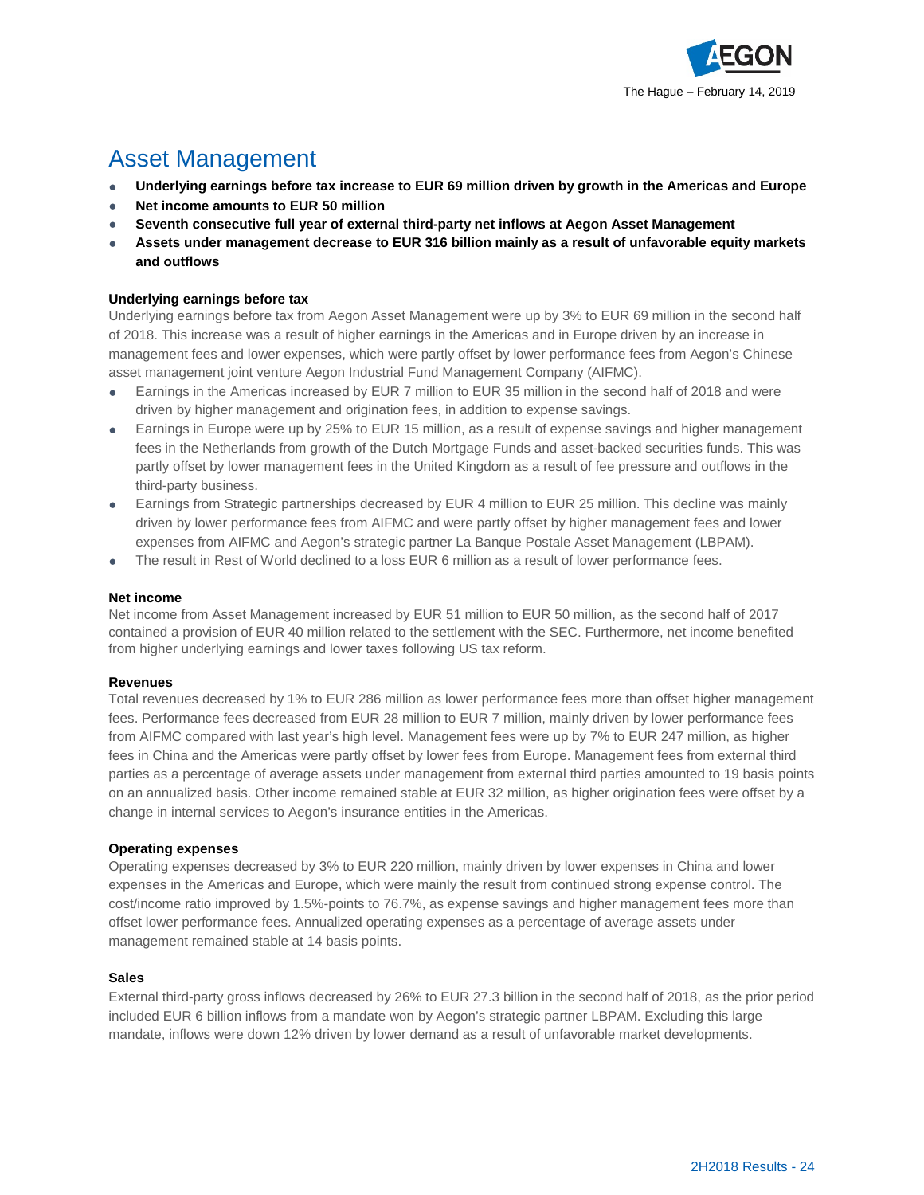

# Asset Management

- **Underlying earnings before tax increase to EUR 69 million driven by growth in the Americas and Europe**
- **Net income amounts to EUR 50 million**
- **Seventh consecutive full year of external third-party net inflows at Aegon Asset Management**
- **Assets under management decrease to EUR 316 billion mainly as a result of unfavorable equity markets and outflows**

#### **Underlying earnings before tax**

Underlying earnings before tax from Aegon Asset Management were up by 3% to EUR 69 million in the second half of 2018. This increase was a result of higher earnings in the Americas and in Europe driven by an increase in management fees and lower expenses, which were partly offset by lower performance fees from Aegon's Chinese asset management joint venture Aegon Industrial Fund Management Company (AIFMC).

- Earnings in the Americas increased by EUR 7 million to EUR 35 million in the second half of 2018 and were driven by higher management and origination fees, in addition to expense savings.
- Earnings in Europe were up by 25% to EUR 15 million, as a result of expense savings and higher management fees in the Netherlands from growth of the Dutch Mortgage Funds and asset-backed securities funds. This was partly offset by lower management fees in the United Kingdom as a result of fee pressure and outflows in the third-party business.
- Earnings from Strategic partnerships decreased by EUR 4 million to EUR 25 million. This decline was mainly driven by lower performance fees from AIFMC and were partly offset by higher management fees and lower expenses from AIFMC and Aegon's strategic partner La Banque Postale Asset Management (LBPAM).
- The result in Rest of World declined to a loss EUR 6 million as a result of lower performance fees.

#### **Net income**

Net income from Asset Management increased by EUR 51 million to EUR 50 million, as the second half of 2017 contained a provision of EUR 40 million related to the settlement with the SEC. Furthermore, net income benefited from higher underlying earnings and lower taxes following US tax reform.

#### **Revenues**

Total revenues decreased by 1% to EUR 286 million as lower performance fees more than offset higher management fees. Performance fees decreased from EUR 28 million to EUR 7 million, mainly driven by lower performance fees from AIFMC compared with last year's high level. Management fees were up by 7% to EUR 247 million, as higher fees in China and the Americas were partly offset by lower fees from Europe. Management fees from external third parties as a percentage of average assets under management from external third parties amounted to 19 basis points on an annualized basis. Other income remained stable at EUR 32 million, as higher origination fees were offset by a change in internal services to Aegon's insurance entities in the Americas.

#### **Operating expenses**

Operating expenses decreased by 3% to EUR 220 million, mainly driven by lower expenses in China and lower expenses in the Americas and Europe, which were mainly the result from continued strong expense control. The cost/income ratio improved by 1.5%-points to 76.7%, as expense savings and higher management fees more than offset lower performance fees. Annualized operating expenses as a percentage of average assets under management remained stable at 14 basis points.

#### **Sales**

External third-party gross inflows decreased by 26% to EUR 27.3 billion in the second half of 2018, as the prior period included EUR 6 billion inflows from a mandate won by Aegon's strategic partner LBPAM. Excluding this large mandate, inflows were down 12% driven by lower demand as a result of unfavorable market developments.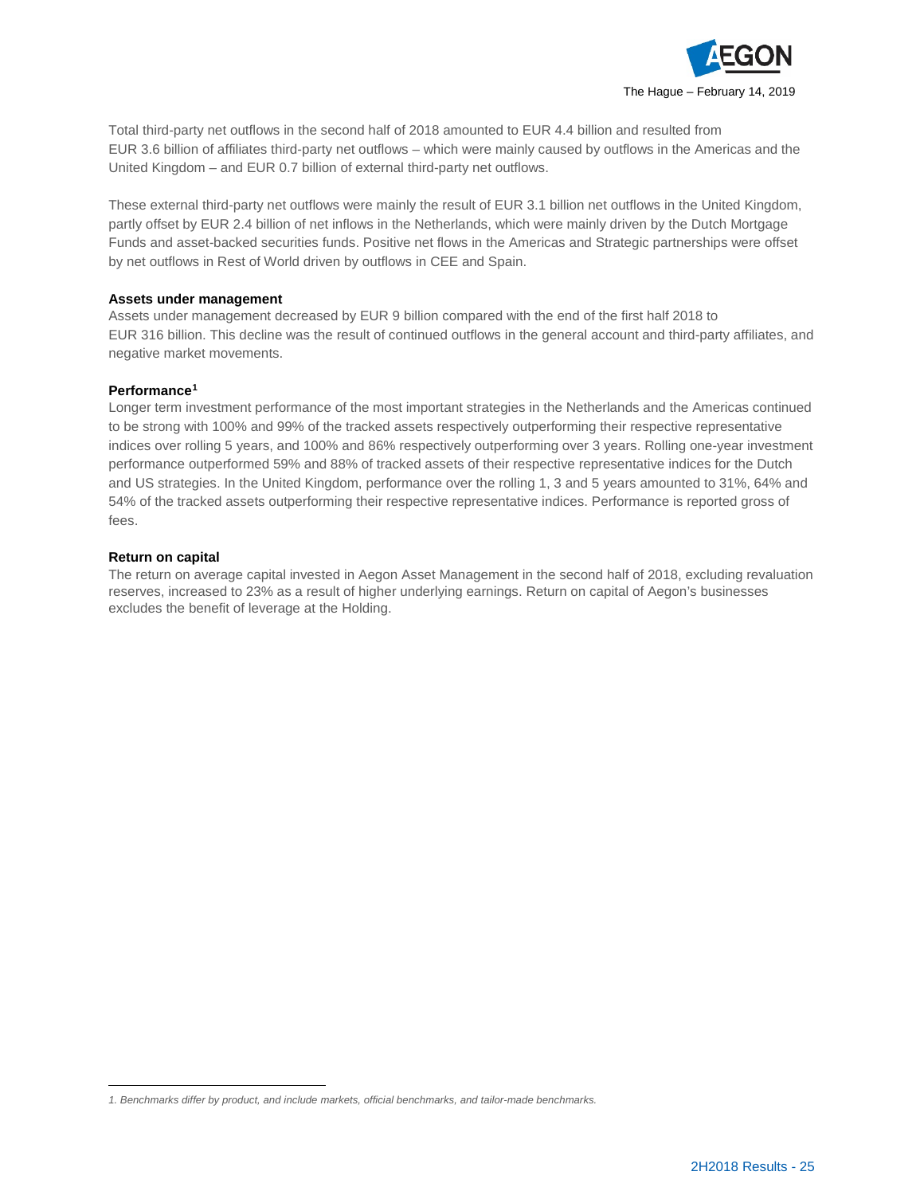

Total third-party net outflows in the second half of 2018 amounted to EUR 4.4 billion and resulted from EUR 3.6 billion of affiliates third-party net outflows – which were mainly caused by outflows in the Americas and the United Kingdom – and EUR 0.7 billion of external third-party net outflows.

These external third-party net outflows were mainly the result of EUR 3.1 billion net outflows in the United Kingdom, partly offset by EUR 2.4 billion of net inflows in the Netherlands, which were mainly driven by the Dutch Mortgage Funds and asset-backed securities funds. Positive net flows in the Americas and Strategic partnerships were offset by net outflows in Rest of World driven by outflows in CEE and Spain.

#### **Assets under management**

Assets under management decreased by EUR 9 billion compared with the end of the first half 2018 to EUR 316 billion. This decline was the result of continued outflows in the general account and third-party affiliates, and negative market movements.

#### **Performance[1](#page-24-0)**

Longer term investment performance of the most important strategies in the Netherlands and the Americas continued to be strong with 100% and 99% of the tracked assets respectively outperforming their respective representative indices over rolling 5 years, and 100% and 86% respectively outperforming over 3 years. Rolling one-year investment performance outperformed 59% and 88% of tracked assets of their respective representative indices for the Dutch and US strategies. In the United Kingdom, performance over the rolling 1, 3 and 5 years amounted to 31%, 64% and 54% of the tracked assets outperforming their respective representative indices. Performance is reported gross of fees.

#### **Return on capital**

 $\overline{\phantom{a}}$ 

The return on average capital invested in Aegon Asset Management in the second half of 2018, excluding revaluation reserves, increased to 23% as a result of higher underlying earnings. Return on capital of Aegon's businesses excludes the benefit of leverage at the Holding.

<span id="page-24-0"></span>*<sup>1.</sup> Benchmarks differ by product, and include markets, official benchmarks, and tailor-made benchmarks.*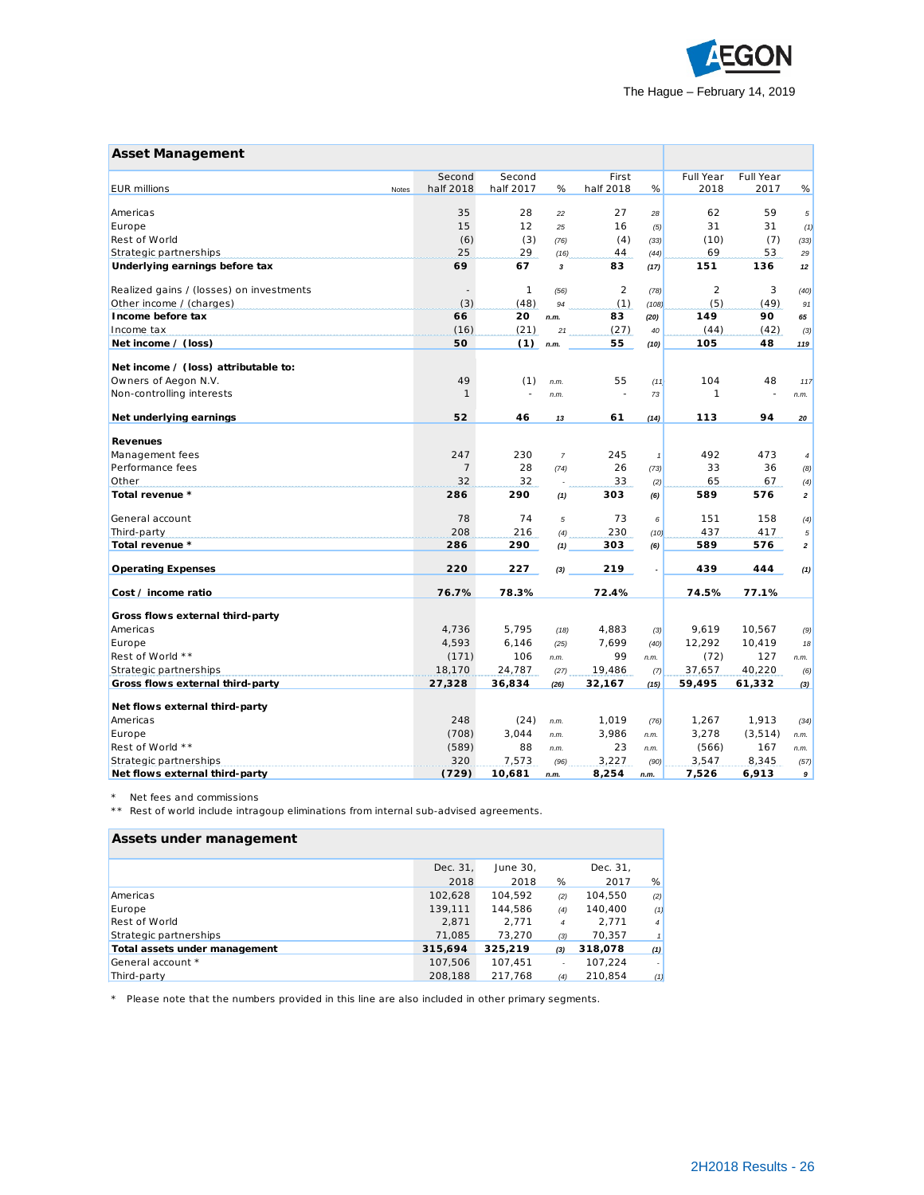

| <b>Asset Management</b>                  |                          |              |                         |                |              |                  |                  |                |
|------------------------------------------|--------------------------|--------------|-------------------------|----------------|--------------|------------------|------------------|----------------|
|                                          | Second                   | Second       |                         | First          |              | <b>Full Year</b> | <b>Full Year</b> |                |
| <b>EUR</b> millions                      | half 2018<br>Notes       | half 2017    | %                       | half 2018      | %            | 2018             | 2017             | %              |
| Americas                                 | 35                       | 28           | 22                      | 27             | 28           | 62               | 59               | 5              |
| Europe                                   | 15                       | 12           | 25                      | 16             | (5)          | 31               | 31               | (1)            |
| Rest of World                            | (6)                      | (3)          | (76)                    | (4)            | (33)         | (10)             | (7)              | (33)           |
| Strategic partnerships                   | 25                       | 29           | (16)                    | 44             | (44)         | 69               | 53               | 29             |
| Underlying earnings before tax           | 69                       | 67           | $\overline{\mathbf{3}}$ | 83             | (17)         | 151              | 136              | 12             |
| Realized gains / (losses) on investments | $\overline{\phantom{a}}$ | $\mathbf{1}$ | (56)                    | $\overline{2}$ | (78)         | $\overline{2}$   | 3                | (40)           |
| Other income / (charges)                 | (3)                      | (48)         | 94                      | (1)            | (108)        | (5)              | (49)             | 91             |
| Income before tax                        | 66                       | 20           | n.m.                    | 83             | (20)         | 149              | 90               | 65             |
| Income tax                               | (16)                     | (21)         | 21                      | (27)           | 40           | (44)             | (42)             | (3)            |
| Net income / (loss)                      | 50                       | (1)          | n.m.                    | 55             | (10)         | 105              | 48               | 119            |
| Net income / (loss) attributable to:     |                          |              |                         |                |              |                  |                  |                |
| Owners of Aegon N.V.                     | 49                       | (1)          | n.m.                    | 55             | (11)         | 104              | 48               | 117            |
| Non-controlling interests                | $\mathcal{I}$            |              | n.m.                    |                | 73           | $\mathcal I$     |                  | n.m.           |
| Net underlying earnings                  | 52                       | 46           | 13                      | 61             | (14)         | 113              | 94               | 20             |
| <b>Revenues</b>                          |                          |              |                         |                |              |                  |                  |                |
| Management fees                          | 247                      | 230          | $\overline{7}$          | 245            | $\mathbf{1}$ | 492              | 473              | $\overline{4}$ |
| Performance fees                         | $\overline{7}$           | 28           | (74)                    | 26             | (73)         | 33               | 36               | (8)            |
| Other                                    | 32                       | 32           |                         | 33             | (2)          | 65               | 67               | (4)            |
| Total revenue *                          | 286                      | 290          | (1)                     | 303            | (6)          | 589              | 576              | $\mathbf{z}$   |
| General account                          | 78                       | 74           | 5                       | 73             | 6            | 151              | 158              | (4)            |
| Third-party                              | 208                      | 216          | (4)                     | 230            | (10)         | 437              | 417              | $\sqrt{5}$     |
| Total revenue *                          | 286                      | 290          | (1)                     | 303            | (6)          | 589              | 576              | $\mathbf{z}$   |
| <b>Operating Expenses</b>                | 220                      | 227          | (3)                     | 219            |              | 439              | 444              | (1)            |
| Cost / income ratio                      | 76.7%                    | 78.3%        |                         | 72.4%          |              | 74.5%            | 77.1%            |                |
| Gross flows external third-party         |                          |              |                         |                |              |                  |                  |                |
| Americas                                 | 4,736                    | 5,795        | (18)                    | 4,883          | (3)          | 9,619            | 10,567           | (9)            |
| Europe                                   | 4,593                    | 6,146        | (25)                    | 7,699          | (40)         | 12,292           | 10,419           | 18             |
| Rest of World **                         | (171)                    | 106          | n.m.                    | 99             | n.m.         | (72)             | 127              | n.m.           |
| Strategic partnerships                   | 18,170                   | 24,787       | (27)                    | 19,486         | (7)          | 37,657           | 40,220           | (6)            |
| Gross flows external third-party         | 27,328                   | 36,834       | (26)                    | 32,167         | (15)         | 59,495           | 61,332           | (3)            |
| Net flows external third-party           |                          |              |                         |                |              |                  |                  |                |
| Americas                                 | 248                      | (24)         | n.m.                    | 1,019          | (76)         | 1,267            | 1,913            | (34)           |
| Europe                                   | (708)                    | 3,044        | n.m.                    | 3,986          | n.m.         | 3,278            | (3, 514)         | n.m.           |
| Rest of World **                         | (589)                    | 88           | n.m.                    | 23             | n.m.         | (566)            | 167              | n.m.           |
| Strategic partnerships                   | 320                      | 7,573        | (96)                    | 3,227          | (90)         | 3,547            | 8,345            | (57)           |
| Net flows external third-party           | (729)                    | 10,681       | n.m.                    | 8,254          | n.m.         | 7,526            | 6,913            | 9              |

\* Net fees and commissions

\*\* Rest of world include intragoup eliminations from internal sub-advised agreements.

| Assets under management       |          |          |                |          |                |
|-------------------------------|----------|----------|----------------|----------|----------------|
|                               | Dec. 31, | June 30. |                | Dec. 31, |                |
|                               | 2018     | 2018     | $\%$           | 2017     | %              |
| Americas                      | 102.628  | 104.592  | (2)            | 104.550  | (2)            |
| Europe                        | 139,111  | 144.586  | (4)            | 140,400  | (1)            |
| <b>Rest of World</b>          | 2.871    | 2.771    | $\overline{4}$ | 2,771    | $\overline{4}$ |
| Strategic partnerships        | 71,085   | 73.270   | (3)            | 70,357   | $\mathbf{1}$   |
| Total assets under management | 315,694  | 325,219  | (3)            | 318,078  | (1)            |
| General account *             | 107,506  | 107.451  | ÷.             | 107.224  |                |
| Third-party                   | 208,188  | 217.768  | (4)            | 210.854  | (1)            |

\* Please note that the numbers provided in this line are also included in other primary segments.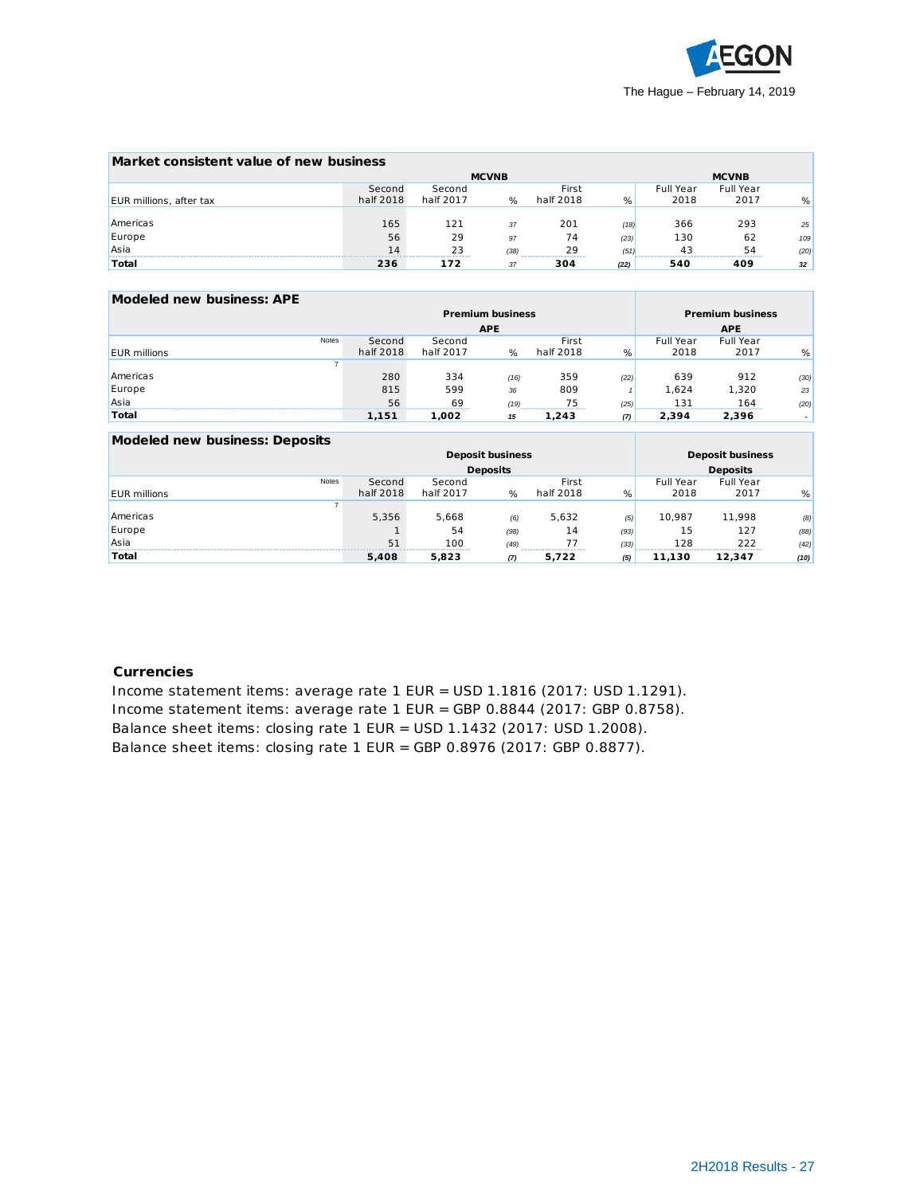

**Deposits**

Full Year

2017 %

| Market consistent value of new business |           |              |      |              |      |           |           |      |  |  |
|-----------------------------------------|-----------|--------------|------|--------------|------|-----------|-----------|------|--|--|
|                                         |           | <b>MCVNB</b> |      | <b>MCVNB</b> |      |           |           |      |  |  |
|                                         | Second    | Second       |      | First        |      | Full Year | Full Year |      |  |  |
| <b>EUR</b> millions, after tax          | half 2018 | half 2017    | %    | half 2018    | %    | 2018      | 2017      | %    |  |  |
|                                         |           |              |      |              |      |           |           |      |  |  |
| Americas                                | 165       | 121          | 37   | 201          | (18) | 366       | 293       | 25   |  |  |
| Europe                                  | 56        | 29           | 97   | 74           | (23) | 130       | 62        | 109  |  |  |
| Asia                                    | 14        | 23           | (38) | 29           | (51) | 43        | 54        | (20) |  |  |
| Total                                   | 236       | 172          | 37   | 304          | (22) | 540       | 409       | 32   |  |  |

| Modeled new business: APE |       |           |           |                         |           |      |           |                         |      |
|---------------------------|-------|-----------|-----------|-------------------------|-----------|------|-----------|-------------------------|------|
|                           |       |           |           | <b>Premium business</b> |           |      |           | <b>Premium business</b> |      |
|                           |       |           |           | <b>APE</b>              |           |      |           | <b>APE</b>              |      |
|                           | Notes | Second    | Second    |                         | First     |      | Full Year | Full Year               |      |
| <b>EUR</b> millions       |       | half 2018 | half 2017 | %                       | half 2018 | %    | 2018      | 2017                    | %    |
|                           |       |           |           |                         |           |      |           |                         |      |
| Americas                  |       | 280       | 334       | (16)                    | 359       | (22) | 639       | 912                     | (30) |
| Europe                    |       | 815       | 599       | 36                      | 809       |      | 1.624     | 1.320                   | 23   |
| Asia                      |       | 56        | 69        | (19)                    | 75        | (25) | 131       | 164                     | (20) |
| Total                     |       | 1,151     | 1.002     | 15                      | 1.243     | (7)  | 2.394     | 2,396                   |      |

Asia 51 100 *(49)* 77 *(33)* 128 222 *(42)* **Total 5,408 5,823** *(7)* **5,722** *(5)* **11,130 12,347** *(10)*

#### **Modeled new business: Deposits Deposit business** *EUR millions* Notes Second half 2018 **Second** half 2017 % First half 2018 % Full Year 2018 7 Americas 5,356 5,668 *(6)* 5,632 *(5)* 10,987 11,998 *(8)* Europe 1 54 *(98)* 14 *(93)* 15 127 *(88)* **Deposit business Deposits**

### **Currencies**

Income statement items: average rate 1 EUR = USD 1.1816 (2017: USD 1.1291). Income statement items: average rate 1 EUR = GBP 0.8844 (2017: GBP 0.8758). Balance sheet items: closing rate 1 EUR = USD 1.1432 (2017: USD 1.2008). Balance sheet items: closing rate 1 EUR = GBP 0.8976 (2017: GBP 0.8877).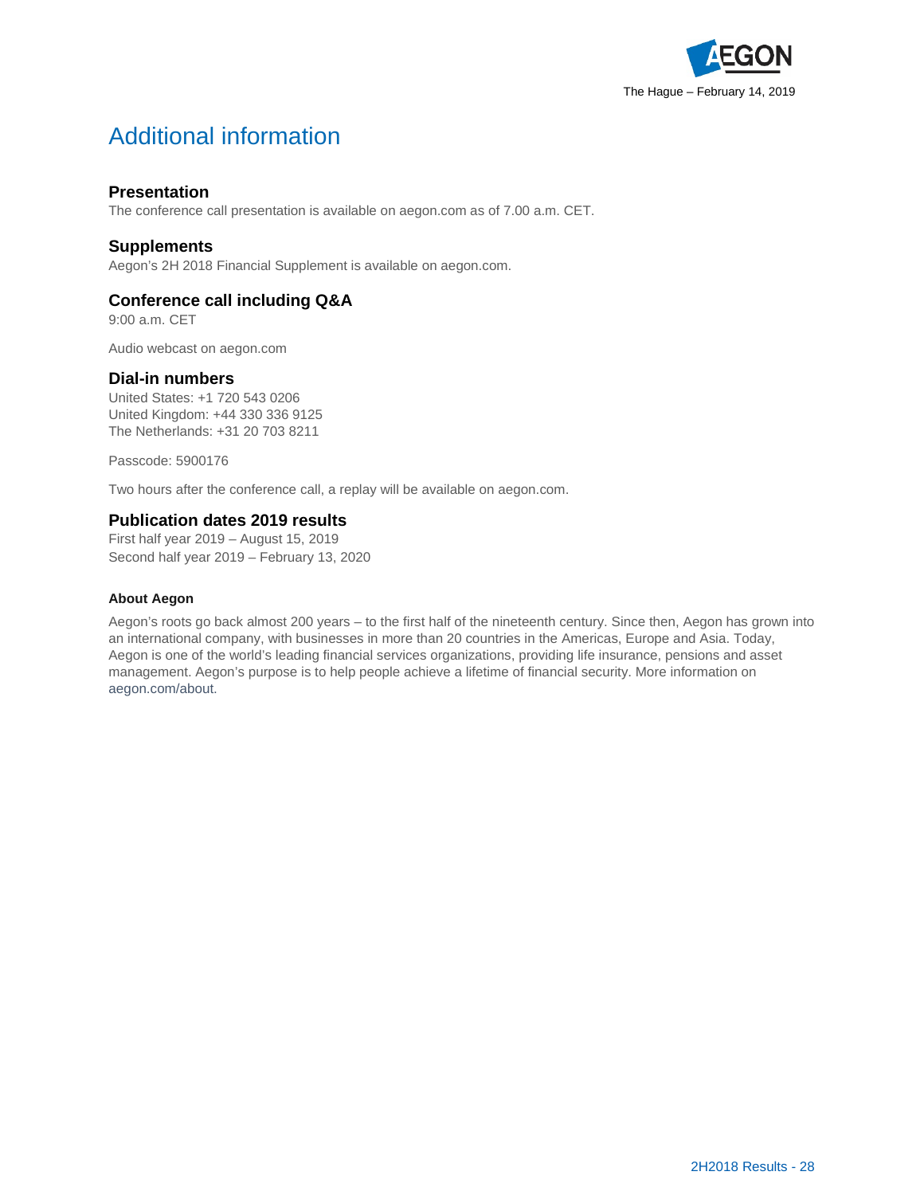

# Additional information

# **Presentation**

The conference call presentation is available o[n aegon.com](http://www.aegon.com/results) as of 7.00 a.m. CET.

## **Supplements**

Aegon's 2H 2018 Financial Supplement is available on [aegon.com.](http://www.aegon.com/results)

# **Conference call including Q&A**

9:00 a.m. CET

Audio webcast o[n aegon.com](http://www.aegon.com/results)

## **Dial-in numbers**

United States: +1 720 543 0206 United Kingdom: +44 330 336 9125 The Netherlands: +31 20 703 8211

Passcode: 5900176

Two hours after the conference call, a replay will be available on [aegon.com.](http://www.aegon.com/results)

### **Publication dates 2019 results**

First half year 2019 – August 15, 2019 Second half year 2019 – February 13, 2020

### **About Aegon**

Aegon's roots go back almost 200 years – to the first half of the nineteenth century. Since then, Aegon has grown into an international company, with businesses in more than 20 countries in the Americas, Europe and Asia. Today, Aegon is one of the world's leading financial services organizations, providing life insurance, pensions and asset management. Aegon's purpose is to help people achieve a lifetime of financial security. More information on [aegon.com/about.](http://www.aegon.com/about)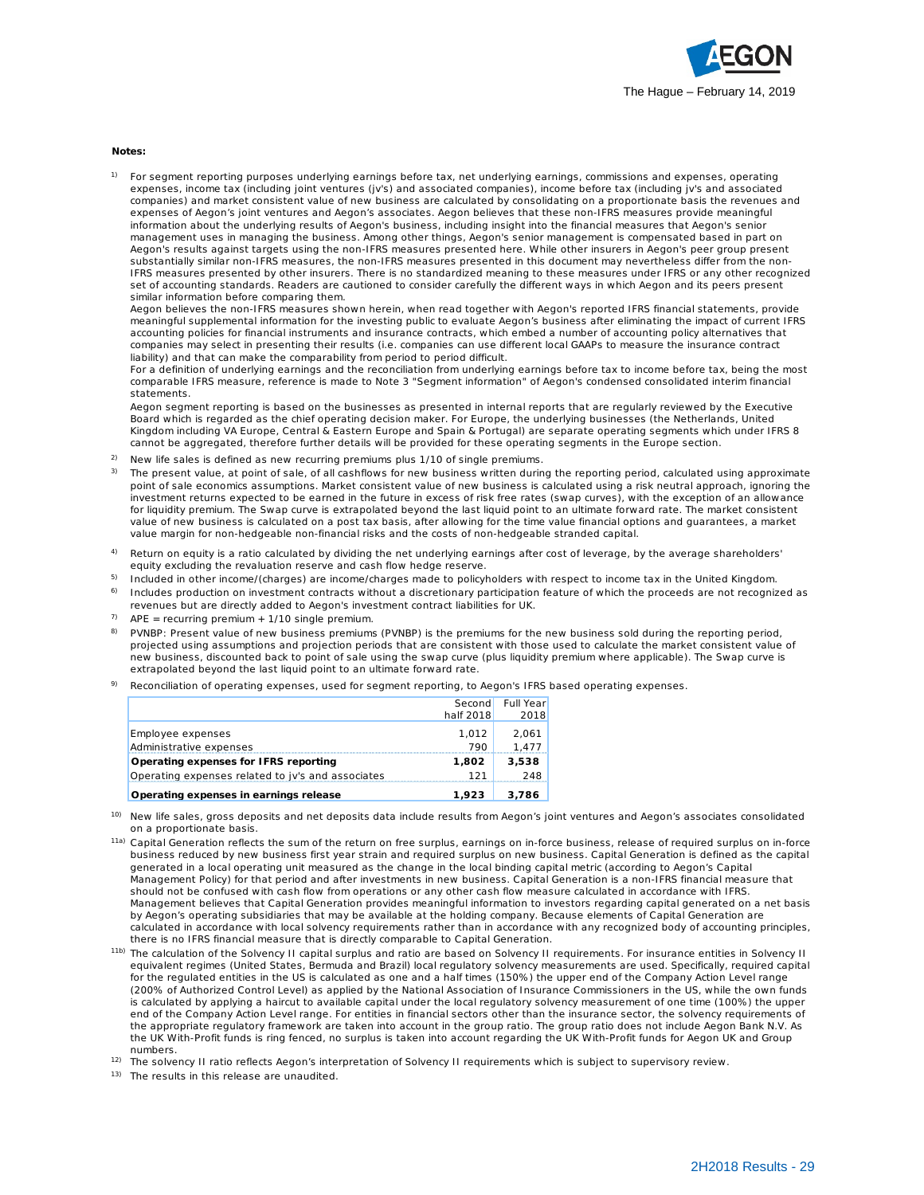

#### **Notes:**

1) For segment reporting purposes underlying earnings before tax, net underlying earnings, commissions and expenses, operating expenses, income tax (including joint ventures (jv's) and associated companies), income before tax (including jv's and associated companies) and market consistent value of new business are calculated by consolidating on a proportionate basis the revenues and expenses of Aegon's joint ventures and Aegon's associates. Aegon believes that these non-IFRS measures provide meaningful information about the underlying results of Aegon's business, including insight into the financial measures that Aegon's senior management uses in managing the business. Among other things, Aegon's senior management is compensated based in part on Aegon's results against targets using the non-IFRS measures presented here. While other insurers in Aegon's peer group present substantially similar non-IFRS measures, the non-IFRS measures presented in this document may nevertheless differ from the non-IFRS measures presented by other insurers. There is no standardized meaning to these measures under IFRS or any other recognized set of accounting standards. Readers are cautioned to consider carefully the different ways in which Aegon and its peers present similar information before comparing them.

Aegon believes the non-IFRS measures shown herein, when read together with Aegon's reported IFRS financial statements, provide meaningful supplemental information for the investing public to evaluate Aegon's business after eliminating the impact of current IFRS accounting policies for financial instruments and insurance contracts, which embed a number of accounting policy alternatives that companies may select in presenting their results (i.e. companies can use different local GAAPs to measure the insurance contract liability) and that can make the comparability from period to period difficult.

For a definition of underlying earnings and the reconciliation from underlying earnings before tax to income before tax, being the most comparable IFRS measure, reference is made to Note 3 "Segment information" of Aegon's condensed consolidated interim financial statements.

Aegon segment reporting is based on the businesses as presented in internal reports that are regularly reviewed by the Executive Board which is regarded as the chief operating decision maker. For Europe, the underlying businesses (the Netherlands, United Kingdom including VA Europe, Central & Eastern Europe and Spain & Portugal) are separate operating segments which under IFRS 8 cannot be aggregated, therefore further details will be provided for these operating segments in the Europe section.

- <sup>2)</sup> New life sales is defined as new recurring premiums plus  $1/10$  of single premiums.
- <sup>3)</sup> The present value, at point of sale, of all cashflows for new business written during the reporting period, calculated using approximate point of sale economics assumptions. Market consistent value of new business is calculated using a risk neutral approach, ignoring the investment returns expected to be earned in the future in excess of risk free rates (swap curves), with the exception of an allowance for liquidity premium. The Swap curve is extrapolated beyond the last liquid point to an ultimate forward rate. The market consistent value of new business is calculated on a post tax basis, after allowing for the time value financial options and guarantees, a market value margin for non-hedgeable non-financial risks and the costs of non-hedgeable stranded capital.
- 4) Return on equity is a ratio calculated by dividing the net underlying earnings after cost of leverage, by the average shareholders' equity excluding the revaluation reserve and cash flow hedge reserve.
- 5) Included in other income/(charges) are income/charges made to policyholders with respect to income tax in the United Kingdom.
- 6) Includes production on investment contracts without a discretionary participation feature of which the proceeds are not recognized as revenues but are directly added to Aegon's investment contract liabilities for UK.
- <sup>7)</sup> APE = recurring premium + 1/10 single premium.
- 8) PVNBP: Present value of new business premiums (PVNBP) is the premiums for the new business sold during the reporting period, projected using assumptions and projection periods that are consistent with those used to calculate the market consistent value of new business, discounted back to point of sale using the swap curve (plus liquidity premium where applicable). The Swap curve is extrapolated beyond the last liquid point to an ultimate forward rate.
- 9) Reconciliation of operating expenses, used for segment reporting, to Aegon's IFRS based operating expenses.

|                                                   | Second    | Full Year |
|---------------------------------------------------|-----------|-----------|
|                                                   | half 2018 | 2018      |
| Employee expenses                                 | 1.012     | 2.061     |
| Administrative expenses                           | 790       | 1.477     |
| Operating expenses for IFRS reporting             | 1.802     | 3,538     |
| Operating expenses related to jv's and associates | 121       | 248       |
| Operating expenses in earnings release            | 1.923     | 3.786     |

<sup>10)</sup> New life sales, gross deposits and net deposits data include results from Aegon's joint ventures and Aegon's associates consolidated on a proportionate basis.

- <sup>11a)</sup> Capital Generation reflects the sum of the return on free surplus, earnings on in-force business, release of required surplus on in-force business reduced by new business first year strain and required surplus on new business. Capital Generation is defined as the capital generated in a local operating unit measured as the change in the local binding capital metric (according to Aegon's Capital Management Policy) for that period and after investments in new business. Capital Generation is a non-IFRS financial measure that should not be confused with cash flow from operations or any other cash flow measure calculated in accordance with IFRS. Management believes that Capital Generation provides meaningful information to investors regarding capital generated on a net basis by Aegon's operating subsidiaries that may be available at the holding company. Because elements of Capital Generation are calculated in accordance with local solvency requirements rather than in accordance with any recognized body of accounting principles, there is no IFRS financial measure that is directly comparable to Capital Generation.
- <sup>11b)</sup> The calculation of the Solvency II capital surplus and ratio are based on Solvency II requirements. For insurance entities in Solvency II equivalent regimes (United States, Bermuda and Brazil) local regulatory solvency measurements are used. Specifically, required capital for the regulated entities in the US is calculated as one and a half times (150%) the upper end of the Company Action Level range (200% of Authorized Control Level) as applied by the National Association of Insurance Commissioners in the US, while the own funds is calculated by applying a haircut to available capital under the local regulatory solvency measurement of one time (100%) the upper end of the Company Action Level range. For entities in financial sectors other than the insurance sector, the solvency requirements of the appropriate regulatory framework are taken into account in the group ratio. The group ratio does not include Aegon Bank N.V. As the UK With-Profit funds is ring fenced, no surplus is taken into account regarding the UK With-Profit funds for Aegon UK and Group numbers.

<sup>12)</sup> The solvency II ratio reflects Aegon's interpretation of Solvency II requirements which is subject to supervisory review.

13) The results in this release are unaudited.